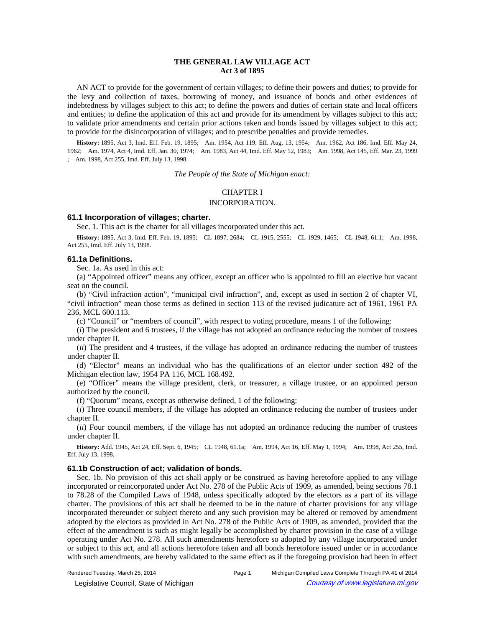# **THE GENERAL LAW VILLAGE ACT Act 3 of 1895**

AN ACT to provide for the government of certain villages; to define their powers and duties; to provide for the levy and collection of taxes, borrowing of money, and issuance of bonds and other evidences of indebtedness by villages subject to this act; to define the powers and duties of certain state and local officers and entities; to define the application of this act and provide for its amendment by villages subject to this act; to validate prior amendments and certain prior actions taken and bonds issued by villages subject to this act; to provide for the disincorporation of villages; and to prescribe penalties and provide remedies.

History: 1895, Act 3, Imd. Eff. Feb. 19, 1895;**Am.** 1954, Act 119, Eff. Aug. 13, 1954;**Am.** 1962, Act 186, Imd. Eff. May 24, 1962;-Am. 1974, Act 4, Imd. Eff. Jan. 30, 1974;-Am. 1983, Act 44, Imd. Eff. May 12, 1983;-Am. 1998, Act 145, Eff. Mar. 23, 1999 ;- Am. 1998, Act 255, Imd. Eff. July 13, 1998.

*The People of the State of Michigan enact:*

# CHAPTER I INCORPORATION.

# **61.1 Incorporation of villages; charter.**

Sec. 1. This act is the charter for all villages incorporated under this act.

History: 1895, Act 3, Imd. Eff. Feb. 19, 1895;-CL 1897, 2684;-CL 1915, 2555;-CL 1929, 1465;-CL 1948, 61.1;-Am. 1998, Act 255, Imd. Eff. July 13, 1998.

# **61.1a Definitions.**

Sec. 1a. As used in this act:

(a) "Appointed officer" means any officer, except an officer who is appointed to fill an elective but vacant seat on the council.

(b) "Civil infraction action", "municipal civil infraction", and, except as used in section 2 of chapter VI, "civil infraction" mean those terms as defined in section 113 of the revised judicature act of 1961, 1961 PA 236, MCL 600.113.

(c) "Council" or "members of council", with respect to voting procedure, means 1 of the following:

(*i*) The president and 6 trustees, if the village has not adopted an ordinance reducing the number of trustees under chapter II.

(*ii*) The president and 4 trustees, if the village has adopted an ordinance reducing the number of trustees under chapter II.

(d) "Elector" means an individual who has the qualifications of an elector under section 492 of the Michigan election law, 1954 PA 116, MCL 168.492.

(e) "Officer" means the village president, clerk, or treasurer, a village trustee, or an appointed person authorized by the council.

(f) "Quorum" means, except as otherwise defined, 1 of the following:

(*i*) Three council members, if the village has adopted an ordinance reducing the number of trustees under chapter II.

(*ii*) Four council members, if the village has not adopted an ordinance reducing the number of trustees under chapter II.

History: Add. 1945, Act 24, Eff. Sept. 6, 1945;-CL 1948, 61.1a;--Am. 1994, Act 16, Eff. May 1, 1994;--Am. 1998, Act 255, Imd. Eff. July 13, 1998.

### **61.1b Construction of act; validation of bonds.**

Sec. 1b. No provision of this act shall apply or be construed as having heretofore applied to any village incorporated or reincorporated under Act No. 278 of the Public Acts of 1909, as amended, being sections 78.1 to 78.28 of the Compiled Laws of 1948, unless specifically adopted by the electors as a part of its village charter. The provisions of this act shall be deemed to be in the nature of charter provisions for any village incorporated thereunder or subject thereto and any such provision may be altered or removed by amendment adopted by the electors as provided in Act No. 278 of the Public Acts of 1909, as amended, provided that the effect of the amendment is such as might legally be accomplished by charter provision in the case of a village operating under Act No. 278. All such amendments heretofore so adopted by any village incorporated under or subject to this act, and all actions heretofore taken and all bonds heretofore issued under or in accordance with such amendments, are hereby validated to the same effect as if the foregoing provision had been in effect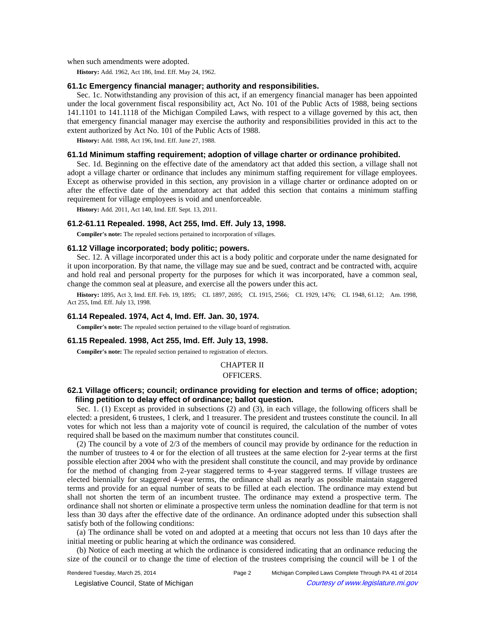when such amendments were adopted.

**History:** Add. 1962, Act 186, Imd. Eff. May 24, 1962.

### **61.1c Emergency financial manager; authority and responsibilities.**

Sec. 1c. Notwithstanding any provision of this act, if an emergency financial manager has been appointed under the local government fiscal responsibility act, Act No. 101 of the Public Acts of 1988, being sections 141.1101 to 141.1118 of the Michigan Compiled Laws, with respect to a village governed by this act, then that emergency financial manager may exercise the authority and responsibilities provided in this act to the extent authorized by Act No. 101 of the Public Acts of 1988.

**History:** Add. 1988, Act 196, Imd. Eff. June 27, 1988.

#### **61.1d Minimum staffing requirement; adoption of village charter or ordinance prohibited.**

Sec. 1d. Beginning on the effective date of the amendatory act that added this section, a village shall not adopt a village charter or ordinance that includes any minimum staffing requirement for village employees. Except as otherwise provided in this section, any provision in a village charter or ordinance adopted on or after the effective date of the amendatory act that added this section that contains a minimum staffing requirement for village employees is void and unenforceable.

**History:** Add. 2011, Act 140, Imd. Eff. Sept. 13, 2011.

### **61.2-61.11 Repealed. 1998, Act 255, Imd. Eff. July 13, 1998.**

**Compiler's note:** The repealed sections pertained to incorporation of villages.

### **61.12 Village incorporated; body politic; powers.**

Sec. 12. A village incorporated under this act is a body politic and corporate under the name designated for it upon incorporation. By that name, the village may sue and be sued, contract and be contracted with, acquire and hold real and personal property for the purposes for which it was incorporated, have a common seal, change the common seal at pleasure, and exercise all the powers under this act.

History: 1895, Act 3, Imd. Eff. Feb. 19, 1895;-CL 1897, 2695;-CL 1915, 2566;-CL 1929, 1476;-CL 1948, 61.12;-Am. 1998, Act 255, Imd. Eff. July 13, 1998.

### **61.14 Repealed. 1974, Act 4, Imd. Eff. Jan. 30, 1974.**

**Compiler's note:** The repealed section pertained to the village board of registration.

### **61.15 Repealed. 1998, Act 255, Imd. Eff. July 13, 1998.**

**Compiler's note:** The repealed section pertained to registration of electors.

# CHAPTER II

# OFFICERS.

# **62.1 Village officers; council; ordinance providing for election and terms of office; adoption; filing petition to delay effect of ordinance; ballot question.**

Sec. 1. (1) Except as provided in subsections (2) and (3), in each village, the following officers shall be elected: a president, 6 trustees, 1 clerk, and 1 treasurer. The president and trustees constitute the council. In all votes for which not less than a majority vote of council is required, the calculation of the number of votes required shall be based on the maximum number that constitutes council.

(2) The council by a vote of 2/3 of the members of council may provide by ordinance for the reduction in the number of trustees to 4 or for the election of all trustees at the same election for 2-year terms at the first possible election after 2004 who with the president shall constitute the council, and may provide by ordinance for the method of changing from 2-year staggered terms to 4-year staggered terms. If village trustees are elected biennially for staggered 4-year terms, the ordinance shall as nearly as possible maintain staggered terms and provide for an equal number of seats to be filled at each election. The ordinance may extend but shall not shorten the term of an incumbent trustee. The ordinance may extend a prospective term. The ordinance shall not shorten or eliminate a prospective term unless the nomination deadline for that term is not less than 30 days after the effective date of the ordinance. An ordinance adopted under this subsection shall satisfy both of the following conditions:

(a) The ordinance shall be voted on and adopted at a meeting that occurs not less than 10 days after the initial meeting or public hearing at which the ordinance was considered.

(b) Notice of each meeting at which the ordinance is considered indicating that an ordinance reducing the size of the council or to change the time of election of the trustees comprising the council will be 1 of the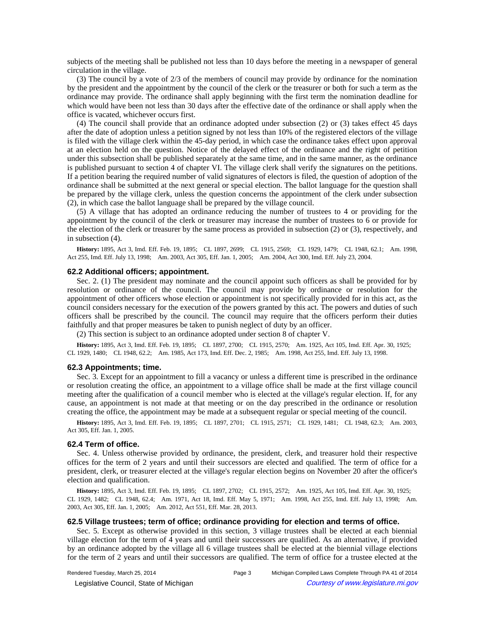subjects of the meeting shall be published not less than 10 days before the meeting in a newspaper of general circulation in the village.

(3) The council by a vote of 2/3 of the members of council may provide by ordinance for the nomination by the president and the appointment by the council of the clerk or the treasurer or both for such a term as the ordinance may provide. The ordinance shall apply beginning with the first term the nomination deadline for which would have been not less than 30 days after the effective date of the ordinance or shall apply when the office is vacated, whichever occurs first.

(4) The council shall provide that an ordinance adopted under subsection (2) or (3) takes effect 45 days after the date of adoption unless a petition signed by not less than 10% of the registered electors of the village is filed with the village clerk within the 45-day period, in which case the ordinance takes effect upon approval at an election held on the question. Notice of the delayed effect of the ordinance and the right of petition under this subsection shall be published separately at the same time, and in the same manner, as the ordinance is published pursuant to section 4 of chapter VI. The village clerk shall verify the signatures on the petitions. If a petition bearing the required number of valid signatures of electors is filed, the question of adoption of the ordinance shall be submitted at the next general or special election. The ballot language for the question shall be prepared by the village clerk, unless the question concerns the appointment of the clerk under subsection (2), in which case the ballot language shall be prepared by the village council.

(5) A village that has adopted an ordinance reducing the number of trustees to 4 or providing for the appointment by the council of the clerk or treasurer may increase the number of trustees to 6 or provide for the election of the clerk or treasurer by the same process as provided in subsection (2) or (3), respectively, and in subsection (4).

History: 1895, Act 3, Imd. Eff. Feb. 19, 1895;—CL 1897, 2699;—CL 1915, 2569;—CL 1929, 1479;—CL 1948, 62.1;—Am. 1998, Act 255, Imd. Eff. July 13, 1998;-Am. 2003, Act 305, Eff. Jan. 1, 2005;-Am. 2004, Act 300, Imd. Eff. July 23, 2004.

### **62.2 Additional officers; appointment.**

Sec. 2. (1) The president may nominate and the council appoint such officers as shall be provided for by resolution or ordinance of the council. The council may provide by ordinance or resolution for the appointment of other officers whose election or appointment is not specifically provided for in this act, as the council considers necessary for the execution of the powers granted by this act. The powers and duties of such officers shall be prescribed by the council. The council may require that the officers perform their duties faithfully and that proper measures be taken to punish neglect of duty by an officer.

(2) This section is subject to an ordinance adopted under section 8 of chapter V.

History: 1895, Act 3, Imd. Eff. Feb. 19, 1895;-CL 1897, 2700;-CL 1915, 2570;-Am. 1925, Act 105, Imd. Eff. Apr. 30, 1925;-CL 1929, 1480;-CL 1948, 62.2;-Am. 1985, Act 173, Imd. Eff. Dec. 2, 1985;-Am. 1998, Act 255, Imd. Eff. July 13, 1998.

#### **62.3 Appointments; time.**

Sec. 3. Except for an appointment to fill a vacancy or unless a different time is prescribed in the ordinance or resolution creating the office, an appointment to a village office shall be made at the first village council meeting after the qualification of a council member who is elected at the village's regular election. If, for any cause, an appointment is not made at that meeting or on the day prescribed in the ordinance or resolution creating the office, the appointment may be made at a subsequent regular or special meeting of the council.

History: 1895, Act 3, Imd. Eff. Feb. 19, 1895;—CL 1897, 2701;—CL 1915, 2571;—CL 1929, 1481;—CL 1948, 62.3;—Am. 2003, Act 305, Eff. Jan. 1, 2005.

#### **62.4 Term of office.**

Sec. 4. Unless otherwise provided by ordinance, the president, clerk, and treasurer hold their respective offices for the term of 2 years and until their successors are elected and qualified. The term of office for a president, clerk, or treasurer elected at the village's regular election begins on November 20 after the officer's election and qualification.

History: 1895, Act 3, Imd. Eff. Feb. 19, 1895;-CL 1897, 2702;-CL 1915, 2572;-Am. 1925, Act 105, Imd. Eff. Apr. 30, 1925;-CL 1929, 1482;-CL 1948, 62.4;-Am. 1971, Act 18, Imd. Eff. May 5, 1971;-Am. 1998, Act 255, Imd. Eff. July 13, 1998;-Am. 2003, Act 305, Eff. Jan. 1, 2005;-- Am. 2012, Act 551, Eff. Mar. 28, 2013.

### **62.5 Village trustees; term of office; ordinance providing for election and terms of office.**

Sec. 5. Except as otherwise provided in this section, 3 village trustees shall be elected at each biennial village election for the term of 4 years and until their successors are qualified. As an alternative, if provided by an ordinance adopted by the village all 6 village trustees shall be elected at the biennial village elections for the term of 2 years and until their successors are qualified. The term of office for a trustee elected at the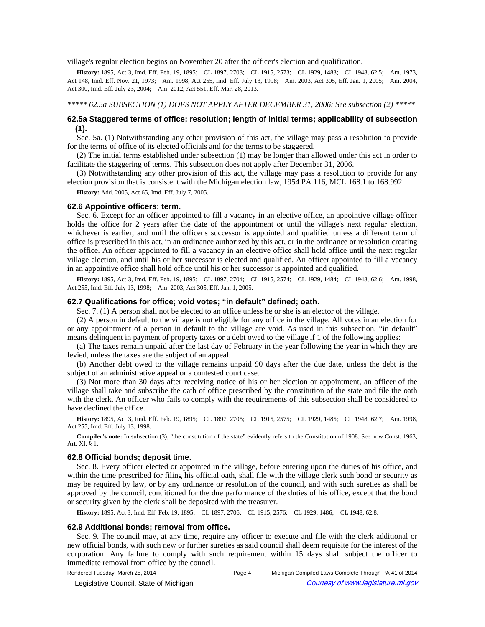village's regular election begins on November 20 after the officer's election and qualification.

History: 1895, Act 3, Imd. Eff. Feb. 19, 1895;-CL 1897, 2703;-CL 1915, 2573;-CL 1929, 1483;-CL 1948, 62.5;-Am. 1973, Act 148, Imd. Eff. Nov. 21, 1973;—Am. 1998, Act 255, Imd. Eff. July 13, 1998;—Am. 2003, Act 305, Eff. Jan. 1, 2005;—Am. 2004, Act 300, Imd. Eff. July 23, 2004;-- Am. 2012, Act 551, Eff. Mar. 28, 2013.

*\*\*\*\*\* 62.5a SUBSECTION (1) DOES NOT APPLY AFTER DECEMBER 31, 2006: See subsection (2) \*\*\*\*\** 

# **62.5a Staggered terms of office; resolution; length of initial terms; applicability of subsection (1).**

Sec. 5a. (1) Notwithstanding any other provision of this act, the village may pass a resolution to provide for the terms of office of its elected officials and for the terms to be staggered.

(2) The initial terms established under subsection (1) may be longer than allowed under this act in order to facilitate the staggering of terms. This subsection does not apply after December 31, 2006.

(3) Notwithstanding any other provision of this act, the village may pass a resolution to provide for any election provision that is consistent with the Michigan election law, 1954 PA 116, MCL 168.1 to 168.992.

**History:** Add. 2005, Act 65, Imd. Eff. July 7, 2005.

#### **62.6 Appointive officers; term.**

Sec. 6. Except for an officer appointed to fill a vacancy in an elective office, an appointive village officer holds the office for 2 years after the date of the appointment or until the village's next regular election, whichever is earlier, and until the officer's successor is appointed and qualified unless a different term of office is prescribed in this act, in an ordinance authorized by this act, or in the ordinance or resolution creating the office. An officer appointed to fill a vacancy in an elective office shall hold office until the next regular village election, and until his or her successor is elected and qualified. An officer appointed to fill a vacancy in an appointive office shall hold office until his or her successor is appointed and qualified.

History: 1895, Act 3, Imd. Eff. Feb. 19, 1895;-CL 1897, 2704;-CL 1915, 2574;-CL 1929, 1484;-CL 1948, 62.6;-Am. 1998, Act 255, Imd. Eff. July 13, 1998;-- Am. 2003, Act 305, Eff. Jan. 1, 2005.

# **62.7 Qualifications for office; void votes; "in default" defined; oath.**

Sec. 7. (1) A person shall not be elected to an office unless he or she is an elector of the village.

(2) A person in default to the village is not eligible for any office in the village. All votes in an election for or any appointment of a person in default to the village are void. As used in this subsection, "in default" means delinquent in payment of property taxes or a debt owed to the village if 1 of the following applies:

(a) The taxes remain unpaid after the last day of February in the year following the year in which they are levied, unless the taxes are the subject of an appeal.

(b) Another debt owed to the village remains unpaid 90 days after the due date, unless the debt is the subject of an administrative appeal or a contested court case.

(3) Not more than 30 days after receiving notice of his or her election or appointment, an officer of the village shall take and subscribe the oath of office prescribed by the constitution of the state and file the oath with the clerk. An officer who fails to comply with the requirements of this subsection shall be considered to have declined the office.

History: 1895, Act 3, Imd. Eff. Feb. 19, 1895;-CL 1897, 2705;-CL 1915, 2575;-CL 1929, 1485;-CL 1948, 62.7;-Am. 1998, Act 255, Imd. Eff. July 13, 1998.

**Compiler's note:** In subsection (3), "the constitution of the state" evidently refers to the Constitution of 1908. See now Const. 1963, Art. XI, § 1.

#### **62.8 Official bonds; deposit time.**

Sec. 8. Every officer elected or appointed in the village, before entering upon the duties of his office, and within the time prescribed for filing his official oath, shall file with the village clerk such bond or security as may be required by law, or by any ordinance or resolution of the council, and with such sureties as shall be approved by the council, conditioned for the due performance of the duties of his office, except that the bond or security given by the clerk shall be deposited with the treasurer.

History: 1895, Act 3, Imd. Eff. Feb. 19, 1895;-CL 1897, 2706;-CL 1915, 2576;-CL 1929, 1486;-CL 1948, 62.8.

#### **62.9 Additional bonds; removal from office.**

Sec. 9. The council may, at any time, require any officer to execute and file with the clerk additional or new official bonds, with such new or further sureties as said council shall deem requisite for the interest of the corporation. Any failure to comply with such requirement within 15 days shall subject the officer to immediate removal from office by the council.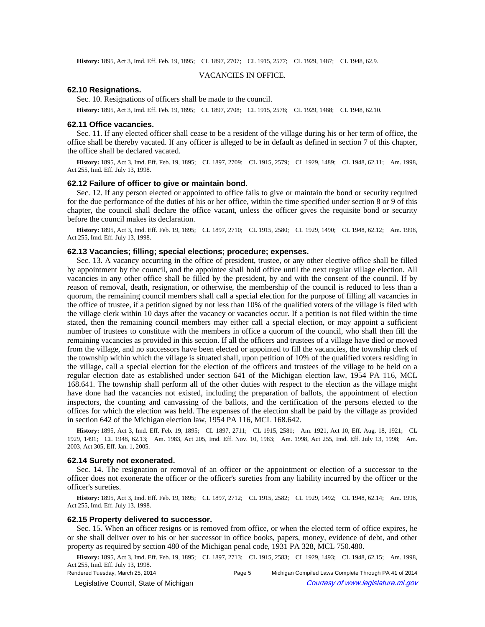History: 1895, Act 3, Imd. Eff. Feb. 19, 1895;-CL 1897, 2707;-CL 1915, 2577;-CL 1929, 1487;-CL 1948, 62.9.

#### VACANCIES IN OFFICE.

#### **62.10 Resignations.**

Sec. 10. Resignations of officers shall be made to the council.

History: 1895, Act 3, Imd. Eff. Feb. 19, 1895;—CL 1897, 2708;—CL 1915, 2578;—CL 1929, 1488;—CL 1948, 62.10.

#### **62.11 Office vacancies.**

Sec. 11. If any elected officer shall cease to be a resident of the village during his or her term of office, the office shall be thereby vacated. If any officer is alleged to be in default as defined in section 7 of this chapter, the office shall be declared vacated.

History: 1895, Act 3, Imd. Eff. Feb. 19, 1895;-CL 1897, 2709;-CL 1915, 2579;-CL 1929, 1489;-CL 1948, 62.11;-Am. 1998, Act 255, Imd. Eff. July 13, 1998.

#### **62.12 Failure of officer to give or maintain bond.**

Sec. 12. If any person elected or appointed to office fails to give or maintain the bond or security required for the due performance of the duties of his or her office, within the time specified under section 8 or 9 of this chapter, the council shall declare the office vacant, unless the officer gives the requisite bond or security before the council makes its declaration.

**History:** 1895, Act 3, Imd. Eff. Feb. 19, 1895;—CL 1897, 2710;—CL 1915, 2580;—CL 1929, 1490;—CL 1948, 62.12;—Am. 1998, Act 255, Imd. Eff. July 13, 1998.

### **62.13 Vacancies; filling; special elections; procedure; expenses.**

Sec. 13. A vacancy occurring in the office of president, trustee, or any other elective office shall be filled by appointment by the council, and the appointee shall hold office until the next regular village election. All vacancies in any other office shall be filled by the president, by and with the consent of the council. If by reason of removal, death, resignation, or otherwise, the membership of the council is reduced to less than a quorum, the remaining council members shall call a special election for the purpose of filling all vacancies in the office of trustee, if a petition signed by not less than 10% of the qualified voters of the village is filed with the village clerk within 10 days after the vacancy or vacancies occur. If a petition is not filed within the time stated, then the remaining council members may either call a special election, or may appoint a sufficient number of trustees to constitute with the members in office a quorum of the council, who shall then fill the remaining vacancies as provided in this section. If all the officers and trustees of a village have died or moved from the village, and no successors have been elected or appointed to fill the vacancies, the township clerk of the township within which the village is situated shall, upon petition of 10% of the qualified voters residing in the village, call a special election for the election of the officers and trustees of the village to be held on a regular election date as established under section 641 of the Michigan election law, 1954 PA 116, MCL 168.641. The township shall perform all of the other duties with respect to the election as the village might have done had the vacancies not existed, including the preparation of ballots, the appointment of election inspectors, the counting and canvassing of the ballots, and the certification of the persons elected to the offices for which the election was held. The expenses of the election shall be paid by the village as provided in section 642 of the Michigan election law, 1954 PA 116, MCL 168.642.

History: 1895, Act 3, Imd. Eff. Feb. 19, 1895;-CL 1897, 2711;-CL 1915, 2581;--Am. 1921, Act 10, Eff. Aug. 18, 1921;-CL 1929, 1491;-CL 1948, 62.13;-Am. 1983, Act 205, Imd. Eff. Nov. 10, 1983;-Am. 1998, Act 255, Imd. Eff. July 13, 1998;--Am. 2003, Act 305, Eff. Jan. 1, 2005.

#### **62.14 Surety not exonerated.**

Sec. 14. The resignation or removal of an officer or the appointment or election of a successor to the officer does not exonerate the officer or the officer's sureties from any liability incurred by the officer or the officer's sureties.

**History:** 1895, Act 3, Imd. Eff. Feb. 19, 1895;—CL 1897, 2712;—CL 1915, 2582;—CL 1929, 1492;—CL 1948, 62.14;—Am. 1998, Act 255, Imd. Eff. July 13, 1998.

#### **62.15 Property delivered to successor.**

Sec. 15. When an officer resigns or is removed from office, or when the elected term of office expires, he or she shall deliver over to his or her successor in office books, papers, money, evidence of debt, and other property as required by section 480 of the Michigan penal code, 1931 PA 328, MCL 750.480.

History: 1895, Act 3, Imd. Eff. Feb. 19, 1895;-CL 1897, 2713;-CL 1915, 2583;-CL 1929, 1493;-CL 1948, 62.15;-Am. 1998, Act 255, Imd. Eff. July 13, 1998.

Rendered Tuesday, March 25, 2014 Page 5 Michigan Compiled Laws Complete Through PA 41 of 2014 © Legislative Council, State of Michigan Council Courtesy of www.legislature.mi.gov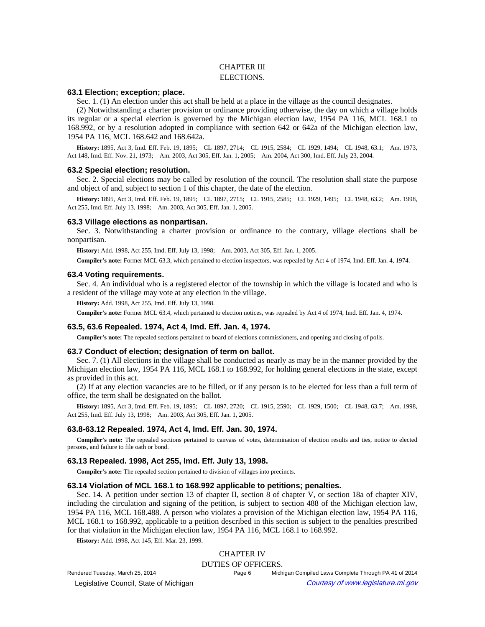# CHAPTER III ELECTIONS.

# **63.1 Election; exception; place.**

Sec. 1. (1) An election under this act shall be held at a place in the village as the council designates.

(2) Notwithstanding a charter provision or ordinance providing otherwise, the day on which a village holds its regular or a special election is governed by the Michigan election law, 1954 PA 116, MCL 168.1 to 168.992, or by a resolution adopted in compliance with section 642 or 642a of the Michigan election law, 1954 PA 116, MCL 168.642 and 168.642a.

History: 1895, Act 3, Imd. Eff. Feb. 19, 1895; -CL 1897, 2714; -CL 1915, 2584; -CL 1929, 1494; -CL 1948, 63.1; -Am. 1973, Act 148, Imd. Eff. Nov. 21, 1973;--Am. 2003, Act 305, Eff. Jan. 1, 2005;--Am. 2004, Act 300, Imd. Eff. July 23, 2004.

#### **63.2 Special election; resolution.**

Sec. 2. Special elections may be called by resolution of the council. The resolution shall state the purpose and object of and, subject to section 1 of this chapter, the date of the election.

History: 1895, Act 3, Imd. Eff. Feb. 19, 1895;-CL 1897, 2715;-CL 1915, 2585;-CL 1929, 1495;-CL 1948, 63.2;-Am. 1998, Act 255, Imd. Eff. July 13, 1998;-- Am. 2003, Act 305, Eff. Jan. 1, 2005.

# **63.3 Village elections as nonpartisan.**

Sec. 3. Notwithstanding a charter provision or ordinance to the contrary, village elections shall be nonpartisan.

History: Add. 1998, Act 255, Imd. Eff. July 13, 1998;—Am. 2003, Act 305, Eff. Jan. 1, 2005.

**Compiler's note:** Former MCL 63.3, which pertained to election inspectors, was repealed by Act 4 of 1974, Imd. Eff. Jan. 4, 1974.

### **63.4 Voting requirements.**

Sec. 4. An individual who is a registered elector of the township in which the village is located and who is a resident of the village may vote at any election in the village.

**History:** Add. 1998, Act 255, Imd. Eff. July 13, 1998.

**Compiler's note:** Former MCL 63.4, which pertained to election notices, was repealed by Act 4 of 1974, Imd. Eff. Jan. 4, 1974.

### **63.5, 63.6 Repealed. 1974, Act 4, Imd. Eff. Jan. 4, 1974.**

**Compiler's note:** The repealed sections pertained to board of elections commissioners, and opening and closing of polls.

### **63.7 Conduct of election; designation of term on ballot.**

Sec. 7. (1) All elections in the village shall be conducted as nearly as may be in the manner provided by the Michigan election law, 1954 PA 116, MCL 168.1 to 168.992, for holding general elections in the state, except as provided in this act.

(2) If at any election vacancies are to be filled, or if any person is to be elected for less than a full term of office, the term shall be designated on the ballot.

History: 1895, Act 3, Imd. Eff. Feb. 19, 1895; CL 1897, 2720; CL 1915, 2590; CL 1929, 1500; CL 1948, 63.7; Am. 1998, Act 255, Imd. Eff. July 13, 1998;-- Am. 2003, Act 305, Eff. Jan. 1, 2005.

### **63.8-63.12 Repealed. 1974, Act 4, Imd. Eff. Jan. 30, 1974.**

**Compiler's note:** The repealed sections pertained to canvass of votes, determination of election results and ties, notice to elected persons, and failure to file oath or bond.

#### **63.13 Repealed. 1998, Act 255, Imd. Eff. July 13, 1998.**

**Compiler's note:** The repealed section pertained to division of villages into precincts.

#### **63.14 Violation of MCL 168.1 to 168.992 applicable to petitions; penalties.**

Sec. 14. A petition under section 13 of chapter II, section 8 of chapter V, or section 18a of chapter XIV, including the circulation and signing of the petition, is subject to section 488 of the Michigan election law, 1954 PA 116, MCL 168.488. A person who violates a provision of the Michigan election law, 1954 PA 116, MCL 168.1 to 168.992, applicable to a petition described in this section is subject to the penalties prescribed for that violation in the Michigan election law, 1954 PA 116, MCL 168.1 to 168.992.

**History:** Add. 1998, Act 145, Eff. Mar. 23, 1999.

# CHAPTER IV

DUTIES OF OFFICERS.

© Legislative Council, State of Michigan Council Courtesy of www.legislature.mi.gov

Rendered Tuesday, March 25, 2014 Page 6 Michigan Compiled Laws Complete Through PA 41 of 2014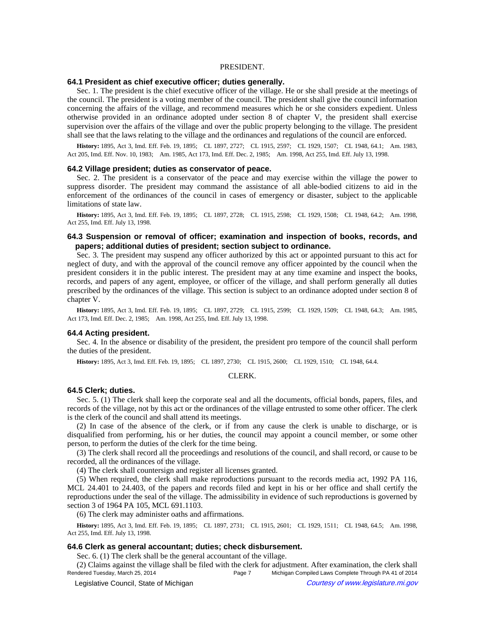#### PRESIDENT.

### **64.1 President as chief executive officer; duties generally.**

Sec. 1. The president is the chief executive officer of the village. He or she shall preside at the meetings of the council. The president is a voting member of the council. The president shall give the council information concerning the affairs of the village, and recommend measures which he or she considers expedient. Unless otherwise provided in an ordinance adopted under section 8 of chapter V, the president shall exercise supervision over the affairs of the village and over the public property belonging to the village. The president shall see that the laws relating to the village and the ordinances and regulations of the council are enforced.

History: 1895, Act 3, Imd. Eff. Feb. 19, 1895;—CL 1897, 2727;—CL 1915, 2597;—CL 1929, 1507;—CL 1948, 64.1;—Am. 1983, Act 205, Imd. Eff. Nov. 10, 1983;—Am. 1985, Act 173, Imd. Eff. Dec. 2, 1985;—Am. 1998, Act 255, Imd. Eff. July 13, 1998.

#### **64.2 Village president; duties as conservator of peace.**

Sec. 2. The president is a conservator of the peace and may exercise within the village the power to suppress disorder. The president may command the assistance of all able-bodied citizens to aid in the enforcement of the ordinances of the council in cases of emergency or disaster, subject to the applicable limitations of state law.

History: 1895, Act 3, Imd. Eff. Feb. 19, 1895;-CL 1897, 2728;-CL 1915, 2598;-CL 1929, 1508;-CL 1948, 64.2;-Am. 1998, Act 255, Imd. Eff. July 13, 1998.

# **64.3 Suspension or removal of officer; examination and inspection of books, records, and papers; additional duties of president; section subject to ordinance.**

Sec. 3. The president may suspend any officer authorized by this act or appointed pursuant to this act for neglect of duty, and with the approval of the council remove any officer appointed by the council when the president considers it in the public interest. The president may at any time examine and inspect the books, records, and papers of any agent, employee, or officer of the village, and shall perform generally all duties prescribed by the ordinances of the village. This section is subject to an ordinance adopted under section 8 of chapter V.

History: 1895, Act 3, Imd. Eff. Feb. 19, 1895;-CL 1897, 2729;-CL 1915, 2599;-CL 1929, 1509;-CL 1948, 64.3;-Am. 1985, Act 173, Imd. Eff. Dec. 2, 1985;-- Am. 1998, Act 255, Imd. Eff. July 13, 1998.

#### **64.4 Acting president.**

Sec. 4. In the absence or disability of the president, the president pro tempore of the council shall perform the duties of the president.

History: 1895, Act 3, Imd. Eff. Feb. 19, 1895;—CL 1897, 2730;—CL 1915, 2600;—CL 1929, 1510;—CL 1948, 64.4.

#### CLERK.

#### **64.5 Clerk; duties.**

Sec. 5. (1) The clerk shall keep the corporate seal and all the documents, official bonds, papers, files, and records of the village, not by this act or the ordinances of the village entrusted to some other officer. The clerk is the clerk of the council and shall attend its meetings.

(2) In case of the absence of the clerk, or if from any cause the clerk is unable to discharge, or is disqualified from performing, his or her duties, the council may appoint a council member, or some other person, to perform the duties of the clerk for the time being.

(3) The clerk shall record all the proceedings and resolutions of the council, and shall record, or cause to be recorded, all the ordinances of the village.

(4) The clerk shall countersign and register all licenses granted.

(5) When required, the clerk shall make reproductions pursuant to the records media act, 1992 PA 116, MCL 24.401 to 24.403, of the papers and records filed and kept in his or her office and shall certify the reproductions under the seal of the village. The admissibility in evidence of such reproductions is governed by section 3 of 1964 PA 105, MCL 691.1103.

(6) The clerk may administer oaths and affirmations.

History: 1895, Act 3, Imd. Eff. Feb. 19, 1895;-CL 1897, 2731;-CL 1915, 2601;-CL 1929, 1511;-CL 1948, 64.5;-Am. 1998, Act 255, Imd. Eff. July 13, 1998.

### **64.6 Clerk as general accountant; duties; check disbursement.**

Sec. 6. (1) The clerk shall be the general accountant of the village.

(2) Claims against the village shall be filed with the clerk for adjustment. After examination, the clerk shall Rendered Tuesday, March 25, 2014 Page 7 Michigan Compiled Laws Complete Through PA 41 of 2014 © Legislative Council, State of Michigan Council Courtesy of www.legislature.mi.gov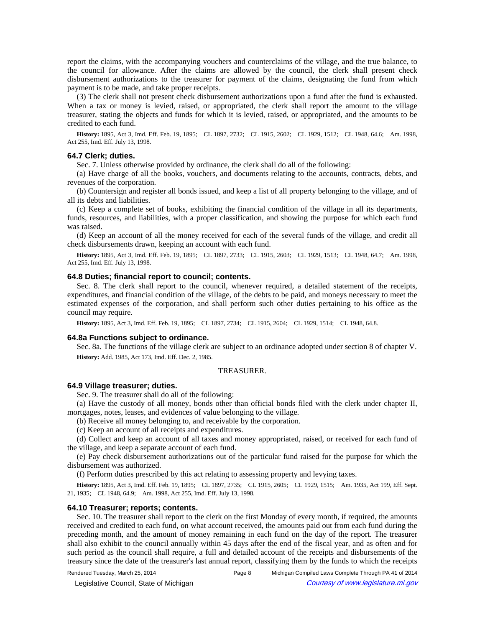report the claims, with the accompanying vouchers and counterclaims of the village, and the true balance, to the council for allowance. After the claims are allowed by the council, the clerk shall present check disbursement authorizations to the treasurer for payment of the claims, designating the fund from which payment is to be made, and take proper receipts.

(3) The clerk shall not present check disbursement authorizations upon a fund after the fund is exhausted. When a tax or money is levied, raised, or appropriated, the clerk shall report the amount to the village treasurer, stating the objects and funds for which it is levied, raised, or appropriated, and the amounts to be credited to each fund.

History: 1895, Act 3, Imd. Eff. Feb. 19, 1895; CL 1897, 2732; CL 1915, 2602; CL 1929, 1512; CL 1948, 64.6; Am. 1998, Act 255, Imd. Eff. July 13, 1998.

#### **64.7 Clerk; duties.**

Sec. 7. Unless otherwise provided by ordinance, the clerk shall do all of the following:

(a) Have charge of all the books, vouchers, and documents relating to the accounts, contracts, debts, and revenues of the corporation.

(b) Countersign and register all bonds issued, and keep a list of all property belonging to the village, and of all its debts and liabilities.

(c) Keep a complete set of books, exhibiting the financial condition of the village in all its departments, funds, resources, and liabilities, with a proper classification, and showing the purpose for which each fund was raised.

(d) Keep an account of all the money received for each of the several funds of the village, and credit all check disbursements drawn, keeping an account with each fund.

History: 1895, Act 3, Imd. Eff. Feb. 19, 1895;—CL 1897, 2733;—CL 1915, 2603;—CL 1929, 1513;—CL 1948, 64.7;—Am. 1998, Act 255, Imd. Eff. July 13, 1998.

### **64.8 Duties; financial report to council; contents.**

Sec. 8. The clerk shall report to the council, whenever required, a detailed statement of the receipts, expenditures, and financial condition of the village, of the debts to be paid, and moneys necessary to meet the estimated expenses of the corporation, and shall perform such other duties pertaining to his office as the council may require.

History: 1895, Act 3, Imd. Eff. Feb. 19, 1895;-CL 1897, 2734;-CL 1915, 2604;-CL 1929, 1514;-CL 1948, 64.8.

# **64.8a Functions subject to ordinance.**

Sec. 8a. The functions of the village clerk are subject to an ordinance adopted under section 8 of chapter V. **History:** Add. 1985, Act 173, Imd. Eff. Dec. 2, 1985.

# TREASURER.

### **64.9 Village treasurer; duties.**

Sec. 9. The treasurer shall do all of the following:

(a) Have the custody of all money, bonds other than official bonds filed with the clerk under chapter II, mortgages, notes, leases, and evidences of value belonging to the village.

(b) Receive all money belonging to, and receivable by the corporation.

(c) Keep an account of all receipts and expenditures.

(d) Collect and keep an account of all taxes and money appropriated, raised, or received for each fund of the village, and keep a separate account of each fund.

(e) Pay check disbursement authorizations out of the particular fund raised for the purpose for which the disbursement was authorized.

(f) Perform duties prescribed by this act relating to assessing property and levying taxes.

History: 1895, Act 3, Imd. Eff. Feb. 19, 1895;-CL 1897, 2735;-CL 1915, 2605;-CL 1929, 1515;-Am. 1935, Act 199, Eff. Sept. 21, 1935;-CL 1948, 64.9;-Am. 1998, Act 255, Imd. Eff. July 13, 1998.

#### **64.10 Treasurer; reports; contents.**

Sec. 10. The treasurer shall report to the clerk on the first Monday of every month, if required, the amounts received and credited to each fund, on what account received, the amounts paid out from each fund during the preceding month, and the amount of money remaining in each fund on the day of the report. The treasurer shall also exhibit to the council annually within 45 days after the end of the fiscal year, and as often and for such period as the council shall require, a full and detailed account of the receipts and disbursements of the treasury since the date of the treasurer's last annual report, classifying them by the funds to which the receipts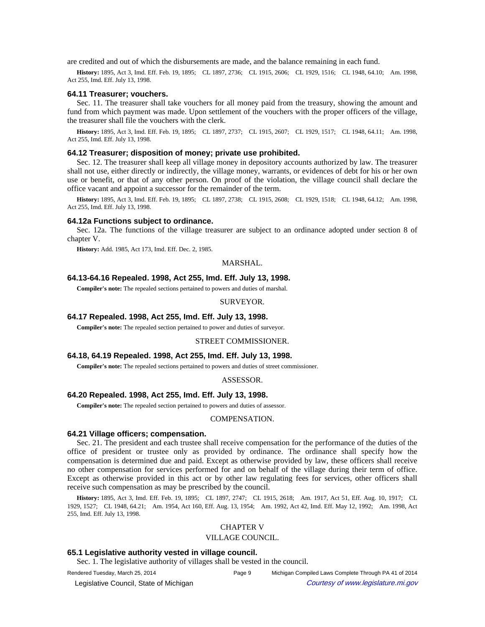are credited and out of which the disbursements are made, and the balance remaining in each fund.

History: 1895, Act 3, Imd. Eff. Feb. 19, 1895;—CL 1897, 2736;—CL 1915, 2606;—CL 1929, 1516;—CL 1948, 64.10;—Am. 1998, Act 255, Imd. Eff. July 13, 1998.

#### **64.11 Treasurer; vouchers.**

Sec. 11. The treasurer shall take vouchers for all money paid from the treasury, showing the amount and fund from which payment was made. Upon settlement of the vouchers with the proper officers of the village, the treasurer shall file the vouchers with the clerk.

History: 1895, Act 3, Imd. Eff. Feb. 19, 1895;-CL 1897, 2737;-CL 1915, 2607;-CL 1929, 1517;-CL 1948, 64.11;-Am. 1998, Act 255, Imd. Eff. July 13, 1998.

#### **64.12 Treasurer; disposition of money; private use prohibited.**

Sec. 12. The treasurer shall keep all village money in depository accounts authorized by law. The treasurer shall not use, either directly or indirectly, the village money, warrants, or evidences of debt for his or her own use or benefit, or that of any other person. On proof of the violation, the village council shall declare the office vacant and appoint a successor for the remainder of the term.

History: 1895, Act 3, Imd. Eff. Feb. 19, 1895;-CL 1897, 2738;-CL 1915, 2608;-CL 1929, 1518;-CL 1948, 64.12;-Am. 1998, Act 255, Imd. Eff. July 13, 1998.

#### **64.12a Functions subject to ordinance.**

Sec. 12a. The functions of the village treasurer are subject to an ordinance adopted under section 8 of chapter V.

**History:** Add. 1985, Act 173, Imd. Eff. Dec. 2, 1985.

### MARSHAL.

# **64.13-64.16 Repealed. 1998, Act 255, Imd. Eff. July 13, 1998.**

**Compiler's note:** The repealed sections pertained to powers and duties of marshal.

### SURVEYOR.

#### **64.17 Repealed. 1998, Act 255, Imd. Eff. July 13, 1998.**

**Compiler's note:** The repealed section pertained to power and duties of surveyor.

#### STREET COMMISSIONER.

### **64.18, 64.19 Repealed. 1998, Act 255, Imd. Eff. July 13, 1998.**

**Compiler's note:** The repealed sections pertained to powers and duties of street commissioner.

#### ASSESSOR.

#### **64.20 Repealed. 1998, Act 255, Imd. Eff. July 13, 1998.**

**Compiler's note:** The repealed section pertained to powers and duties of assessor.

#### COMPENSATION.

# **64.21 Village officers; compensation.**

Sec. 21. The president and each trustee shall receive compensation for the performance of the duties of the office of president or trustee only as provided by ordinance. The ordinance shall specify how the compensation is determined due and paid. Except as otherwise provided by law, these officers shall receive no other compensation for services performed for and on behalf of the village during their term of office. Except as otherwise provided in this act or by other law regulating fees for services, other officers shall receive such compensation as may be prescribed by the council.

History: 1895, Act 3, Imd. Eff. Feb. 19, 1895;-CL 1897, 2747;-CL 1915, 2618;--Am. 1917, Act 51, Eff. Aug. 10, 1917;-CL 1929, 1527; CL 1948, 64.21; Am. 1954, Act 160, Eff. Aug. 13, 1954; Am. 1992, Act 42, Imd. Eff. May 12, 1992; Am. 1998, Act 255, Imd. Eff. July 13, 1998.

# CHAPTER V

### VILLAGE COUNCIL.

# **65.1 Legislative authority vested in village council.**

Sec. 1. The legislative authority of villages shall be vested in the council.

Rendered Tuesday, March 25, 2014 Page 9 Michigan Compiled Laws Complete Through PA 41 of 2014 © Legislative Council, State of Michigan Council Courtesy of www.legislature.mi.gov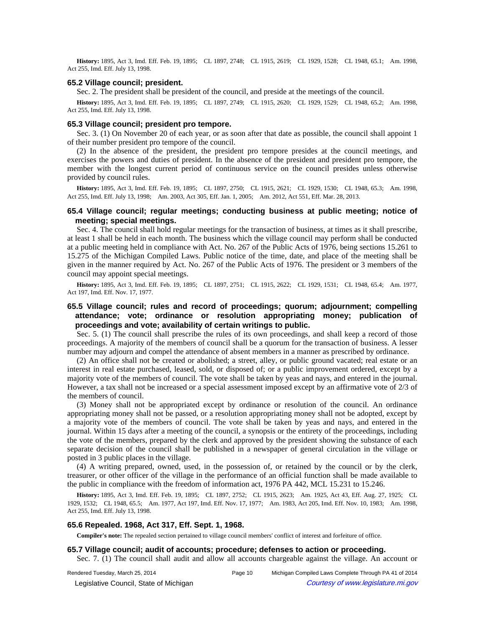History: 1895, Act 3, Imd. Eff. Feb. 19, 1895; CL 1897, 2748; CL 1915, 2619; CL 1929, 1528; CL 1948, 65.1; Am. 1998, Act 255, Imd. Eff. July 13, 1998.

#### **65.2 Village council; president.**

Sec. 2. The president shall be president of the council, and preside at the meetings of the council.

History: 1895, Act 3, Imd. Eff. Feb. 19, 1895;-CL 1897, 2749;-CL 1915, 2620;-CL 1929, 1529;-CL 1948, 65.2;-Am. 1998, Act 255, Imd. Eff. July 13, 1998.

#### **65.3 Village council; president pro tempore.**

Sec. 3. (1) On November 20 of each year, or as soon after that date as possible, the council shall appoint 1 of their number president pro tempore of the council.

(2) In the absence of the president, the president pro tempore presides at the council meetings, and exercises the powers and duties of president. In the absence of the president and president pro tempore, the member with the longest current period of continuous service on the council presides unless otherwise provided by council rules.

History: 1895, Act 3, Imd. Eff. Feb. 19, 1895;-CL 1897, 2750;-CL 1915, 2621;-CL 1929, 1530;-CL 1948, 65.3;-Am. 1998, Act 255, Imd. Eff. July 13, 1998;-Am. 2003, Act 305, Eff. Jan. 1, 2005;-Am. 2012, Act 551, Eff. Mar. 28, 2013.

# **65.4 Village council; regular meetings; conducting business at public meeting; notice of meeting; special meetings.**

Sec. 4. The council shall hold regular meetings for the transaction of business, at times as it shall prescribe, at least 1 shall be held in each month. The business which the village council may perform shall be conducted at a public meeting held in compliance with Act. No. 267 of the Public Acts of 1976, being sections 15.261 to 15.275 of the Michigan Compiled Laws. Public notice of the time, date, and place of the meeting shall be given in the manner required by Act. No. 267 of the Public Acts of 1976. The president or 3 members of the council may appoint special meetings.

History: 1895, Act 3, Imd. Eff. Feb. 19, 1895;-CL 1897, 2751;-CL 1915, 2622;-CL 1929, 1531;-CL 1948, 65.4;-Am. 1977, Act 197, Imd. Eff. Nov. 17, 1977.

# **65.5 Village council; rules and record of proceedings; quorum; adjournment; compelling attendance; vote; ordinance or resolution appropriating money; publication of proceedings and vote; availability of certain writings to public.**

Sec. 5. (1) The council shall prescribe the rules of its own proceedings, and shall keep a record of those proceedings. A majority of the members of council shall be a quorum for the transaction of business. A lesser number may adjourn and compel the attendance of absent members in a manner as prescribed by ordinance.

(2) An office shall not be created or abolished; a street, alley, or public ground vacated; real estate or an interest in real estate purchased, leased, sold, or disposed of; or a public improvement ordered, except by a majority vote of the members of council. The vote shall be taken by yeas and nays, and entered in the journal. However, a tax shall not be increased or a special assessment imposed except by an affirmative vote of 2/3 of the members of council.

(3) Money shall not be appropriated except by ordinance or resolution of the council. An ordinance appropriating money shall not be passed, or a resolution appropriating money shall not be adopted, except by a majority vote of the members of council. The vote shall be taken by yeas and nays, and entered in the journal. Within 15 days after a meeting of the council, a synopsis or the entirety of the proceedings, including the vote of the members, prepared by the clerk and approved by the president showing the substance of each separate decision of the council shall be published in a newspaper of general circulation in the village or posted in 3 public places in the village.

(4) A writing prepared, owned, used, in the possession of, or retained by the council or by the clerk, treasurer, or other officer of the village in the performance of an official function shall be made available to the public in compliance with the freedom of information act, 1976 PA 442, MCL 15.231 to 15.246.

History: 1895, Act 3, Imd. Eff. Feb. 19, 1895;-CL 1897, 2752;-CL 1915, 2623;-Am. 1925, Act 43, Eff. Aug. 27, 1925;-CL 1929, 1532; CL 1948, 65.5; Am. 1977, Act 197, Imd. Eff. Nov. 17, 1977; Am. 1983, Act 205, Imd. Eff. Nov. 10, 1983; Am. 1998, Act 255, Imd. Eff. July 13, 1998.

# **65.6 Repealed. 1968, Act 317, Eff. Sept. 1, 1968.**

**Compiler's note:** The repealed section pertained to village council members' conflict of interest and forfeiture of office.

#### **65.7 Village council; audit of accounts; procedure; defenses to action or proceeding.**

Sec. 7. (1) The council shall audit and allow all accounts chargeable against the village. An account or

Rendered Tuesday, March 25, 2014 Page 10 Michigan Compiled Laws Complete Through PA 41 of 2014

© Legislative Council, State of Michigan Council Courtesy of www.legislature.mi.gov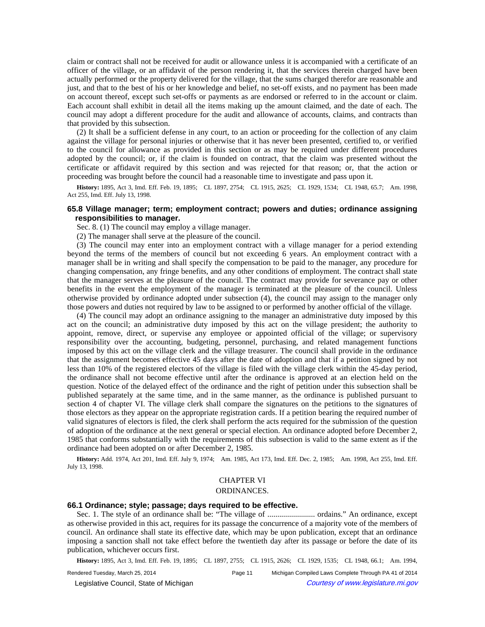claim or contract shall not be received for audit or allowance unless it is accompanied with a certificate of an officer of the village, or an affidavit of the person rendering it, that the services therein charged have been actually performed or the property delivered for the village, that the sums charged therefor are reasonable and just, and that to the best of his or her knowledge and belief, no set-off exists, and no payment has been made on account thereof, except such set-offs or payments as are endorsed or referred to in the account or claim. Each account shall exhibit in detail all the items making up the amount claimed, and the date of each. The council may adopt a different procedure for the audit and allowance of accounts, claims, and contracts than that provided by this subsection.

(2) It shall be a sufficient defense in any court, to an action or proceeding for the collection of any claim against the village for personal injuries or otherwise that it has never been presented, certified to, or verified to the council for allowance as provided in this section or as may be required under different procedures adopted by the council; or, if the claim is founded on contract, that the claim was presented without the certificate or affidavit required by this section and was rejected for that reason; or, that the action or proceeding was brought before the council had a reasonable time to investigate and pass upon it.

History: 1895, Act 3, Imd. Eff. Feb. 19, 1895;-CL 1897, 2754;-CL 1915, 2625;-CL 1929, 1534;-CL 1948, 65.7;-Am. 1998, Act 255, Imd. Eff. July 13, 1998.

# **65.8 Village manager; term; employment contract; powers and duties; ordinance assigning responsibilities to manager.**

Sec. 8. (1) The council may employ a village manager.

(2) The manager shall serve at the pleasure of the council.

(3) The council may enter into an employment contract with a village manager for a period extending beyond the terms of the members of council but not exceeding 6 years. An employment contract with a manager shall be in writing and shall specify the compensation to be paid to the manager, any procedure for changing compensation, any fringe benefits, and any other conditions of employment. The contract shall state that the manager serves at the pleasure of the council. The contract may provide for severance pay or other benefits in the event the employment of the manager is terminated at the pleasure of the council. Unless otherwise provided by ordinance adopted under subsection (4), the council may assign to the manager only those powers and duties not required by law to be assigned to or performed by another official of the village.

(4) The council may adopt an ordinance assigning to the manager an administrative duty imposed by this act on the council; an administrative duty imposed by this act on the village president; the authority to appoint, remove, direct, or supervise any employee or appointed official of the village; or supervisory responsibility over the accounting, budgeting, personnel, purchasing, and related management functions imposed by this act on the village clerk and the village treasurer. The council shall provide in the ordinance that the assignment becomes effective 45 days after the date of adoption and that if a petition signed by not less than 10% of the registered electors of the village is filed with the village clerk within the 45-day period, the ordinance shall not become effective until after the ordinance is approved at an election held on the question. Notice of the delayed effect of the ordinance and the right of petition under this subsection shall be published separately at the same time, and in the same manner, as the ordinance is published pursuant to section 4 of chapter VI. The village clerk shall compare the signatures on the petitions to the signatures of those electors as they appear on the appropriate registration cards. If a petition bearing the required number of valid signatures of electors is filed, the clerk shall perform the acts required for the submission of the question of adoption of the ordinance at the next general or special election. An ordinance adopted before December 2, 1985 that conforms substantially with the requirements of this subsection is valid to the same extent as if the ordinance had been adopted on or after December 2, 1985.

History: Add. 1974, Act 201, Imd. Eff. July 9, 1974;—Am. 1985, Act 173, Imd. Eff. Dec. 2, 1985;—Am. 1998, Act 255, Imd. Eff. July 13, 1998.

# CHAPTER VI

#### ORDINANCES.

### **66.1 Ordinance; style; passage; days required to be effective.**

Sec. 1. The style of an ordinance shall be: "The village of ........................ ordains." An ordinance, except as otherwise provided in this act, requires for its passage the concurrence of a majority vote of the members of council. An ordinance shall state its effective date, which may be upon publication, except that an ordinance imposing a sanction shall not take effect before the twentieth day after its passage or before the date of its publication, whichever occurs first.

History: 1895, Act 3, Imd. Eff. Feb. 19, 1895;-CL 1897, 2755;-CL 1915, 2626;-CL 1929, 1535;-CL 1948, 66.1;-Am. 1994,

Rendered Tuesday, March 25, 2014 Page 11 Michigan Compiled Laws Complete Through PA 41 of 2014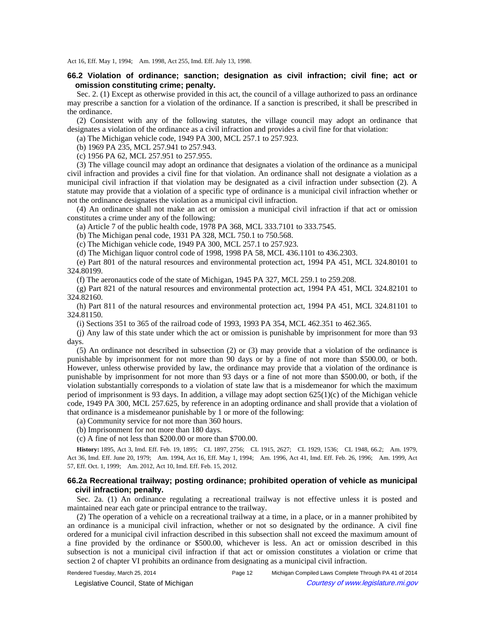Act 16, Eff. May 1, 1994;-- Am. 1998, Act 255, Imd. Eff. July 13, 1998.

# **66.2 Violation of ordinance; sanction; designation as civil infraction; civil fine; act or omission constituting crime; penalty.**

Sec. 2. (1) Except as otherwise provided in this act, the council of a village authorized to pass an ordinance may prescribe a sanction for a violation of the ordinance. If a sanction is prescribed, it shall be prescribed in the ordinance.

(2) Consistent with any of the following statutes, the village council may adopt an ordinance that designates a violation of the ordinance as a civil infraction and provides a civil fine for that violation:

(a) The Michigan vehicle code, 1949 PA 300, MCL 257.1 to 257.923.

(b) 1969 PA 235, MCL 257.941 to 257.943.

(c) 1956 PA 62, MCL 257.951 to 257.955.

(3) The village council may adopt an ordinance that designates a violation of the ordinance as a municipal civil infraction and provides a civil fine for that violation. An ordinance shall not designate a violation as a municipal civil infraction if that violation may be designated as a civil infraction under subsection (2). A statute may provide that a violation of a specific type of ordinance is a municipal civil infraction whether or not the ordinance designates the violation as a municipal civil infraction.

(4) An ordinance shall not make an act or omission a municipal civil infraction if that act or omission constitutes a crime under any of the following:

(a) Article 7 of the public health code, 1978 PA 368, MCL 333.7101 to 333.7545.

(b) The Michigan penal code, 1931 PA 328, MCL 750.1 to 750.568.

(c) The Michigan vehicle code, 1949 PA 300, MCL 257.1 to 257.923.

(d) The Michigan liquor control code of 1998, 1998 PA 58, MCL 436.1101 to 436.2303.

(e) Part 801 of the natural resources and environmental protection act, 1994 PA 451, MCL 324.80101 to 324.80199.

(f) The aeronautics code of the state of Michigan, 1945 PA 327, MCL 259.1 to 259.208.

(g) Part 821 of the natural resources and environmental protection act, 1994 PA 451, MCL 324.82101 to 324.82160.

(h) Part 811 of the natural resources and environmental protection act, 1994 PA 451, MCL 324.81101 to 324.81150.

(i) Sections 351 to 365 of the railroad code of 1993, 1993 PA 354, MCL 462.351 to 462.365.

(j) Any law of this state under which the act or omission is punishable by imprisonment for more than 93 days.

(5) An ordinance not described in subsection (2) or (3) may provide that a violation of the ordinance is punishable by imprisonment for not more than 90 days or by a fine of not more than \$500.00, or both. However, unless otherwise provided by law, the ordinance may provide that a violation of the ordinance is punishable by imprisonment for not more than 93 days or a fine of not more than \$500.00, or both, if the violation substantially corresponds to a violation of state law that is a misdemeanor for which the maximum period of imprisonment is 93 days. In addition, a village may adopt section 625(1)(c) of the Michigan vehicle code, 1949 PA 300, MCL 257.625, by reference in an adopting ordinance and shall provide that a violation of that ordinance is a misdemeanor punishable by 1 or more of the following:

(a) Community service for not more than 360 hours.

(b) Imprisonment for not more than 180 days.

(c) A fine of not less than \$200.00 or more than \$700.00.

History: 1895, Act 3, Imd. Eff. Feb. 19, 1895;-CL 1897, 2756;-CL 1915, 2627;-CL 1929, 1536;-CL 1948, 66.2;-Am. 1979, Act 36, Imd. Eff. June 20, 1979;—Am. 1994, Act 16, Eff. May 1, 1994;—Am. 1996, Act 41, Imd. Eff. Feb. 26, 1996;—Am. 1999, Act 57, Eff. Oct. 1, 1999; Am. 2012, Act 10, Imd. Eff. Feb. 15, 2012.

# **66.2a Recreational trailway; posting ordinance; prohibited operation of vehicle as municipal civil infraction; penalty.**

Sec. 2a. (1) An ordinance regulating a recreational trailway is not effective unless it is posted and maintained near each gate or principal entrance to the trailway.

(2) The operation of a vehicle on a recreational trailway at a time, in a place, or in a manner prohibited by an ordinance is a municipal civil infraction, whether or not so designated by the ordinance. A civil fine ordered for a municipal civil infraction described in this subsection shall not exceed the maximum amount of a fine provided by the ordinance or \$500.00, whichever is less. An act or omission described in this subsection is not a municipal civil infraction if that act or omission constitutes a violation or crime that section 2 of chapter VI prohibits an ordinance from designating as a municipal civil infraction.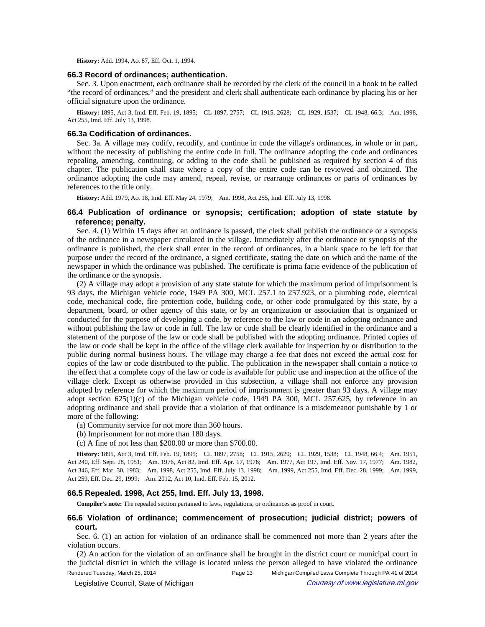**History:** Add. 1994, Act 87, Eff. Oct. 1, 1994.

#### **66.3 Record of ordinances; authentication.**

Sec. 3. Upon enactment, each ordinance shall be recorded by the clerk of the council in a book to be called "the record of ordinances," and the president and clerk shall authenticate each ordinance by placing his or her official signature upon the ordinance.

History: 1895, Act 3, Imd. Eff. Feb. 19, 1895;-CL 1897, 2757;-CL 1915, 2628;-CL 1929, 1537;-CL 1948, 66.3;-Am. 1998, Act 255, Imd. Eff. July 13, 1998.

#### **66.3a Codification of ordinances.**

Sec. 3a. A village may codify, recodify, and continue in code the village's ordinances, in whole or in part, without the necessity of publishing the entire code in full. The ordinance adopting the code and ordinances repealing, amending, continuing, or adding to the code shall be published as required by section 4 of this chapter. The publication shall state where a copy of the entire code can be reviewed and obtained. The ordinance adopting the code may amend, repeal, revise, or rearrange ordinances or parts of ordinances by references to the title only.

History: Add. 1979, Act 18, Imd. Eff. May 24, 1979;-- Am. 1998, Act 255, Imd. Eff. July 13, 1998.

# **66.4 Publication of ordinance or synopsis; certification; adoption of state statute by reference; penalty.**

Sec. 4. (1) Within 15 days after an ordinance is passed, the clerk shall publish the ordinance or a synopsis of the ordinance in a newspaper circulated in the village. Immediately after the ordinance or synopsis of the ordinance is published, the clerk shall enter in the record of ordinances, in a blank space to be left for that purpose under the record of the ordinance, a signed certificate, stating the date on which and the name of the newspaper in which the ordinance was published. The certificate is prima facie evidence of the publication of the ordinance or the synopsis.

(2) A village may adopt a provision of any state statute for which the maximum period of imprisonment is 93 days, the Michigan vehicle code, 1949 PA 300, MCL 257.1 to 257.923, or a plumbing code, electrical code, mechanical code, fire protection code, building code, or other code promulgated by this state, by a department, board, or other agency of this state, or by an organization or association that is organized or conducted for the purpose of developing a code, by reference to the law or code in an adopting ordinance and without publishing the law or code in full. The law or code shall be clearly identified in the ordinance and a statement of the purpose of the law or code shall be published with the adopting ordinance. Printed copies of the law or code shall be kept in the office of the village clerk available for inspection by or distribution to the public during normal business hours. The village may charge a fee that does not exceed the actual cost for copies of the law or code distributed to the public. The publication in the newspaper shall contain a notice to the effect that a complete copy of the law or code is available for public use and inspection at the office of the village clerk. Except as otherwise provided in this subsection, a village shall not enforce any provision adopted by reference for which the maximum period of imprisonment is greater than 93 days. A village may adopt section  $625(1)(c)$  of the Michigan vehicle code, 1949 PA 300, MCL 257.625, by reference in an adopting ordinance and shall provide that a violation of that ordinance is a misdemeanor punishable by 1 or more of the following:

- (a) Community service for not more than 360 hours.
- (b) Imprisonment for not more than 180 days.
- (c) A fine of not less than \$200.00 or more than \$700.00.

History: 1895, Act 3, Imd. Eff. Feb. 19, 1895;-CL 1897, 2758;-CL 1915, 2629;-CL 1929, 1538;-CL 1948, 66.4;-Am. 1951, Act 240, Eff. Sept. 28, 1951;-Am. 1976, Act 82, Imd. Eff. Apr. 17, 1976;-Am. 1977, Act 197, Imd. Eff. Nov. 17, 1977;-Am. 1982, Act 346, Eff. Mar. 30, 1983;-Am. 1998, Act 255, Imd. Eff. July 13, 1998;-Am. 1999, Act 255, Imd. Eff. Dec. 28, 1999;-Am. 1999, Act 259, Eff. Dec. 29, 1999;-- Am. 2012, Act 10, Imd. Eff. Feb. 15, 2012.

### **66.5 Repealed. 1998, Act 255, Imd. Eff. July 13, 1998.**

**Compiler's note:** The repealed section pertained to laws, regulations, or ordinances as proof in court.

# **66.6 Violation of ordinance; commencement of prosecution; judicial district; powers of court.**

Sec. 6. (1) an action for violation of an ordinance shall be commenced not more than 2 years after the violation occurs.

(2) An action for the violation of an ordinance shall be brought in the district court or municipal court in the judicial district in which the village is located unless the person alleged to have violated the ordinance Rendered Tuesday, March 25, 2014 Page 13 Michigan Compiled Laws Complete Through PA 41 of 2014

© Legislative Council, State of Michigan Council Courtesy of www.legislature.mi.gov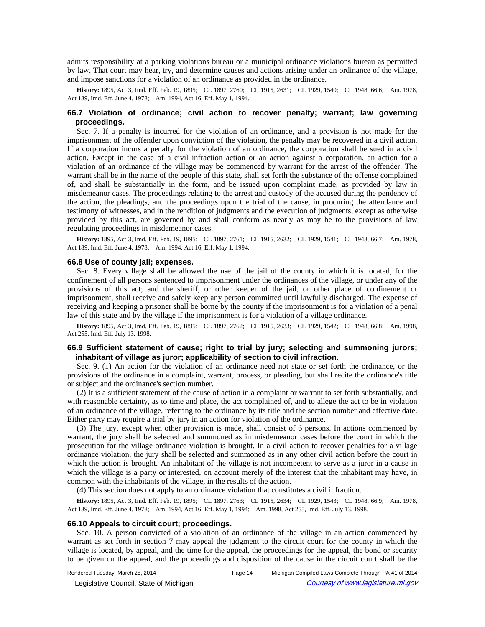admits responsibility at a parking violations bureau or a municipal ordinance violations bureau as permitted by law. That court may hear, try, and determine causes and actions arising under an ordinance of the village, and impose sanctions for a violation of an ordinance as provided in the ordinance.

History: 1895, Act 3, Imd. Eff. Feb. 19, 1895;-CL 1897, 2760;-CL 1915, 2631;-CL 1929, 1540;-CL 1948, 66.6;-Am. 1978, Act 189, Imd. Eff. June 4, 1978;—Am. 1994, Act 16, Eff. May 1, 1994.

# **66.7 Violation of ordinance; civil action to recover penalty; warrant; law governing proceedings.**

Sec. 7. If a penalty is incurred for the violation of an ordinance, and a provision is not made for the imprisonment of the offender upon conviction of the violation, the penalty may be recovered in a civil action. If a corporation incurs a penalty for the violation of an ordinance, the corporation shall be sued in a civil action. Except in the case of a civil infraction action or an action against a corporation, an action for a violation of an ordinance of the village may be commenced by warrant for the arrest of the offender. The warrant shall be in the name of the people of this state, shall set forth the substance of the offense complained of, and shall be substantially in the form, and be issued upon complaint made, as provided by law in misdemeanor cases. The proceedings relating to the arrest and custody of the accused during the pendency of the action, the pleadings, and the proceedings upon the trial of the cause, in procuring the attendance and testimony of witnesses, and in the rendition of judgments and the execution of judgments, except as otherwise provided by this act, are governed by and shall conform as nearly as may be to the provisions of law regulating proceedings in misdemeanor cases.

History: 1895, Act 3, Imd. Eff. Feb. 19, 1895; CL 1897, 2761; CL 1915, 2632; CL 1929, 1541; CL 1948, 66.7; Am. 1978, Act 189, Imd. Eff. June 4, 1978;--- Am. 1994, Act 16, Eff. May 1, 1994.

#### **66.8 Use of county jail; expenses.**

Sec. 8. Every village shall be allowed the use of the jail of the county in which it is located, for the confinement of all persons sentenced to imprisonment under the ordinances of the village, or under any of the provisions of this act; and the sheriff, or other keeper of the jail, or other place of confinement or imprisonment, shall receive and safely keep any person committed until lawfully discharged. The expense of receiving and keeping a prisoner shall be borne by the county if the imprisonment is for a violation of a penal law of this state and by the village if the imprisonment is for a violation of a village ordinance.

History: 1895, Act 3, Imd. Eff. Feb. 19, 1895;-CL 1897, 2762;-CL 1915, 2633;-CL 1929, 1542;-CL 1948, 66.8;-Am. 1998, Act 255, Imd. Eff. July 13, 1998.

# **66.9 Sufficient statement of cause; right to trial by jury; selecting and summoning jurors; inhabitant of village as juror; applicability of section to civil infraction.**

Sec. 9. (1) An action for the violation of an ordinance need not state or set forth the ordinance, or the provisions of the ordinance in a complaint, warrant, process, or pleading, but shall recite the ordinance's title or subject and the ordinance's section number.

(2) It is a sufficient statement of the cause of action in a complaint or warrant to set forth substantially, and with reasonable certainty, as to time and place, the act complained of, and to allege the act to be in violation of an ordinance of the village, referring to the ordinance by its title and the section number and effective date. Either party may require a trial by jury in an action for violation of the ordinance.

(3) The jury, except when other provision is made, shall consist of 6 persons. In actions commenced by warrant, the jury shall be selected and summoned as in misdemeanor cases before the court in which the prosecution for the village ordinance violation is brought. In a civil action to recover penalties for a village ordinance violation, the jury shall be selected and summoned as in any other civil action before the court in which the action is brought. An inhabitant of the village is not incompetent to serve as a juror in a cause in which the village is a party or interested, on account merely of the interest that the inhabitant may have, in common with the inhabitants of the village, in the results of the action.

(4) This section does not apply to an ordinance violation that constitutes a civil infraction.

History: 1895, Act 3, Imd. Eff. Feb. 19, 1895;-CL 1897, 2763;-CL 1915, 2634;-CL 1929, 1543;-CL 1948, 66.9;-Am. 1978, Act 189, Imd. Eff. June 4, 1978;--Am. 1994, Act 16, Eff. May 1, 1994;--Am. 1998, Act 255, Imd. Eff. July 13, 1998.

### **66.10 Appeals to circuit court; proceedings.**

Sec. 10. A person convicted of a violation of an ordinance of the village in an action commenced by warrant as set forth in section 7 may appeal the judgment to the circuit court for the county in which the village is located, by appeal, and the time for the appeal, the proceedings for the appeal, the bond or security to be given on the appeal, and the proceedings and disposition of the cause in the circuit court shall be the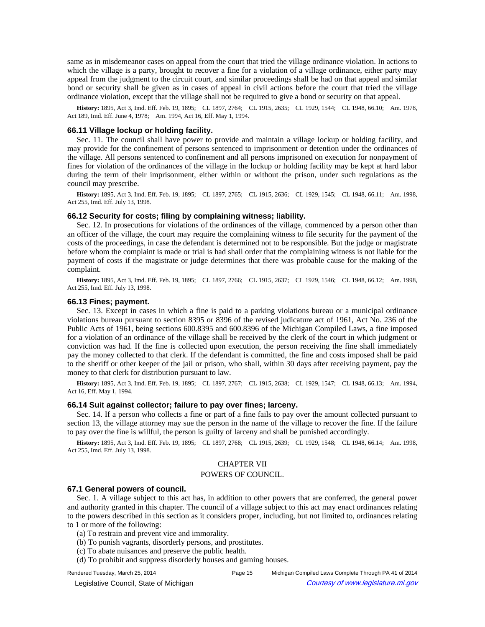same as in misdemeanor cases on appeal from the court that tried the village ordinance violation. In actions to which the village is a party, brought to recover a fine for a violation of a village ordinance, either party may appeal from the judgment to the circuit court, and similar proceedings shall be had on that appeal and similar bond or security shall be given as in cases of appeal in civil actions before the court that tried the village ordinance violation, except that the village shall not be required to give a bond or security on that appeal.

History: 1895, Act 3, Imd. Eff. Feb. 19, 1895;-CL 1897, 2764;-CL 1915, 2635;-CL 1929, 1544;-CL 1948, 66.10;-Am. 1978, Act 189, Imd. Eff. June 4, 1978;--- Am. 1994, Act 16, Eff. May 1, 1994.

# **66.11 Village lockup or holding facility.**

Sec. 11. The council shall have power to provide and maintain a village lockup or holding facility, and may provide for the confinement of persons sentenced to imprisonment or detention under the ordinances of the village. All persons sentenced to confinement and all persons imprisoned on execution for nonpayment of fines for violation of the ordinances of the village in the lockup or holding facility may be kept at hard labor during the term of their imprisonment, either within or without the prison, under such regulations as the council may prescribe.

**History:** 1895, Act 3, Imd. Eff. Feb. 19, 1895;—CL 1897, 2765;—CL 1915, 2636;—CL 1929, 1545;—CL 1948, 66.11;—Am. 1998, Act 255, Imd. Eff. July 13, 1998.

#### **66.12 Security for costs; filing by complaining witness; liability.**

Sec. 12. In prosecutions for violations of the ordinances of the village, commenced by a person other than an officer of the village, the court may require the complaining witness to file security for the payment of the costs of the proceedings, in case the defendant is determined not to be responsible. But the judge or magistrate before whom the complaint is made or trial is had shall order that the complaining witness is not liable for the payment of costs if the magistrate or judge determines that there was probable cause for the making of the complaint.

**History:** 1895, Act 3, Imd. Eff. Feb. 19, 1895;-CL 1897, 2766;-CL 1915, 2637;-CL 1929, 1546;-CL 1948, 66.12;-Am. 1998, Act 255, Imd. Eff. July 13, 1998.

### **66.13 Fines; payment.**

Sec. 13. Except in cases in which a fine is paid to a parking violations bureau or a municipal ordinance violations bureau pursuant to section 8395 or 8396 of the revised judicature act of 1961, Act No. 236 of the Public Acts of 1961, being sections 600.8395 and 600.8396 of the Michigan Compiled Laws, a fine imposed for a violation of an ordinance of the village shall be received by the clerk of the court in which judgment or conviction was had. If the fine is collected upon execution, the person receiving the fine shall immediately pay the money collected to that clerk. If the defendant is committed, the fine and costs imposed shall be paid to the sheriff or other keeper of the jail or prison, who shall, within 30 days after receiving payment, pay the money to that clerk for distribution pursuant to law.

History: 1895, Act 3, Imd. Eff. Feb. 19, 1895;-CL 1897, 2767;-CL 1915, 2638;-CL 1929, 1547;-CL 1948, 66.13;-Am. 1994, Act 16, Eff. May 1, 1994.

### **66.14 Suit against collector; failure to pay over fines; larceny.**

Sec. 14. If a person who collects a fine or part of a fine fails to pay over the amount collected pursuant to section 13, the village attorney may sue the person in the name of the village to recover the fine. If the failure to pay over the fine is willful, the person is guilty of larceny and shall be punished accordingly.

History: 1895, Act 3, Imd. Eff. Feb. 19, 1895;-CL 1897, 2768;-CL 1915, 2639;-CL 1929, 1548;-CL 1948, 66.14;-Am. 1998, Act 255, Imd. Eff. July 13, 1998.

# CHAPTER VII

#### POWERS OF COUNCIL.

#### **67.1 General powers of council.**

Sec. 1. A village subject to this act has, in addition to other powers that are conferred, the general power and authority granted in this chapter. The council of a village subject to this act may enact ordinances relating to the powers described in this section as it considers proper, including, but not limited to, ordinances relating to 1 or more of the following:

- (a) To restrain and prevent vice and immorality.
- (b) To punish vagrants, disorderly persons, and prostitutes.
- (c) To abate nuisances and preserve the public health.
- (d) To prohibit and suppress disorderly houses and gaming houses.
- 

Rendered Tuesday, March 25, 2014 Page 15 Michigan Compiled Laws Complete Through PA 41 of 2014

© Legislative Council, State of Michigan Council Courtesy of www.legislature.mi.gov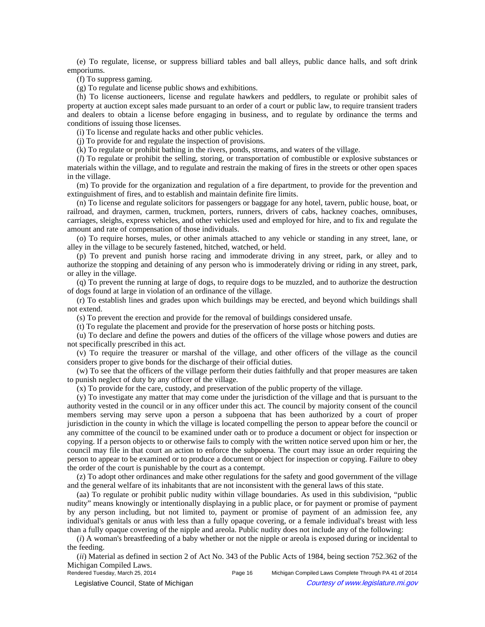(e) To regulate, license, or suppress billiard tables and ball alleys, public dance halls, and soft drink emporiums.

(f) To suppress gaming.

(g) To regulate and license public shows and exhibitions.

(h) To license auctioneers, license and regulate hawkers and peddlers, to regulate or prohibit sales of property at auction except sales made pursuant to an order of a court or public law, to require transient traders and dealers to obtain a license before engaging in business, and to regulate by ordinance the terms and conditions of issuing those licenses.

(i) To license and regulate hacks and other public vehicles.

(j) To provide for and regulate the inspection of provisions.

(k) To regulate or prohibit bathing in the rivers, ponds, streams, and waters of the village.

(*l*) To regulate or prohibit the selling, storing, or transportation of combustible or explosive substances or materials within the village, and to regulate and restrain the making of fires in the streets or other open spaces in the village.

(m) To provide for the organization and regulation of a fire department, to provide for the prevention and extinguishment of fires, and to establish and maintain definite fire limits.

(n) To license and regulate solicitors for passengers or baggage for any hotel, tavern, public house, boat, or railroad, and draymen, carmen, truckmen, porters, runners, drivers of cabs, hackney coaches, omnibuses, carriages, sleighs, express vehicles, and other vehicles used and employed for hire, and to fix and regulate the amount and rate of compensation of those individuals.

(o) To require horses, mules, or other animals attached to any vehicle or standing in any street, lane, or alley in the village to be securely fastened, hitched, watched, or held.

(p) To prevent and punish horse racing and immoderate driving in any street, park, or alley and to authorize the stopping and detaining of any person who is immoderately driving or riding in any street, park, or alley in the village.

(q) To prevent the running at large of dogs, to require dogs to be muzzled, and to authorize the destruction of dogs found at large in violation of an ordinance of the village.

(r) To establish lines and grades upon which buildings may be erected, and beyond which buildings shall not extend.

(s) To prevent the erection and provide for the removal of buildings considered unsafe.

(t) To regulate the placement and provide for the preservation of horse posts or hitching posts.

(u) To declare and define the powers and duties of the officers of the village whose powers and duties are not specifically prescribed in this act.

(v) To require the treasurer or marshal of the village, and other officers of the village as the council considers proper to give bonds for the discharge of their official duties.

(w) To see that the officers of the village perform their duties faithfully and that proper measures are taken to punish neglect of duty by any officer of the village.

(x) To provide for the care, custody, and preservation of the public property of the village.

(y) To investigate any matter that may come under the jurisdiction of the village and that is pursuant to the authority vested in the council or in any officer under this act. The council by majority consent of the council members serving may serve upon a person a subpoena that has been authorized by a court of proper jurisdiction in the county in which the village is located compelling the person to appear before the council or any committee of the council to be examined under oath or to produce a document or object for inspection or copying. If a person objects to or otherwise fails to comply with the written notice served upon him or her, the council may file in that court an action to enforce the subpoena. The court may issue an order requiring the person to appear to be examined or to produce a document or object for inspection or copying. Failure to obey the order of the court is punishable by the court as a contempt.

(z) To adopt other ordinances and make other regulations for the safety and good government of the village and the general welfare of its inhabitants that are not inconsistent with the general laws of this state.

(aa) To regulate or prohibit public nudity within village boundaries. As used in this subdivision, "public nudity" means knowingly or intentionally displaying in a public place, or for payment or promise of payment by any person including, but not limited to, payment or promise of payment of an admission fee, any individual's genitals or anus with less than a fully opaque covering, or a female individual's breast with less than a fully opaque covering of the nipple and areola. Public nudity does not include any of the following:

(*i*) A woman's breastfeeding of a baby whether or not the nipple or areola is exposed during or incidental to the feeding.

(*ii*) Material as defined in section 2 of Act No. 343 of the Public Acts of 1984, being section 752.362 of the Michigan Compiled Laws.<br>Rendered Tuesday, March 25, 2014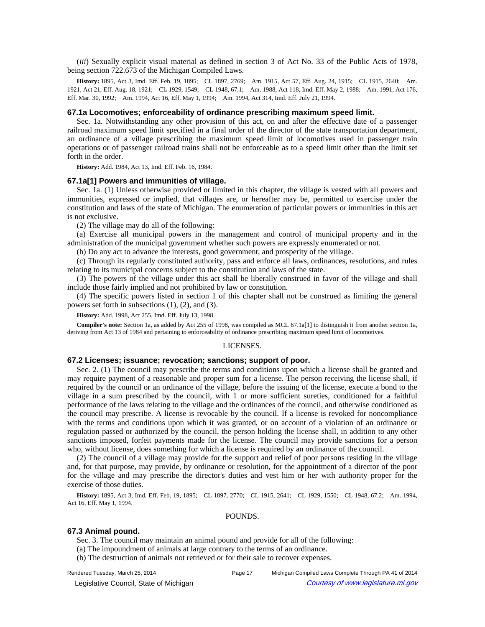(*iii*) Sexually explicit visual material as defined in section 3 of Act No. 33 of the Public Acts of 1978, being section 722.673 of the Michigan Compiled Laws.

History: 1895, Act 3, Imd. Eff. Feb. 19, 1895; CL 1897, 2769; Am. 1915, Act 57, Eff. Aug. 24, 1915; CL 1915, 2640; Am. 1921, Act 21, Eff. Aug. 18, 1921;-CL 1929, 1549;-CL 1948, 67.1;-Am. 1988, Act 118, Imd. Eff. May 2, 1988;-Am. 1991, Act 176, Eff. Mar. 30, 1992;—Am. 1994, Act 16, Eff. May 1, 1994;—Am. 1994, Act 314, Imd. Eff. July 21, 1994.

#### **67.1a Locomotives; enforceability of ordinance prescribing maximum speed limit.**

Sec. 1a. Notwithstanding any other provision of this act, on and after the effective date of a passenger railroad maximum speed limit specified in a final order of the director of the state transportation department, an ordinance of a village prescribing the maximum speed limit of locomotives used in passenger train operations or of passenger railroad trains shall not be enforceable as to a speed limit other than the limit set forth in the order.

**History:** Add. 1984, Act 13, Imd. Eff. Feb. 16, 1984.

#### **67.1a[1] Powers and immunities of village.**

Sec. 1a. (1) Unless otherwise provided or limited in this chapter, the village is vested with all powers and immunities, expressed or implied, that villages are, or hereafter may be, permitted to exercise under the constitution and laws of the state of Michigan. The enumeration of particular powers or immunities in this act is not exclusive.

(2) The village may do all of the following:

(a) Exercise all municipal powers in the management and control of municipal property and in the administration of the municipal government whether such powers are expressly enumerated or not.

(b) Do any act to advance the interests, good government, and prosperity of the village.

(c) Through its regularly constituted authority, pass and enforce all laws, ordinances, resolutions, and rules relating to its municipal concerns subject to the constitution and laws of the state.

(3) The powers of the village under this act shall be liberally construed in favor of the village and shall include those fairly implied and not prohibited by law or constitution.

(4) The specific powers listed in section 1 of this chapter shall not be construed as limiting the general powers set forth in subsections (1), (2), and (3).

**History:** Add. 1998, Act 255, Imd. Eff. July 13, 1998.

**Compiler's note:** Section 1a, as added by Act 255 of 1998, was compiled as MCL 67.1a[1] to distinguish it from another section 1a, deriving from Act 13 of 1984 and pertaining to enforceability of ordinance prescribing maximum speed limit of locomotives.

#### LICENSES.

# **67.2 Licenses; issuance; revocation; sanctions; support of poor.**

Sec. 2. (1) The council may prescribe the terms and conditions upon which a license shall be granted and may require payment of a reasonable and proper sum for a license. The person receiving the license shall, if required by the council or an ordinance of the village, before the issuing of the license, execute a bond to the village in a sum prescribed by the council, with 1 or more sufficient sureties, conditioned for a faithful performance of the laws relating to the village and the ordinances of the council, and otherwise conditioned as the council may prescribe. A license is revocable by the council. If a license is revoked for noncompliance with the terms and conditions upon which it was granted, or on account of a violation of an ordinance or regulation passed or authorized by the council, the person holding the license shall, in addition to any other sanctions imposed, forfeit payments made for the license. The council may provide sanctions for a person who, without license, does something for which a license is required by an ordinance of the council.

(2) The council of a village may provide for the support and relief of poor persons residing in the village and, for that purpose, may provide, by ordinance or resolution, for the appointment of a director of the poor for the village and may prescribe the director's duties and vest him or her with authority proper for the exercise of those duties.

History: 1895, Act 3, Imd. Eff. Feb. 19, 1895; CL 1897, 2770; CL 1915, 2641; CL 1929, 1550; CL 1948, 67.2; Am. 1994, Act 16, Eff. May 1, 1994.

#### POUNDS.

#### **67.3 Animal pound.**

Sec. 3. The council may maintain an animal pound and provide for all of the following:

- (a) The impoundment of animals at large contrary to the terms of an ordinance.
- (b) The destruction of animals not retrieved or for their sale to recover expenses.

Rendered Tuesday, March 25, 2014 Page 17 Michigan Compiled Laws Complete Through PA 41 of 2014 © Legislative Council, State of Michigan Council Council Council Council Council Council Council Council Council Council Council Council Council Council Council Council Council Council Council Council Council Council Counc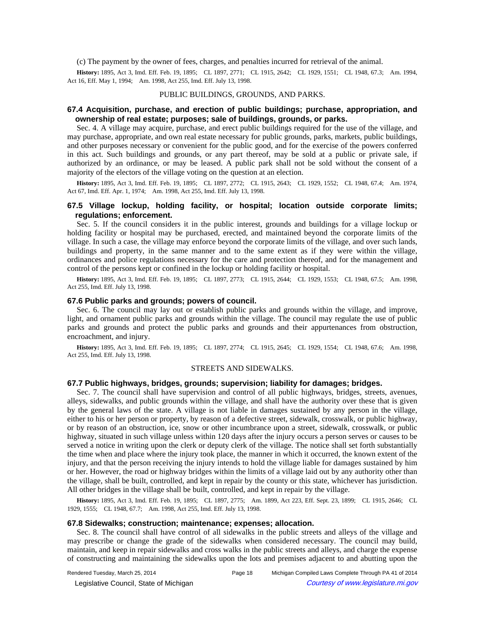(c) The payment by the owner of fees, charges, and penalties incurred for retrieval of the animal.

History: 1895, Act 3, Imd. Eff. Feb. 19, 1895; CL 1897, 2771; CL 1915, 2642; CL 1929, 1551; CL 1948, 67.3; Am. 1994, Act 16, Eff. May 1, 1994;-- Am. 1998, Act 255, Imd. Eff. July 13, 1998.

# PUBLIC BUILDINGS, GROUNDS, AND PARKS.

# **67.4 Acquisition, purchase, and erection of public buildings; purchase, appropriation, and ownership of real estate; purposes; sale of buildings, grounds, or parks.**

Sec. 4. A village may acquire, purchase, and erect public buildings required for the use of the village, and may purchase, appropriate, and own real estate necessary for public grounds, parks, markets, public buildings, and other purposes necessary or convenient for the public good, and for the exercise of the powers conferred in this act. Such buildings and grounds, or any part thereof, may be sold at a public or private sale, if authorized by an ordinance, or may be leased. A public park shall not be sold without the consent of a majority of the electors of the village voting on the question at an election.

History: 1895, Act 3, Imd. Eff. Feb. 19, 1895;-CL 1897, 2772;-CL 1915, 2643;-CL 1929, 1552;-CL 1948, 67.4;-Am. 1974, Act 67, Imd. Eff. Apr. 1, 1974;--- Am. 1998, Act 255, Imd. Eff. July 13, 1998.

# **67.5 Village lockup, holding facility, or hospital; location outside corporate limits; regulations; enforcement.**

Sec. 5. If the council considers it in the public interest, grounds and buildings for a village lockup or holding facility or hospital may be purchased, erected, and maintained beyond the corporate limits of the village. In such a case, the village may enforce beyond the corporate limits of the village, and over such lands, buildings and property, in the same manner and to the same extent as if they were within the village, ordinances and police regulations necessary for the care and protection thereof, and for the management and control of the persons kept or confined in the lockup or holding facility or hospital.

History: 1895, Act 3, Imd. Eff. Feb. 19, 1895;-CL 1897, 2773;-CL 1915, 2644;-CL 1929, 1553;-CL 1948, 67.5;-Am. 1998, Act 255, Imd. Eff. July 13, 1998.

### **67.6 Public parks and grounds; powers of council.**

Sec. 6. The council may lay out or establish public parks and grounds within the village, and improve, light, and ornament public parks and grounds within the village. The council may regulate the use of public parks and grounds and protect the public parks and grounds and their appurtenances from obstruction, encroachment, and injury.

History: 1895, Act 3, Imd. Eff. Feb. 19, 1895;-CL 1897, 2774;-CL 1915, 2645;-CL 1929, 1554;-CL 1948, 67.6;-Am. 1998, Act 255, Imd. Eff. July 13, 1998.

### STREETS AND SIDEWALKS.

# **67.7 Public highways, bridges, grounds; supervision; liability for damages; bridges.**

Sec. 7. The council shall have supervision and control of all public highways, bridges, streets, avenues, alleys, sidewalks, and public grounds within the village, and shall have the authority over these that is given by the general laws of the state. A village is not liable in damages sustained by any person in the village, either to his or her person or property, by reason of a defective street, sidewalk, crosswalk, or public highway, or by reason of an obstruction, ice, snow or other incumbrance upon a street, sidewalk, crosswalk, or public highway, situated in such village unless within 120 days after the injury occurs a person serves or causes to be served a notice in writing upon the clerk or deputy clerk of the village. The notice shall set forth substantially the time when and place where the injury took place, the manner in which it occurred, the known extent of the injury, and that the person receiving the injury intends to hold the village liable for damages sustained by him or her. However, the road or highway bridges within the limits of a village laid out by any authority other than the village, shall be built, controlled, and kept in repair by the county or this state, whichever has jurisdiction. All other bridges in the village shall be built, controlled, and kept in repair by the village.

History: 1895, Act 3, Imd. Eff. Feb. 19, 1895;-CL 1897, 2775;-Am. 1899, Act 223, Eff. Sept. 23, 1899;-CL 1915, 2646;-CL 1929, 1555;-CL 1948, 67.7;-Am. 1998, Act 255, Imd. Eff. July 13, 1998.

# **67.8 Sidewalks; construction; maintenance; expenses; allocation.**

Sec. 8. The council shall have control of all sidewalks in the public streets and alleys of the village and may prescribe or change the grade of the sidewalks when considered necessary. The council may build, maintain, and keep in repair sidewalks and cross walks in the public streets and alleys, and charge the expense of constructing and maintaining the sidewalks upon the lots and premises adjacent to and abutting upon the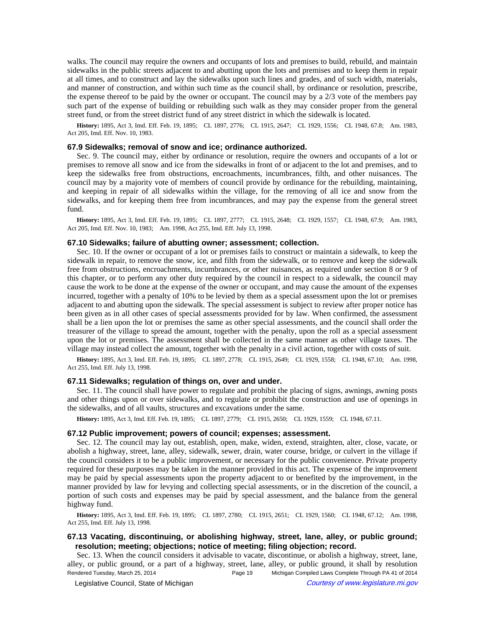walks. The council may require the owners and occupants of lots and premises to build, rebuild, and maintain sidewalks in the public streets adjacent to and abutting upon the lots and premises and to keep them in repair at all times, and to construct and lay the sidewalks upon such lines and grades, and of such width, materials, and manner of construction, and within such time as the council shall, by ordinance or resolution, prescribe, the expense thereof to be paid by the owner or occupant. The council may by a 2/3 vote of the members pay such part of the expense of building or rebuilding such walk as they may consider proper from the general street fund, or from the street district fund of any street district in which the sidewalk is located.

History: 1895, Act 3, Imd. Eff. Feb. 19, 1895;—CL 1897, 2776;—CL 1915, 2647;—CL 1929, 1556;—CL 1948, 67.8;—Am. 1983, Act 205, Imd. Eff. Nov. 10, 1983.

#### **67.9 Sidewalks; removal of snow and ice; ordinance authorized.**

Sec. 9. The council may, either by ordinance or resolution, require the owners and occupants of a lot or premises to remove all snow and ice from the sidewalks in front of or adjacent to the lot and premises, and to keep the sidewalks free from obstructions, encroachments, incumbrances, filth, and other nuisances. The council may by a majority vote of members of council provide by ordinance for the rebuilding, maintaining, and keeping in repair of all sidewalks within the village, for the removing of all ice and snow from the sidewalks, and for keeping them free from incumbrances, and may pay the expense from the general street fund.

History: 1895, Act 3, Imd. Eff. Feb. 19, 1895;-CL 1897, 2777;-CL 1915, 2648;-CL 1929, 1557;-CL 1948, 67.9;-Am. 1983, Act 205, Imd. Eff. Nov. 10, 1983;—Am. 1998, Act 255, Imd. Eff. July 13, 1998.

# **67.10 Sidewalks; failure of abutting owner; assessment; collection.**

Sec. 10. If the owner or occupant of a lot or premises fails to construct or maintain a sidewalk, to keep the sidewalk in repair, to remove the snow, ice, and filth from the sidewalk, or to remove and keep the sidewalk free from obstructions, encroachments, incumbrances, or other nuisances, as required under section 8 or 9 of this chapter, or to perform any other duty required by the council in respect to a sidewalk, the council may cause the work to be done at the expense of the owner or occupant, and may cause the amount of the expenses incurred, together with a penalty of 10% to be levied by them as a special assessment upon the lot or premises adjacent to and abutting upon the sidewalk. The special assessment is subject to review after proper notice has been given as in all other cases of special assessments provided for by law. When confirmed, the assessment shall be a lien upon the lot or premises the same as other special assessments, and the council shall order the treasurer of the village to spread the amount, together with the penalty, upon the roll as a special assessment upon the lot or premises. The assessment shall be collected in the same manner as other village taxes. The village may instead collect the amount, together with the penalty in a civil action, together with costs of suit.

History: 1895, Act 3, Imd. Eff. Feb. 19, 1895;—CL 1897, 2778;—CL 1915, 2649;—CL 1929, 1558;—CL 1948, 67.10;—Am. 1998, Act 255, Imd. Eff. July 13, 1998.

#### **67.11 Sidewalks; regulation of things on, over and under.**

Sec. 11. The council shall have power to regulate and prohibit the placing of signs, awnings, awning posts and other things upon or over sidewalks, and to regulate or prohibit the construction and use of openings in the sidewalks, and of all vaults, structures and excavations under the same.

History: 1895, Act 3, Imd. Eff. Feb. 19, 1895;-CL 1897, 2779;-CL 1915, 2650;-CL 1929, 1559;-CL 1948, 67.11.

### **67.12 Public improvement; powers of council; expenses; assessment.**

Sec. 12. The council may lay out, establish, open, make, widen, extend, straighten, alter, close, vacate, or abolish a highway, street, lane, alley, sidewalk, sewer, drain, water course, bridge, or culvert in the village if the council considers it to be a public improvement, or necessary for the public convenience. Private property required for these purposes may be taken in the manner provided in this act. The expense of the improvement may be paid by special assessments upon the property adjacent to or benefited by the improvement, in the manner provided by law for levying and collecting special assessments, or in the discretion of the council, a portion of such costs and expenses may be paid by special assessment, and the balance from the general highway fund.

History: 1895, Act 3, Imd. Eff. Feb. 19, 1895;-CL 1897, 2780;-CL 1915, 2651;-CL 1929, 1560;-CL 1948, 67.12;-Am. 1998, Act 255, Imd. Eff. July 13, 1998.

# **67.13 Vacating, discontinuing, or abolishing highway, street, lane, alley, or public ground; resolution; meeting; objections; notice of meeting; filing objection; record.**

Sec. 13. When the council considers it advisable to vacate, discontinue, or abolish a highway, street, lane, alley, or public ground, or a part of a highway, street, lane, alley, or public ground, it shall by resolution Rendered Tuesday, March 25, 2014 Page 19 Michigan Compiled Laws Complete Through PA 41 of 2014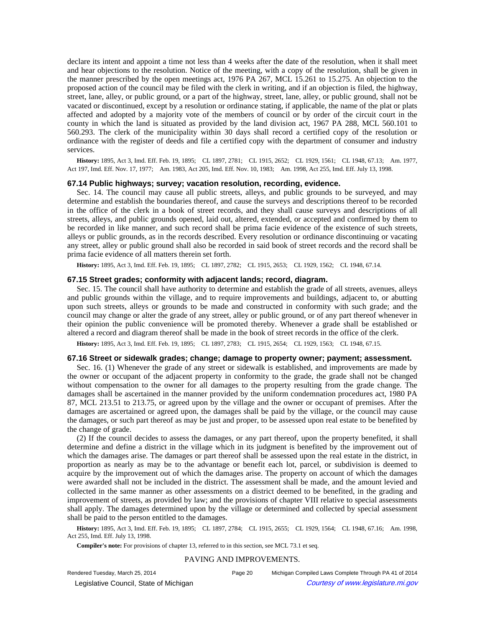declare its intent and appoint a time not less than 4 weeks after the date of the resolution, when it shall meet and hear objections to the resolution. Notice of the meeting, with a copy of the resolution, shall be given in the manner prescribed by the open meetings act, 1976 PA 267, MCL 15.261 to 15.275. An objection to the proposed action of the council may be filed with the clerk in writing, and if an objection is filed, the highway, street, lane, alley, or public ground, or a part of the highway, street, lane, alley, or public ground, shall not be vacated or discontinued, except by a resolution or ordinance stating, if applicable, the name of the plat or plats affected and adopted by a majority vote of the members of council or by order of the circuit court in the county in which the land is situated as provided by the land division act, 1967 PA 288, MCL 560.101 to 560.293. The clerk of the municipality within 30 days shall record a certified copy of the resolution or ordinance with the register of deeds and file a certified copy with the department of consumer and industry services.

History: 1895, Act 3, Imd. Eff. Feb. 19, 1895;-CL 1897, 2781;-CL 1915, 2652;-CL 1929, 1561;-CL 1948, 67.13;-Am. 1977, Act 197, Imd. Eff. Nov. 17, 1977;—Am. 1983, Act 205, Imd. Eff. Nov. 10, 1983;—Am. 1998, Act 255, Imd. Eff. July 13, 1998.

#### **67.14 Public highways; survey; vacation resolution, recording, evidence.**

Sec. 14. The council may cause all public streets, alleys, and public grounds to be surveyed, and may determine and establish the boundaries thereof, and cause the surveys and descriptions thereof to be recorded in the office of the clerk in a book of street records, and they shall cause surveys and descriptions of all streets, alleys, and public grounds opened, laid out, altered, extended, or accepted and confirmed by them to be recorded in like manner, and such record shall be prima facie evidence of the existence of such streets, alleys or public grounds, as in the records described. Every resolution or ordinance discontinuing or vacating any street, alley or public ground shall also be recorded in said book of street records and the record shall be prima facie evidence of all matters therein set forth.

History: 1895, Act 3, Imd. Eff. Feb. 19, 1895;-CL 1897, 2782;-CL 1915, 2653;-CL 1929, 1562;-CL 1948, 67.14.

#### **67.15 Street grades; conformity with adjacent lands; record, diagram.**

Sec. 15. The council shall have authority to determine and establish the grade of all streets, avenues, alleys and public grounds within the village, and to require improvements and buildings, adjacent to, or abutting upon such streets, alleys or grounds to be made and constructed in conformity with such grade; and the council may change or alter the grade of any street, alley or public ground, or of any part thereof whenever in their opinion the public convenience will be promoted thereby. Whenever a grade shall be established or altered a record and diagram thereof shall be made in the book of street records in the office of the clerk.

History: 1895, Act 3, Imd. Eff. Feb. 19, 1895;-CL 1897, 2783;-CL 1915, 2654;-CL 1929, 1563;-CL 1948, 67.15.

#### **67.16 Street or sidewalk grades; change; damage to property owner; payment; assessment.**

Sec. 16. (1) Whenever the grade of any street or sidewalk is established, and improvements are made by the owner or occupant of the adjacent property in conformity to the grade, the grade shall not be changed without compensation to the owner for all damages to the property resulting from the grade change. The damages shall be ascertained in the manner provided by the uniform condemnation procedures act, 1980 PA 87, MCL 213.51 to 213.75, or agreed upon by the village and the owner or occupant of premises. After the damages are ascertained or agreed upon, the damages shall be paid by the village, or the council may cause the damages, or such part thereof as may be just and proper, to be assessed upon real estate to be benefited by the change of grade.

(2) If the council decides to assess the damages, or any part thereof, upon the property benefited, it shall determine and define a district in the village which in its judgment is benefited by the improvement out of which the damages arise. The damages or part thereof shall be assessed upon the real estate in the district, in proportion as nearly as may be to the advantage or benefit each lot, parcel, or subdivision is deemed to acquire by the improvement out of which the damages arise. The property on account of which the damages were awarded shall not be included in the district. The assessment shall be made, and the amount levied and collected in the same manner as other assessments on a district deemed to be benefited, in the grading and improvement of streets, as provided by law; and the provisions of chapter VIII relative to special assessments shall apply. The damages determined upon by the village or determined and collected by special assessment shall be paid to the person entitled to the damages.

History: 1895, Act 3, Imd. Eff. Feb. 19, 1895;-CL 1897, 2784;-CL 1915, 2655;-CL 1929, 1564;-CL 1948, 67.16;-Am. 1998, Act 255, Imd. Eff. July 13, 1998.

**Compiler's note:** For provisions of chapter 13, referred to in this section, see MCL 73.1 et seq.

#### PAVING AND IMPROVEMENTS.

© Legislative Council, State of Michigan Council Courtesy of www.legislature.mi.gov

Rendered Tuesday, March 25, 2014 Page 20 Michigan Compiled Laws Complete Through PA 41 of 2014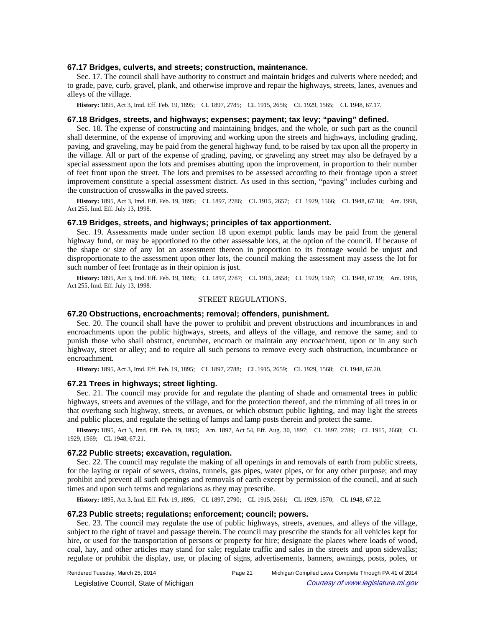### **67.17 Bridges, culverts, and streets; construction, maintenance.**

Sec. 17. The council shall have authority to construct and maintain bridges and culverts where needed; and to grade, pave, curb, gravel, plank, and otherwise improve and repair the highways, streets, lanes, avenues and alleys of the village.

History: 1895, Act 3, Imd. Eff. Feb. 19, 1895;-CL 1897, 2785;-CL 1915, 2656;-CL 1929, 1565;-CL 1948, 67.17.

### **67.18 Bridges, streets, and highways; expenses; payment; tax levy; "paving" defined.**

Sec. 18. The expense of constructing and maintaining bridges, and the whole, or such part as the council shall determine, of the expense of improving and working upon the streets and highways, including grading, paving, and graveling, may be paid from the general highway fund, to be raised by tax upon all the property in the village. All or part of the expense of grading, paving, or graveling any street may also be defrayed by a special assessment upon the lots and premises abutting upon the improvement, in proportion to their number of feet front upon the street. The lots and premises to be assessed according to their frontage upon a street improvement constitute a special assessment district. As used in this section, "paving" includes curbing and the construction of crosswalks in the paved streets.

History: 1895, Act 3, Imd. Eff. Feb. 19, 1895;-CL 1897, 2786;-CL 1915, 2657;-CL 1929, 1566;-CL 1948, 67.18;-Am. 1998, Act 255, Imd. Eff. July 13, 1998.

# **67.19 Bridges, streets, and highways; principles of tax apportionment.**

Sec. 19. Assessments made under section 18 upon exempt public lands may be paid from the general highway fund, or may be apportioned to the other assessable lots, at the option of the council. If because of the shape or size of any lot an assessment thereon in proportion to its frontage would be unjust and disproportionate to the assessment upon other lots, the council making the assessment may assess the lot for such number of feet frontage as in their opinion is just.

History: 1895, Act 3, Imd. Eff. Feb. 19, 1895;-CL 1897, 2787;-CL 1915, 2658;-CL 1929, 1567;-CL 1948, 67.19;-Am. 1998, Act 255, Imd. Eff. July 13, 1998.

### STREET REGULATIONS.

# **67.20 Obstructions, encroachments; removal; offenders, punishment.**

Sec. 20. The council shall have the power to prohibit and prevent obstructions and incumbrances in and encroachments upon the public highways, streets, and alleys of the village, and remove the same; and to punish those who shall obstruct, encumber, encroach or maintain any encroachment, upon or in any such highway, street or alley; and to require all such persons to remove every such obstruction, incumbrance or encroachment.

History: 1895, Act 3, Imd. Eff. Feb. 19, 1895;-CL 1897, 2788;-CL 1915, 2659;-CL 1929, 1568;-CL 1948, 67.20.

#### **67.21 Trees in highways; street lighting.**

Sec. 21. The council may provide for and regulate the planting of shade and ornamental trees in public highways, streets and avenues of the village, and for the protection thereof, and the trimming of all trees in or that overhang such highway, streets, or avenues, or which obstruct public lighting, and may light the streets and public places, and regulate the setting of lamps and lamp posts therein and protect the same.

History: 1895, Act 3, Imd. Eff. Feb. 19, 1895;—Am. 1897, Act 54, Eff. Aug. 30, 1897;—CL 1897, 2789;—CL 1915, 2660;—CL 1929, 1569; CL 1948, 67.21.

#### **67.22 Public streets; excavation, regulation.**

Sec. 22. The council may regulate the making of all openings in and removals of earth from public streets, for the laying or repair of sewers, drains, tunnels, gas pipes, water pipes, or for any other purpose; and may prohibit and prevent all such openings and removals of earth except by permission of the council, and at such times and upon such terms and regulations as they may prescribe.

History: 1895, Act 3, Imd. Eff. Feb. 19, 1895;-CL 1897, 2790;-CL 1915, 2661;-CL 1929, 1570;-CL 1948, 67.22.

#### **67.23 Public streets; regulations; enforcement; council; powers.**

Sec. 23. The council may regulate the use of public highways, streets, avenues, and alleys of the village, subject to the right of travel and passage therein. The council may prescribe the stands for all vehicles kept for hire, or used for the transportation of persons or property for hire; designate the places where loads of wood, coal, hay, and other articles may stand for sale; regulate traffic and sales in the streets and upon sidewalks; regulate or prohibit the display, use, or placing of signs, advertisements, banners, awnings, posts, poles, or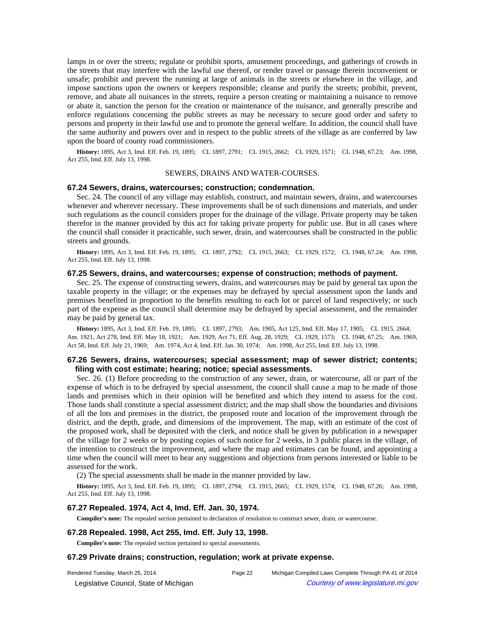lamps in or over the streets; regulate or prohibit sports, amusement proceedings, and gatherings of crowds in the streets that may interfere with the lawful use thereof, or render travel or passage therein inconvenient or unsafe; prohibit and prevent the running at large of animals in the streets or elsewhere in the village, and impose sanctions upon the owners or keepers responsible; cleanse and purify the streets; prohibit, prevent, remove, and abate all nuisances in the streets, require a person creating or maintaining a nuisance to remove or abate it, sanction the person for the creation or maintenance of the nuisance, and generally prescribe and enforce regulations concerning the public streets as may be necessary to secure good order and safety to persons and property in their lawful use and to promote the general welfare. In addition, the council shall have the same authority and powers over and in respect to the public streets of the village as are conferred by law upon the board of county road commissioners.

History: 1895, Act 3, Imd. Eff. Feb. 19, 1895;-CL 1897, 2791;-CL 1915, 2662;-CL 1929, 1571;-CL 1948, 67.23;-Am. 1998, Act 255, Imd. Eff. July 13, 1998.

#### SEWERS, DRAINS AND WATER-COURSES.

#### **67.24 Sewers, drains, watercourses; construction; condemnation.**

Sec. 24. The council of any village may establish, construct, and maintain sewers, drains, and watercourses whenever and wherever necessary. These improvements shall be of such dimensions and materials, and under such regulations as the council considers proper for the drainage of the village. Private property may be taken therefor in the manner provided by this act for taking private property for public use. But in all cases where the council shall consider it practicable, such sewer, drain, and watercourses shall be constructed in the public streets and grounds.

History: 1895, Act 3, Imd. Eff. Feb. 19, 1895;-CL 1897, 2792;-CL 1915, 2663;-CL 1929, 1572;-CL 1948, 67.24;-Am. 1998, Act 255, Imd. Eff. July 13, 1998.

# **67.25 Sewers, drains, and watercourses; expense of construction; methods of payment.**

Sec. 25. The expense of constructing sewers, drains, and watercourses may be paid by general tax upon the taxable property in the village; or the expenses may be defrayed by special assessment upon the lands and premises benefited in proportion to the benefits resulting to each lot or parcel of land respectively; or such part of the expense as the council shall determine may be defrayed by special assessment, and the remainder may be paid by general tax.

History: 1895, Act 3, Imd. Eff. Feb. 19, 1895;-CL 1897, 2793;-Am. 1905, Act 125, Imd. Eff. May 17, 1905;-CL 1915, 2664;-Am. 1921, Act 278, Imd. Eff. May 18, 1921;—Am. 1929, Act 71, Eff. Aug. 28, 1929;—CL 1929, 1573;—CL 1948, 67.25;—Am. 1969, Act 58, Imd. Eff. July 21, 1969;—Am. 1974, Act 4, Imd. Eff. Jan. 30, 1974;—Am. 1998, Act 255, Imd. Eff. July 13, 1998.

## **67.26 Sewers, drains, watercourses; special assessment; map of sewer district; contents; filing with cost estimate; hearing; notice; special assessments.**

Sec. 26. (1) Before proceeding to the construction of any sewer, drain, or watercourse, all or part of the expense of which is to be defrayed by special assessment, the council shall cause a map to be made of those lands and premises which in their opinion will be benefited and which they intend to assess for the cost. Those lands shall constitute a special assessment district; and the map shall show the boundaries and divisions of all the lots and premises in the district, the proposed route and location of the improvement through the district, and the depth, grade, and dimensions of the improvement. The map, with an estimate of the cost of the proposed work, shall be deposited with the clerk, and notice shall be given by publication in a newspaper of the village for 2 weeks or by posting copies of such notice for 2 weeks, in 3 public places in the village, of the intention to construct the improvement, and where the map and estimates can be found, and appointing a time when the council will meet to hear any suggestions and objections from persons interested or liable to be assessed for the work.

(2) The special assessments shall be made in the manner provided by law.

History: 1895, Act 3, Imd. Eff. Feb. 19, 1895;-CL 1897, 2794;-CL 1915, 2665;-CL 1929, 1574;-CL 1948, 67.26;-Am. 1998, Act 255, Imd. Eff. July 13, 1998.

# **67.27 Repealed. 1974, Act 4, Imd. Eff. Jan. 30, 1974.**

**Compiler's note:** The repealed section pertained to declaration of resolution to construct sewer, drain, or watercourse.

#### **67.28 Repealed. 1998, Act 255, Imd. Eff. July 13, 1998.**

**Compiler's note:** The repealed section pertained to special assessments.

#### **67.29 Private drains; construction, regulation; work at private expense.**

© Legislative Council, State of Michigan Council Courtesy of www.legislature.mi.gov

Rendered Tuesday, March 25, 2014 Page 22 Michigan Compiled Laws Complete Through PA 41 of 2014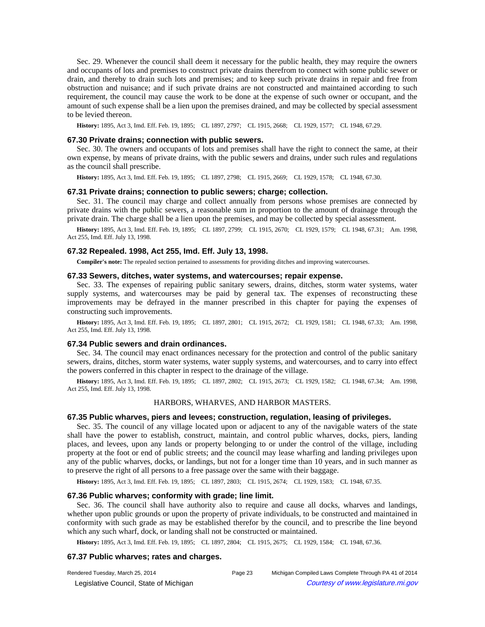Sec. 29. Whenever the council shall deem it necessary for the public health, they may require the owners and occupants of lots and premises to construct private drains therefrom to connect with some public sewer or drain, and thereby to drain such lots and premises; and to keep such private drains in repair and free from obstruction and nuisance; and if such private drains are not constructed and maintained according to such requirement, the council may cause the work to be done at the expense of such owner or occupant, and the amount of such expense shall be a lien upon the premises drained, and may be collected by special assessment to be levied thereon.

History: 1895, Act 3, Imd. Eff. Feb. 19, 1895;-CL 1897, 2797;-CL 1915, 2668;-CL 1929, 1577;-CL 1948, 67.29.

#### **67.30 Private drains; connection with public sewers.**

Sec. 30. The owners and occupants of lots and premises shall have the right to connect the same, at their own expense, by means of private drains, with the public sewers and drains, under such rules and regulations as the council shall prescribe.

History: 1895, Act 3, Imd. Eff. Feb. 19, 1895;-CL 1897, 2798;-CL 1915, 2669;-CL 1929, 1578;-CL 1948, 67.30.

#### **67.31 Private drains; connection to public sewers; charge; collection.**

Sec. 31. The council may charge and collect annually from persons whose premises are connected by private drains with the public sewers, a reasonable sum in proportion to the amount of drainage through the private drain. The charge shall be a lien upon the premises, and may be collected by special assessment.

History: 1895, Act 3, Imd. Eff. Feb. 19, 1895;-CL 1897, 2799;-CL 1915, 2670;-CL 1929, 1579;-CL 1948, 67.31;-Am. 1998, Act 255, Imd. Eff. July 13, 1998.

#### **67.32 Repealed. 1998, Act 255, Imd. Eff. July 13, 1998.**

**Compiler's note:** The repealed section pertained to assessments for providing ditches and improving watercourses.

# **67.33 Sewers, ditches, water systems, and watercourses; repair expense.**

Sec. 33. The expenses of repairing public sanitary sewers, drains, ditches, storm water systems, water supply systems, and watercourses may be paid by general tax. The expenses of reconstructing these improvements may be defrayed in the manner prescribed in this chapter for paying the expenses of constructing such improvements.

**History:** 1895, Act 3, Imd. Eff. Feb. 19, 1895;—CL 1897, 2801;—CL 1915, 2672;—CL 1929, 1581;—CL 1948, 67.33;—Am. 1998, Act 255, Imd. Eff. July 13, 1998.

#### **67.34 Public sewers and drain ordinances.**

Sec. 34. The council may enact ordinances necessary for the protection and control of the public sanitary sewers, drains, ditches, storm water systems, water supply systems, and watercourses, and to carry into effect the powers conferred in this chapter in respect to the drainage of the village.

History: 1895, Act 3, Imd. Eff. Feb. 19, 1895;-CL 1897, 2802;-CL 1915, 2673;-CL 1929, 1582;-CL 1948, 67.34;-Am. 1998, Act 255, Imd. Eff. July 13, 1998.

#### HARBORS, WHARVES, AND HARBOR MASTERS.

## **67.35 Public wharves, piers and levees; construction, regulation, leasing of privileges.**

Sec. 35. The council of any village located upon or adjacent to any of the navigable waters of the state shall have the power to establish, construct, maintain, and control public wharves, docks, piers, landing places, and levees, upon any lands or property belonging to or under the control of the village, including property at the foot or end of public streets; and the council may lease wharfing and landing privileges upon any of the public wharves, docks, or landings, but not for a longer time than 10 years, and in such manner as to preserve the right of all persons to a free passage over the same with their baggage.

History: 1895, Act 3, Imd. Eff. Feb. 19, 1895;-CL 1897, 2803;-CL 1915, 2674;-CL 1929, 1583;-CL 1948, 67.35.

# **67.36 Public wharves; conformity with grade; line limit.**

Sec. 36. The council shall have authority also to require and cause all docks, wharves and landings, whether upon public grounds or upon the property of private individuals, to be constructed and maintained in conformity with such grade as may be established therefor by the council, and to prescribe the line beyond which any such wharf, dock, or landing shall not be constructed or maintained.

History: 1895, Act 3, Imd. Eff. Feb. 19, 1895;-CL 1897, 2804;-CL 1915, 2675;-CL 1929, 1584;-CL 1948, 67.36.

# **67.37 Public wharves; rates and charges.**

| Rendered Tuesday, March 25, 2014         | Page 23 | Michigan Compiled Laws Complete Through PA 41 of 2014 |
|------------------------------------------|---------|-------------------------------------------------------|
| © Legislative Council, State of Michigan |         | Courtesy of www.legislature.mi.gov                    |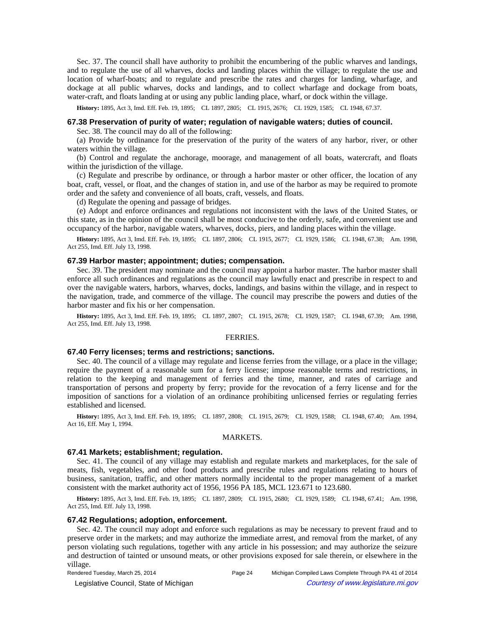Sec. 37. The council shall have authority to prohibit the encumbering of the public wharves and landings, and to regulate the use of all wharves, docks and landing places within the village; to regulate the use and location of wharf-boats; and to regulate and prescribe the rates and charges for landing, wharfage, and dockage at all public wharves, docks and landings, and to collect wharfage and dockage from boats, water-craft, and floats landing at or using any public landing place, wharf, or dock within the village.

History: 1895, Act 3, Imd. Eff. Feb. 19, 1895;-CL 1897, 2805;-CL 1915, 2676;-CL 1929, 1585;-CL 1948, 67.37.

# **67.38 Preservation of purity of water; regulation of navigable waters; duties of council.**

Sec. 38. The council may do all of the following:

(a) Provide by ordinance for the preservation of the purity of the waters of any harbor, river, or other waters within the village.

(b) Control and regulate the anchorage, moorage, and management of all boats, watercraft, and floats within the jurisdiction of the village.

(c) Regulate and prescribe by ordinance, or through a harbor master or other officer, the location of any boat, craft, vessel, or float, and the changes of station in, and use of the harbor as may be required to promote order and the safety and convenience of all boats, craft, vessels, and floats.

(d) Regulate the opening and passage of bridges.

(e) Adopt and enforce ordinances and regulations not inconsistent with the laws of the United States, or this state, as in the opinion of the council shall be most conducive to the orderly, safe, and convenient use and occupancy of the harbor, navigable waters, wharves, docks, piers, and landing places within the village.

**History:** 1895, Act 3, Imd. Eff. Feb. 19, 1895;—CL 1897, 2806;—CL 1915, 2677;—CL 1929, 1586;—CL 1948, 67.38;—Am. 1998, Act 255, Imd. Eff. July 13, 1998.

# **67.39 Harbor master; appointment; duties; compensation.**

Sec. 39. The president may nominate and the council may appoint a harbor master. The harbor master shall enforce all such ordinances and regulations as the council may lawfully enact and prescribe in respect to and over the navigable waters, harbors, wharves, docks, landings, and basins within the village, and in respect to the navigation, trade, and commerce of the village. The council may prescribe the powers and duties of the harbor master and fix his or her compensation.

History: 1895, Act 3, Imd. Eff. Feb. 19, 1895;-CL 1897, 2807;-CL 1915, 2678;-CL 1929, 1587;-CL 1948, 67.39;-Am. 1998, Act 255, Imd. Eff. July 13, 1998.

### FERRIES.

# **67.40 Ferry licenses; terms and restrictions; sanctions.**

Sec. 40. The council of a village may regulate and license ferries from the village, or a place in the village; require the payment of a reasonable sum for a ferry license; impose reasonable terms and restrictions, in relation to the keeping and management of ferries and the time, manner, and rates of carriage and transportation of persons and property by ferry; provide for the revocation of a ferry license and for the imposition of sanctions for a violation of an ordinance prohibiting unlicensed ferries or regulating ferries established and licensed.

History: 1895, Act 3, Imd. Eff. Feb. 19, 1895;-CL 1897, 2808;-CL 1915, 2679;-CL 1929, 1588;-CL 1948, 67.40;-Am. 1994, Act 16, Eff. May 1, 1994.

#### MARKETS.

# **67.41 Markets; establishment; regulation.**

Sec. 41. The council of any village may establish and regulate markets and marketplaces, for the sale of meats, fish, vegetables, and other food products and prescribe rules and regulations relating to hours of business, sanitation, traffic, and other matters normally incidental to the proper management of a market consistent with the market authority act of 1956, 1956 PA 185, MCL 123.671 to 123.680.

History: 1895, Act 3, Imd. Eff. Feb. 19, 1895;-CL 1897, 2809;-CL 1915, 2680;-CL 1929, 1589;-CL 1948, 67.41;-Am. 1998, Act 255, Imd. Eff. July 13, 1998.

### **67.42 Regulations; adoption, enforcement.**

Sec. 42. The council may adopt and enforce such regulations as may be necessary to prevent fraud and to preserve order in the markets; and may authorize the immediate arrest, and removal from the market, of any person violating such regulations, together with any article in his possession; and may authorize the seizure and destruction of tainted or unsound meats, or other provisions exposed for sale therein, or elsewhere in the village.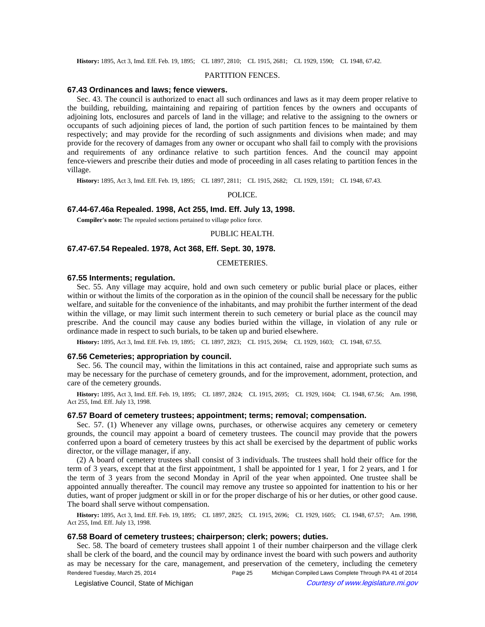History: 1895, Act 3, Imd. Eff. Feb. 19, 1895;-CL 1897, 2810;-CL 1915, 2681;-CL 1929, 1590;-CL 1948, 67.42.

#### PARTITION FENCES.

#### **67.43 Ordinances and laws; fence viewers.**

Sec. 43. The council is authorized to enact all such ordinances and laws as it may deem proper relative to the building, rebuilding, maintaining and repairing of partition fences by the owners and occupants of adjoining lots, enclosures and parcels of land in the village; and relative to the assigning to the owners or occupants of such adjoining pieces of land, the portion of such partition fences to be maintained by them respectively; and may provide for the recording of such assignments and divisions when made; and may provide for the recovery of damages from any owner or occupant who shall fail to comply with the provisions and requirements of any ordinance relative to such partition fences. And the council may appoint fence-viewers and prescribe their duties and mode of proceeding in all cases relating to partition fences in the village.

History: 1895, Act 3, Imd. Eff. Feb. 19, 1895;—CL 1897, 2811;—CL 1915, 2682;—CL 1929, 1591;—CL 1948, 67.43.

POLICE.

# **67.44-67.46a Repealed. 1998, Act 255, Imd. Eff. July 13, 1998.**

**Compiler's note:** The repealed sections pertained to village police force.

#### PUBLIC HEALTH.

# **67.47-67.54 Repealed. 1978, Act 368, Eff. Sept. 30, 1978.**

### CEMETERIES.

# **67.55 Interments; regulation.**

Sec. 55. Any village may acquire, hold and own such cemetery or public burial place or places, either within or without the limits of the corporation as in the opinion of the council shall be necessary for the public welfare, and suitable for the convenience of the inhabitants, and may prohibit the further interment of the dead within the village, or may limit such interment therein to such cemetery or burial place as the council may prescribe. And the council may cause any bodies buried within the village, in violation of any rule or ordinance made in respect to such burials, to be taken up and buried elsewhere.

History: 1895, Act 3, Imd. Eff. Feb. 19, 1895;-CL 1897, 2823;-CL 1915, 2694;-CL 1929, 1603;-CL 1948, 67.55.

#### **67.56 Cemeteries; appropriation by council.**

Sec. 56. The council may, within the limitations in this act contained, raise and appropriate such sums as may be necessary for the purchase of cemetery grounds, and for the improvement, adornment, protection, and care of the cemetery grounds.

History: 1895, Act 3, Imd. Eff. Feb. 19, 1895;-CL 1897, 2824;-CL 1915, 2695;-CL 1929, 1604;-CL 1948, 67.56;-Am. 1998, Act 255, Imd. Eff. July 13, 1998.

### **67.57 Board of cemetery trustees; appointment; terms; removal; compensation.**

Sec. 57. (1) Whenever any village owns, purchases, or otherwise acquires any cemetery or cemetery grounds, the council may appoint a board of cemetery trustees. The council may provide that the powers conferred upon a board of cemetery trustees by this act shall be exercised by the department of public works director, or the village manager, if any.

(2) A board of cemetery trustees shall consist of 3 individuals. The trustees shall hold their office for the term of 3 years, except that at the first appointment, 1 shall be appointed for 1 year, 1 for 2 years, and 1 for the term of 3 years from the second Monday in April of the year when appointed. One trustee shall be appointed annually thereafter. The council may remove any trustee so appointed for inattention to his or her duties, want of proper judgment or skill in or for the proper discharge of his or her duties, or other good cause. The board shall serve without compensation.

History: 1895, Act 3, Imd. Eff. Feb. 19, 1895;-CL 1897, 2825;-CL 1915, 2696;-CL 1929, 1605;-CL 1948, 67.57;-Am. 1998, Act 255, Imd. Eff. July 13, 1998.

### **67.58 Board of cemetery trustees; chairperson; clerk; powers; duties.**

Sec. 58. The board of cemetery trustees shall appoint 1 of their number chairperson and the village clerk shall be clerk of the board, and the council may by ordinance invest the board with such powers and authority as may be necessary for the care, management, and preservation of the cemetery, including the cemetery Rendered Tuesday, March 25, 2014 Page 25 Michigan Compiled Laws Complete Through PA 41 of 2014

Legislative Council, State of Michigan Courtesy of www.legislature.mi.gov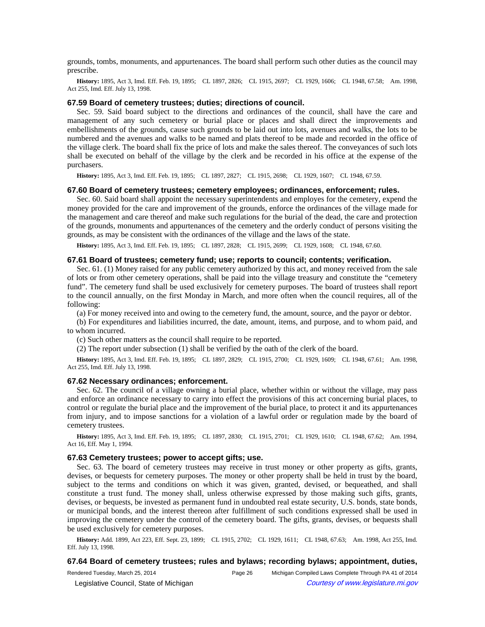grounds, tombs, monuments, and appurtenances. The board shall perform such other duties as the council may prescribe.

History: 1895, Act 3, Imd. Eff. Feb. 19, 1895;—CL 1897, 2826;—CL 1915, 2697;—CL 1929, 1606;—CL 1948, 67.58;—Am. 1998, Act 255, Imd. Eff. July 13, 1998.

#### **67.59 Board of cemetery trustees; duties; directions of council.**

Sec. 59. Said board subject to the directions and ordinances of the council, shall have the care and management of any such cemetery or burial place or places and shall direct the improvements and embellishments of the grounds, cause such grounds to be laid out into lots, avenues and walks, the lots to be numbered and the avenues and walks to be named and plats thereof to be made and recorded in the office of the village clerk. The board shall fix the price of lots and make the sales thereof. The conveyances of such lots shall be executed on behalf of the village by the clerk and be recorded in his office at the expense of the purchasers.

History: 1895, Act 3, Imd. Eff. Feb. 19, 1895;-CL 1897, 2827;-CL 1915, 2698;-CL 1929, 1607;-CL 1948, 67.59.

#### **67.60 Board of cemetery trustees; cemetery employees; ordinances, enforcement; rules.**

Sec. 60. Said board shall appoint the necessary superintendents and employes for the cemetery, expend the money provided for the care and improvement of the grounds, enforce the ordinances of the village made for the management and care thereof and make such regulations for the burial of the dead, the care and protection of the grounds, monuments and appurtenances of the cemetery and the orderly conduct of persons visiting the grounds, as may be consistent with the ordinances of the village and the laws of the state.

History: 1895, Act 3, Imd. Eff. Feb. 19, 1895;-CL 1897, 2828;-CL 1915, 2699;-CL 1929, 1608;-CL 1948, 67.60.

#### **67.61 Board of trustees; cemetery fund; use; reports to council; contents; verification.**

Sec. 61. (1) Money raised for any public cemetery authorized by this act, and money received from the sale of lots or from other cemetery operations, shall be paid into the village treasury and constitute the "cemetery fund". The cemetery fund shall be used exclusively for cemetery purposes. The board of trustees shall report to the council annually, on the first Monday in March, and more often when the council requires, all of the following:

(a) For money received into and owing to the cemetery fund, the amount, source, and the payor or debtor.

(b) For expenditures and liabilities incurred, the date, amount, items, and purpose, and to whom paid, and to whom incurred.

(c) Such other matters as the council shall require to be reported.

(2) The report under subsection (1) shall be verified by the oath of the clerk of the board.

History: 1895, Act 3, Imd. Eff. Feb. 19, 1895;-CL 1897, 2829;-CL 1915, 2700;-CL 1929, 1609;-CL 1948, 67.61;-Am. 1998, Act 255, Imd. Eff. July 13, 1998.

### **67.62 Necessary ordinances; enforcement.**

Sec. 62. The council of a village owning a burial place, whether within or without the village, may pass and enforce an ordinance necessary to carry into effect the provisions of this act concerning burial places, to control or regulate the burial place and the improvement of the burial place, to protect it and its appurtenances from injury, and to impose sanctions for a violation of a lawful order or regulation made by the board of cemetery trustees.

History: 1895, Act 3, Imd. Eff. Feb. 19, 1895;-CL 1897, 2830;-CL 1915, 2701;-CL 1929, 1610;-CL 1948, 67.62;-Am. 1994, Act 16, Eff. May 1, 1994.

# **67.63 Cemetery trustees; power to accept gifts; use.**

Sec. 63. The board of cemetery trustees may receive in trust money or other property as gifts, grants, devises, or bequests for cemetery purposes. The money or other property shall be held in trust by the board, subject to the terms and conditions on which it was given, granted, devised, or bequeathed, and shall constitute a trust fund. The money shall, unless otherwise expressed by those making such gifts, grants, devises, or bequests, be invested as permanent fund in undoubted real estate security, U.S. bonds, state bonds, or municipal bonds, and the interest thereon after fulfillment of such conditions expressed shall be used in improving the cemetery under the control of the cemetery board. The gifts, grants, devises, or bequests shall be used exclusively for cemetery purposes.

History: Add. 1899, Act 223, Eff. Sept. 23, 1899; CL 1915, 2702; CL 1929, 1611; CL 1948, 67.63; Am. 1998, Act 255, Imd. Eff. July 13, 1998.

### **67.64 Board of cemetery trustees; rules and bylaws; recording bylaws; appointment, duties,**

Rendered Tuesday, March 25, 2014 Page 26 Michigan Compiled Laws Complete Through PA 41 of 2014 © Legislative Council, State of Michigan Council Courtesy of www.legislature.mi.gov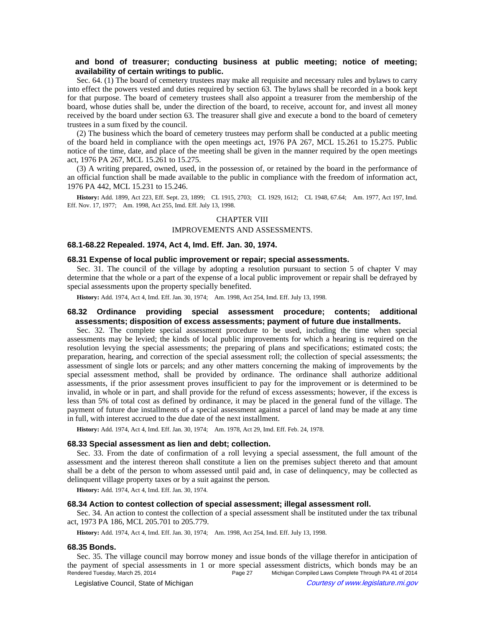# **and bond of treasurer; conducting business at public meeting; notice of meeting; availability of certain writings to public.**

Sec. 64. (1) The board of cemetery trustees may make all requisite and necessary rules and bylaws to carry into effect the powers vested and duties required by section 63. The bylaws shall be recorded in a book kept for that purpose. The board of cemetery trustees shall also appoint a treasurer from the membership of the board, whose duties shall be, under the direction of the board, to receive, account for, and invest all money received by the board under section 63. The treasurer shall give and execute a bond to the board of cemetery trustees in a sum fixed by the council.

(2) The business which the board of cemetery trustees may perform shall be conducted at a public meeting of the board held in compliance with the open meetings act, 1976 PA 267, MCL 15.261 to 15.275. Public notice of the time, date, and place of the meeting shall be given in the manner required by the open meetings act, 1976 PA 267, MCL 15.261 to 15.275.

(3) A writing prepared, owned, used, in the possession of, or retained by the board in the performance of an official function shall be made available to the public in compliance with the freedom of information act, 1976 PA 442, MCL 15.231 to 15.246.

History: Add. 1899, Act 223, Eff. Sept. 23, 1899; CL 1915, 2703; CL 1929, 1612; CL 1948, 67.64; Am. 1977, Act 197, Imd. Eff. Nov. 17, 1977;--- Am. 1998, Act 255, Imd. Eff. July 13, 1998.

# CHAPTER VIII

# IMPROVEMENTS AND ASSESSMENTS.

# **68.1-68.22 Repealed. 1974, Act 4, Imd. Eff. Jan. 30, 1974.**

#### **68.31 Expense of local public improvement or repair; special assessments.**

Sec. 31. The council of the village by adopting a resolution pursuant to section 5 of chapter V may determine that the whole or a part of the expense of a local public improvement or repair shall be defrayed by special assessments upon the property specially benefited.

History: Add. 1974, Act 4, Imd. Eff. Jan. 30, 1974;-- Am. 1998, Act 254, Imd. Eff. July 13, 1998.

# **68.32 Ordinance providing special assessment procedure; contents; additional assessments; disposition of excess assessments; payment of future due installments.**

Sec. 32. The complete special assessment procedure to be used, including the time when special assessments may be levied; the kinds of local public improvements for which a hearing is required on the resolution levying the special assessments; the preparing of plans and specifications; estimated costs; the preparation, hearing, and correction of the special assessment roll; the collection of special assessments; the assessment of single lots or parcels; and any other matters concerning the making of improvements by the special assessment method, shall be provided by ordinance. The ordinance shall authorize additional assessments, if the prior assessment proves insufficient to pay for the improvement or is determined to be invalid, in whole or in part, and shall provide for the refund of excess assessments; however, if the excess is less than 5% of total cost as defined by ordinance, it may be placed in the general fund of the village. The payment of future due installments of a special assessment against a parcel of land may be made at any time in full, with interest accrued to the due date of the next installment.

History: Add. 1974, Act 4, Imd. Eff. Jan. 30, 1974;**--**Am. 1978, Act 29, Imd. Eff. Feb. 24, 1978.

## **68.33 Special assessment as lien and debt; collection.**

Sec. 33. From the date of confirmation of a roll levying a special assessment, the full amount of the assessment and the interest thereon shall constitute a lien on the premises subject thereto and that amount shall be a debt of the person to whom assessed until paid and, in case of delinquency, may be collected as delinquent village property taxes or by a suit against the person.

**History:** Add. 1974, Act 4, Imd. Eff. Jan. 30, 1974.

# **68.34 Action to contest collection of special assessment; illegal assessment roll.**

Sec. 34. An action to contest the collection of a special assessment shall be instituted under the tax tribunal act, 1973 PA 186, MCL 205.701 to 205.779.

History: Add. 1974, Act 4, Imd. Eff. Jan. 30, 1974;**---**Am. 1998, Act 254, Imd. Eff. July 13, 1998.

#### **68.35 Bonds.**

Sec. 35. The village council may borrow money and issue bonds of the village therefor in anticipation of the payment of special assessments in 1 or more special assessment districts, which bonds may be an<br>Rendered Tuesday, March 25, 2014<br>Page 27 Michigan Compiled Laws Complete Through PA 41 of 2014 Michigan Compiled Laws Complete Through PA 41 of 2014 © Legislative Council, State of Michigan Council Courtesy of www.legislature.mi.gov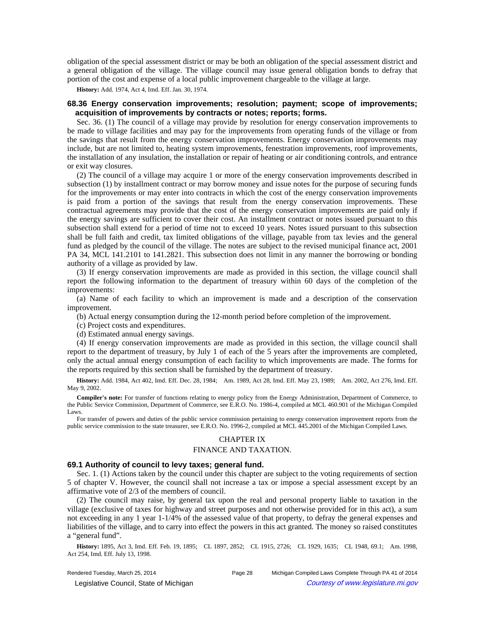obligation of the special assessment district or may be both an obligation of the special assessment district and a general obligation of the village. The village council may issue general obligation bonds to defray that portion of the cost and expense of a local public improvement chargeable to the village at large.

**History:** Add. 1974, Act 4, Imd. Eff. Jan. 30, 1974.

# **68.36 Energy conservation improvements; resolution; payment; scope of improvements; acquisition of improvements by contracts or notes; reports; forms.**

Sec. 36. (1) The council of a village may provide by resolution for energy conservation improvements to be made to village facilities and may pay for the improvements from operating funds of the village or from the savings that result from the energy conservation improvements. Energy conservation improvements may include, but are not limited to, heating system improvements, fenestration improvements, roof improvements, the installation of any insulation, the installation or repair of heating or air conditioning controls, and entrance or exit way closures.

(2) The council of a village may acquire 1 or more of the energy conservation improvements described in subsection (1) by installment contract or may borrow money and issue notes for the purpose of securing funds for the improvements or may enter into contracts in which the cost of the energy conservation improvements is paid from a portion of the savings that result from the energy conservation improvements. These contractual agreements may provide that the cost of the energy conservation improvements are paid only if the energy savings are sufficient to cover their cost. An installment contract or notes issued pursuant to this subsection shall extend for a period of time not to exceed 10 years. Notes issued pursuant to this subsection shall be full faith and credit, tax limited obligations of the village, payable from tax levies and the general fund as pledged by the council of the village. The notes are subject to the revised municipal finance act, 2001 PA 34, MCL 141.2101 to 141.2821. This subsection does not limit in any manner the borrowing or bonding authority of a village as provided by law.

(3) If energy conservation improvements are made as provided in this section, the village council shall report the following information to the department of treasury within 60 days of the completion of the improvements:

(a) Name of each facility to which an improvement is made and a description of the conservation improvement.

(b) Actual energy consumption during the 12-month period before completion of the improvement.

- (c) Project costs and expenditures.
- (d) Estimated annual energy savings.

(4) If energy conservation improvements are made as provided in this section, the village council shall report to the department of treasury, by July 1 of each of the 5 years after the improvements are completed, only the actual annual energy consumption of each facility to which improvements are made. The forms for the reports required by this section shall be furnished by the department of treasury.

History: Add. 1984, Act 402, Imd. Eff. Dec. 28, 1984;—Am. 1989, Act 28, Imd. Eff. May 23, 1989;—Am. 2002, Act 276, Imd. Eff. May 9, 2002.

**Compiler's note:** For transfer of functions relating to energy policy from the Energy Administration, Department of Commerce, to the Public Service Commission, Department of Commerce, see E.R.O. No. 1986-4, compiled at MCL 460.901 of the Michigan Compiled Laws.

For transfer of powers and duties of the public service commission pertaining to energy conservation improvement reports from the public service commission to the state treasurer, see E.R.O. No. 1996-2, compiled at MCL 445.2001 of the Michigan Compiled Laws.

# CHAPTER IX

### FINANCE AND TAXATION.

#### **69.1 Authority of council to levy taxes; general fund.**

Sec. 1. (1) Actions taken by the council under this chapter are subject to the voting requirements of section 5 of chapter V. However, the council shall not increase a tax or impose a special assessment except by an affirmative vote of 2/3 of the members of council.

(2) The council may raise, by general tax upon the real and personal property liable to taxation in the village (exclusive of taxes for highway and street purposes and not otherwise provided for in this act), a sum not exceeding in any 1 year 1-1/4% of the assessed value of that property, to defray the general expenses and liabilities of the village, and to carry into effect the powers in this act granted. The money so raised constitutes a "general fund".

History: 1895, Act 3, Imd. Eff. Feb. 19, 1895;-CL 1897, 2852;-CL 1915, 2726;-CL 1929, 1635;-CL 1948, 69.1;-Am. 1998, Act 254, Imd. Eff. July 13, 1998.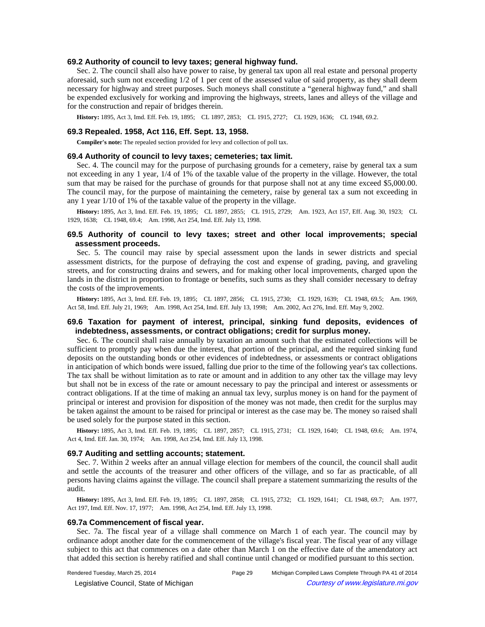#### **69.2 Authority of council to levy taxes; general highway fund.**

Sec. 2. The council shall also have power to raise, by general tax upon all real estate and personal property aforesaid, such sum not exceeding 1/2 of 1 per cent of the assessed value of said property, as they shall deem necessary for highway and street purposes. Such moneys shall constitute a "general highway fund," and shall be expended exclusively for working and improving the highways, streets, lanes and alleys of the village and for the construction and repair of bridges therein.

History: 1895, Act 3, Imd. Eff. Feb. 19, 1895;—CL 1897, 2853;—CL 1915, 2727;—CL 1929, 1636;—CL 1948, 69.2.

# **69.3 Repealed. 1958, Act 116, Eff. Sept. 13, 1958.**

**Compiler's note:** The repealed section provided for levy and collection of poll tax.

#### **69.4 Authority of council to levy taxes; cemeteries; tax limit.**

Sec. 4. The council may for the purpose of purchasing grounds for a cemetery, raise by general tax a sum not exceeding in any 1 year, 1/4 of 1% of the taxable value of the property in the village. However, the total sum that may be raised for the purchase of grounds for that purpose shall not at any time exceed \$5,000.00. The council may, for the purpose of maintaining the cemetery, raise by general tax a sum not exceeding in any 1 year 1/10 of 1% of the taxable value of the property in the village.

History: 1895, Act 3, Imd. Eff. Feb. 19, 1895; CL 1897, 2855; CL 1915, 2729; Am. 1923, Act 157, Eff. Aug. 30, 1923; CL 1929, 1638;-CL 1948, 69.4;-Am. 1998, Act 254, Imd. Eff. July 13, 1998.

# **69.5 Authority of council to levy taxes; street and other local improvements; special assessment proceeds.**

Sec. 5. The council may raise by special assessment upon the lands in sewer districts and special assessment districts, for the purpose of defraying the cost and expense of grading, paving, and graveling streets, and for constructing drains and sewers, and for making other local improvements, charged upon the lands in the district in proportion to frontage or benefits, such sums as they shall consider necessary to defray the costs of the improvements.

History: 1895, Act 3, Imd. Eff. Feb. 19, 1895;—CL 1897, 2856;—CL 1915, 2730;—CL 1929, 1639;—CL 1948, 69.5;—Am. 1969, Act 58, Imd. Eff. July 21, 1969;—Am. 1998, Act 254, Imd. Eff. July 13, 1998;—Am. 2002, Act 276, Imd. Eff. May 9, 2002.

# **69.6 Taxation for payment of interest, principal, sinking fund deposits, evidences of indebtedness, assessments, or contract obligations; credit for surplus money.**

Sec. 6. The council shall raise annually by taxation an amount such that the estimated collections will be sufficient to promptly pay when due the interest, that portion of the principal, and the required sinking fund deposits on the outstanding bonds or other evidences of indebtedness, or assessments or contract obligations in anticipation of which bonds were issued, falling due prior to the time of the following year's tax collections. The tax shall be without limitation as to rate or amount and in addition to any other tax the village may levy but shall not be in excess of the rate or amount necessary to pay the principal and interest or assessments or contract obligations. If at the time of making an annual tax levy, surplus money is on hand for the payment of principal or interest and provision for disposition of the money was not made, then credit for the surplus may be taken against the amount to be raised for principal or interest as the case may be. The money so raised shall be used solely for the purpose stated in this section.

History: 1895, Act 3, Imd. Eff. Feb. 19, 1895;—CL 1897, 2857;—CL 1915, 2731;—CL 1929, 1640;—CL 1948, 69.6;—Am. 1974, Act 4, Imd. Eff. Jan. 30, 1974;--- Am. 1998, Act 254, Imd. Eff. July 13, 1998.

### **69.7 Auditing and settling accounts; statement.**

Sec. 7. Within 2 weeks after an annual village election for members of the council, the council shall audit and settle the accounts of the treasurer and other officers of the village, and so far as practicable, of all persons having claims against the village. The council shall prepare a statement summarizing the results of the audit.

History: 1895, Act 3, Imd. Eff. Feb. 19, 1895;-CL 1897, 2858;-CL 1915, 2732;-CL 1929, 1641;-CL 1948, 69.7;-Am. 1977, Act 197, Imd. Eff. Nov. 17, 1977;—Am. 1998, Act 254, Imd. Eff. July 13, 1998.

### **69.7a Commencement of fiscal year.**

Sec. 7a. The fiscal year of a village shall commence on March 1 of each year. The council may by ordinance adopt another date for the commencement of the village's fiscal year. The fiscal year of any village subject to this act that commences on a date other than March 1 on the effective date of the amendatory act that added this section is hereby ratified and shall continue until changed or modified pursuant to this section.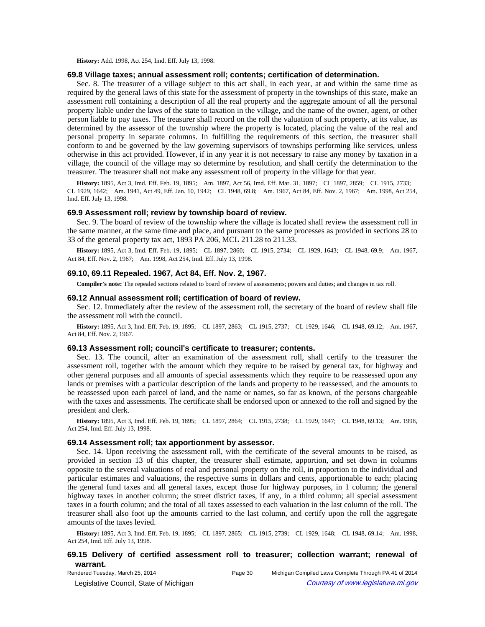**History:** Add. 1998, Act 254, Imd. Eff. July 13, 1998.

#### **69.8 Village taxes; annual assessment roll; contents; certification of determination.**

Sec. 8. The treasurer of a village subject to this act shall, in each year, at and within the same time as required by the general laws of this state for the assessment of property in the townships of this state, make an assessment roll containing a description of all the real property and the aggregate amount of all the personal property liable under the laws of the state to taxation in the village, and the name of the owner, agent, or other person liable to pay taxes. The treasurer shall record on the roll the valuation of such property, at its value, as determined by the assessor of the township where the property is located, placing the value of the real and personal property in separate columns. In fulfilling the requirements of this section, the treasurer shall conform to and be governed by the law governing supervisors of townships performing like services, unless otherwise in this act provided. However, if in any year it is not necessary to raise any money by taxation in a village, the council of the village may so determine by resolution, and shall certify the determination to the treasurer. The treasurer shall not make any assessment roll of property in the village for that year.

History: 1895, Act 3, Imd. Eff. Feb. 19, 1895;--Am. 1897, Act 56, Imd. Eff. Mar. 31, 1897;--CL 1897, 2859;--CL 1915, 2733;--CL 1929, 1642;-Am. 1941, Act 49, Eff. Jan. 10, 1942;-CL 1948, 69.8;-Am. 1967, Act 84, Eff. Nov. 2, 1967;-Am. 1998, Act 254, Imd. Eff. July 13, 1998.

#### **69.9 Assessment roll; review by township board of review.**

Sec. 9. The board of review of the township where the village is located shall review the assessment roll in the same manner, at the same time and place, and pursuant to the same processes as provided in sections 28 to 33 of the general property tax act, 1893 PA 206, MCL 211.28 to 211.33.

History: 1895, Act 3, Imd. Eff. Feb. 19, 1895;—CL 1897, 2860;—CL 1915, 2734;—CL 1929, 1643;—CL 1948, 69.9;—Am. 1967, Act 84, Eff. Nov. 2, 1967;—Am. 1998, Act 254, Imd. Eff. July 13, 1998.

# **69.10, 69.11 Repealed. 1967, Act 84, Eff. Nov. 2, 1967.**

**Compiler's note:** The repealed sections related to board of review of assessments; powers and duties; and changes in tax roll.

#### **69.12 Annual assessment roll; certification of board of review.**

Sec. 12. Immediately after the review of the assessment roll, the secretary of the board of review shall file the assessment roll with the council.

History: 1895, Act 3, Imd. Eff. Feb. 19, 1895;-CL 1897, 2863;-CL 1915, 2737;-CL 1929, 1646;-CL 1948, 69.12;-Am. 1967, Act 84, Eff. Nov. 2, 1967.

#### **69.13 Assessment roll; council's certificate to treasurer; contents.**

Sec. 13. The council, after an examination of the assessment roll, shall certify to the treasurer the assessment roll, together with the amount which they require to be raised by general tax, for highway and other general purposes and all amounts of special assessments which they require to be reassessed upon any lands or premises with a particular description of the lands and property to be reassessed, and the amounts to be reassessed upon each parcel of land, and the name or names, so far as known, of the persons chargeable with the taxes and assessments. The certificate shall be endorsed upon or annexed to the roll and signed by the president and clerk.

**History:** 1895, Act 3, Imd. Eff. Feb. 19, 1895;—CL 1897, 2864;—CL 1915, 2738;—CL 1929, 1647;—CL 1948, 69.13;—Am. 1998, Act 254, Imd. Eff. July 13, 1998.

### **69.14 Assessment roll; tax apportionment by assessor.**

Sec. 14. Upon receiving the assessment roll, with the certificate of the several amounts to be raised, as provided in section 13 of this chapter, the treasurer shall estimate, apportion, and set down in columns opposite to the several valuations of real and personal property on the roll, in proportion to the individual and particular estimates and valuations, the respective sums in dollars and cents, apportionable to each; placing the general fund taxes and all general taxes, except those for highway purposes, in 1 column; the general highway taxes in another column; the street district taxes, if any, in a third column; all special assessment taxes in a fourth column; and the total of all taxes assessed to each valuation in the last column of the roll. The treasurer shall also foot up the amounts carried to the last column, and certify upon the roll the aggregate amounts of the taxes levied.

History: 1895, Act 3, Imd. Eff. Feb. 19, 1895;—CL 1897, 2865;—CL 1915, 2739;—CL 1929, 1648;—CL 1948, 69.14;—Am. 1998, Act 254, Imd. Eff. July 13, 1998.

# **69.15 Delivery of certified assessment roll to treasurer; collection warrant; renewal of warrant.**

© Legislative Council, State of Michigan Courtesy of www.legislature.mi.gov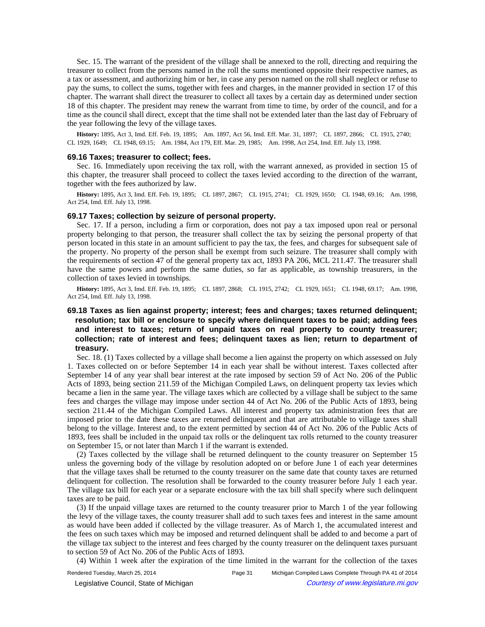Sec. 15. The warrant of the president of the village shall be annexed to the roll, directing and requiring the treasurer to collect from the persons named in the roll the sums mentioned opposite their respective names, as a tax or assessment, and authorizing him or her, in case any person named on the roll shall neglect or refuse to pay the sums, to collect the sums, together with fees and charges, in the manner provided in section 17 of this chapter. The warrant shall direct the treasurer to collect all taxes by a certain day as determined under section 18 of this chapter. The president may renew the warrant from time to time, by order of the council, and for a time as the council shall direct, except that the time shall not be extended later than the last day of February of the year following the levy of the village taxes.

History: 1895, Act 3, Imd. Eff. Feb. 19, 1895;--Am. 1897, Act 56, Imd. Eff. Mar. 31, 1897;--CL 1897, 2866;--CL 1915, 2740;--CL 1929, 1649;-CL 1948, 69.15;-Am. 1984, Act 179, Eff. Mar. 29, 1985;-Am. 1998, Act 254, Imd. Eff. July 13, 1998.

#### **69.16 Taxes; treasurer to collect; fees.**

Sec. 16. Immediately upon receiving the tax roll, with the warrant annexed, as provided in section 15 of this chapter, the treasurer shall proceed to collect the taxes levied according to the direction of the warrant, together with the fees authorized by law.

**History:** 1895, Act 3, Imd. Eff. Feb. 19, 1895;—CL 1897, 2867;—CL 1915, 2741;—CL 1929, 1650;—CL 1948, 69.16;—Am. 1998, Act 254, Imd. Eff. July 13, 1998.

### **69.17 Taxes; collection by seizure of personal property.**

Sec. 17. If a person, including a firm or corporation, does not pay a tax imposed upon real or personal property belonging to that person, the treasurer shall collect the tax by seizing the personal property of that person located in this state in an amount sufficient to pay the tax, the fees, and charges for subsequent sale of the property. No property of the person shall be exempt from such seizure. The treasurer shall comply with the requirements of section 47 of the general property tax act, 1893 PA 206, MCL 211.47. The treasurer shall have the same powers and perform the same duties, so far as applicable, as township treasurers, in the collection of taxes levied in townships.

History: 1895, Act 3, Imd. Eff. Feb. 19, 1895;-CL 1897, 2868;-CL 1915, 2742;-CL 1929, 1651;-CL 1948, 69.17;-Am. 1998, Act 254, Imd. Eff. July 13, 1998.

# **69.18 Taxes as lien against property; interest; fees and charges; taxes returned delinquent; resolution; tax bill or enclosure to specify where delinquent taxes to be paid; adding fees and interest to taxes; return of unpaid taxes on real property to county treasurer; collection; rate of interest and fees; delinquent taxes as lien; return to department of treasury.**

Sec. 18. (1) Taxes collected by a village shall become a lien against the property on which assessed on July 1. Taxes collected on or before September 14 in each year shall be without interest. Taxes collected after September 14 of any year shall bear interest at the rate imposed by section 59 of Act No. 206 of the Public Acts of 1893, being section 211.59 of the Michigan Compiled Laws, on delinquent property tax levies which became a lien in the same year. The village taxes which are collected by a village shall be subject to the same fees and charges the village may impose under section 44 of Act No. 206 of the Public Acts of 1893, being section 211.44 of the Michigan Compiled Laws. All interest and property tax administration fees that are imposed prior to the date these taxes are returned delinquent and that are attributable to village taxes shall belong to the village. Interest and, to the extent permitted by section 44 of Act No. 206 of the Public Acts of 1893, fees shall be included in the unpaid tax rolls or the delinquent tax rolls returned to the county treasurer on September 15, or not later than March 1 if the warrant is extended.

(2) Taxes collected by the village shall be returned delinquent to the county treasurer on September 15 unless the governing body of the village by resolution adopted on or before June 1 of each year determines that the village taxes shall be returned to the county treasurer on the same date that county taxes are returned delinquent for collection. The resolution shall be forwarded to the county treasurer before July 1 each year. The village tax bill for each year or a separate enclosure with the tax bill shall specify where such delinquent taxes are to be paid.

(3) If the unpaid village taxes are returned to the county treasurer prior to March 1 of the year following the levy of the village taxes, the county treasurer shall add to such taxes fees and interest in the same amount as would have been added if collected by the village treasurer. As of March 1, the accumulated interest and the fees on such taxes which may be imposed and returned delinquent shall be added to and become a part of the village tax subject to the interest and fees charged by the county treasurer on the delinquent taxes pursuant to section 59 of Act No. 206 of the Public Acts of 1893.

(4) Within 1 week after the expiration of the time limited in the warrant for the collection of the taxes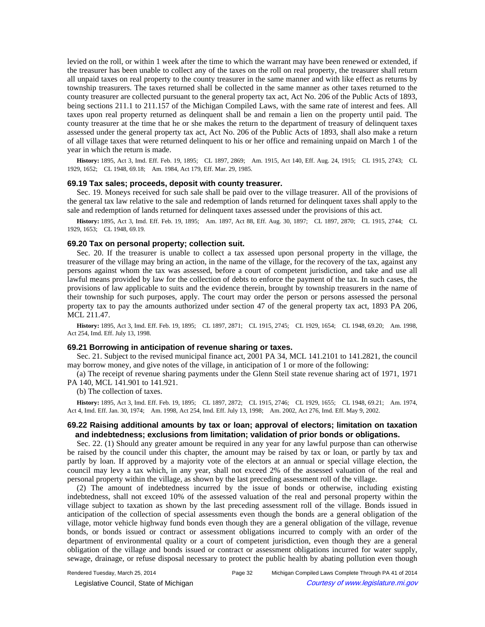levied on the roll, or within 1 week after the time to which the warrant may have been renewed or extended, if the treasurer has been unable to collect any of the taxes on the roll on real property, the treasurer shall return all unpaid taxes on real property to the county treasurer in the same manner and with like effect as returns by township treasurers. The taxes returned shall be collected in the same manner as other taxes returned to the county treasurer are collected pursuant to the general property tax act, Act No. 206 of the Public Acts of 1893, being sections 211.1 to 211.157 of the Michigan Compiled Laws, with the same rate of interest and fees. All taxes upon real property returned as delinquent shall be and remain a lien on the property until paid. The county treasurer at the time that he or she makes the return to the department of treasury of delinquent taxes assessed under the general property tax act, Act No. 206 of the Public Acts of 1893, shall also make a return of all village taxes that were returned delinquent to his or her office and remaining unpaid on March 1 of the year in which the return is made.

History: 1895, Act 3, Imd. Eff. Feb. 19, 1895;-CL 1897, 2869;-Am. 1915, Act 140, Eff. Aug. 24, 1915;-CL 1915, 2743;-CL 1929, 1652; CL 1948, 69.18; Am. 1984, Act 179, Eff. Mar. 29, 1985.

### **69.19 Tax sales; proceeds, deposit with county treasurer.**

Sec. 19. Moneys received for such sale shall be paid over to the village treasurer. All of the provisions of the general tax law relative to the sale and redemption of lands returned for delinquent taxes shall apply to the sale and redemption of lands returned for delinquent taxes assessed under the provisions of this act.

History: 1895, Act 3, Imd. Eff. Feb. 19, 1895;-Am. 1897, Act 88, Eff. Aug. 30, 1897;-CL 1897, 2870;-CL 1915, 2744;-CL 1929, 1653; CL 1948, 69.19.

#### **69.20 Tax on personal property; collection suit.**

Sec. 20. If the treasurer is unable to collect a tax assessed upon personal property in the village, the treasurer of the village may bring an action, in the name of the village, for the recovery of the tax, against any persons against whom the tax was assessed, before a court of competent jurisdiction, and take and use all lawful means provided by law for the collection of debts to enforce the payment of the tax. In such cases, the provisions of law applicable to suits and the evidence therein, brought by township treasurers in the name of their township for such purposes, apply. The court may order the person or persons assessed the personal property tax to pay the amounts authorized under section 47 of the general property tax act, 1893 PA 206, MCL 211.47.

History: 1895, Act 3, Imd. Eff. Feb. 19, 1895;-CL 1897, 2871;-CL 1915, 2745;-CL 1929, 1654;-CL 1948, 69.20;-Am. 1998, Act 254, Imd. Eff. July 13, 1998.

#### **69.21 Borrowing in anticipation of revenue sharing or taxes.**

Sec. 21. Subject to the revised municipal finance act, 2001 PA 34, MCL 141.2101 to 141.2821, the council may borrow money, and give notes of the village, in anticipation of 1 or more of the following:

(a) The receipt of revenue sharing payments under the Glenn Steil state revenue sharing act of 1971, 1971 PA 140, MCL 141.901 to 141.921.

(b) The collection of taxes.

History: 1895, Act 3, Imd. Eff. Feb. 19, 1895;-CL 1897, 2872;-CL 1915, 2746;-CL 1929, 1655;-CL 1948, 69.21;-Am. 1974, Act 4, Imd. Eff. Jan. 30, 1974;—Am. 1998, Act 254, Imd. Eff. July 13, 1998;—Am. 2002, Act 276, Imd. Eff. May 9, 2002.

# **69.22 Raising additional amounts by tax or loan; approval of electors; limitation on taxation and indebtedness; exclusions from limitation; validation of prior bonds or obligations.**

Sec. 22. (1) Should any greater amount be required in any year for any lawful purpose than can otherwise be raised by the council under this chapter, the amount may be raised by tax or loan, or partly by tax and partly by loan. If approved by a majority vote of the electors at an annual or special village election, the council may levy a tax which, in any year, shall not exceed 2% of the assessed valuation of the real and personal property within the village, as shown by the last preceding assessment roll of the village.

(2) The amount of indebtedness incurred by the issue of bonds or otherwise, including existing indebtedness, shall not exceed 10% of the assessed valuation of the real and personal property within the village subject to taxation as shown by the last preceding assessment roll of the village. Bonds issued in anticipation of the collection of special assessments even though the bonds are a general obligation of the village, motor vehicle highway fund bonds even though they are a general obligation of the village, revenue bonds, or bonds issued or contract or assessment obligations incurred to comply with an order of the department of environmental quality or a court of competent jurisdiction, even though they are a general obligation of the village and bonds issued or contract or assessment obligations incurred for water supply, sewage, drainage, or refuse disposal necessary to protect the public health by abating pollution even though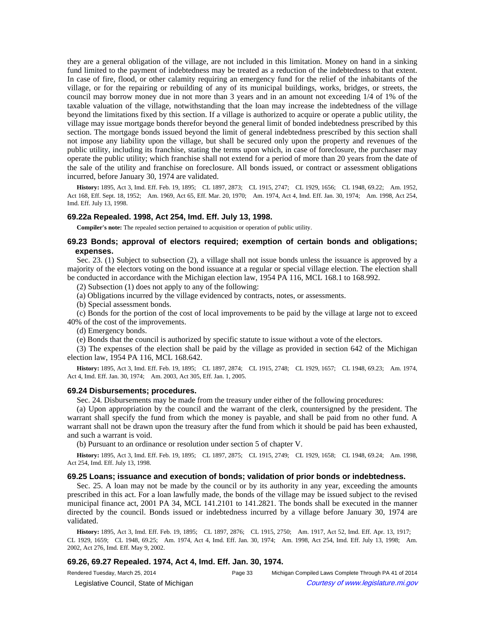they are a general obligation of the village, are not included in this limitation. Money on hand in a sinking fund limited to the payment of indebtedness may be treated as a reduction of the indebtedness to that extent. In case of fire, flood, or other calamity requiring an emergency fund for the relief of the inhabitants of the village, or for the repairing or rebuilding of any of its municipal buildings, works, bridges, or streets, the council may borrow money due in not more than 3 years and in an amount not exceeding 1/4 of 1% of the taxable valuation of the village, notwithstanding that the loan may increase the indebtedness of the village beyond the limitations fixed by this section. If a village is authorized to acquire or operate a public utility, the village may issue mortgage bonds therefor beyond the general limit of bonded indebtedness prescribed by this section. The mortgage bonds issued beyond the limit of general indebtedness prescribed by this section shall not impose any liability upon the village, but shall be secured only upon the property and revenues of the public utility, including its franchise, stating the terms upon which, in case of foreclosure, the purchaser may operate the public utility; which franchise shall not extend for a period of more than 20 years from the date of the sale of the utility and franchise on foreclosure. All bonds issued, or contract or assessment obligations incurred, before January 30, 1974 are validated.

History: 1895, Act 3, Imd. Eff. Feb. 19, 1895;-CL 1897, 2873;-CL 1915, 2747;-CL 1929, 1656;-CL 1948, 69.22;-Am. 1952, Act 168, Eff. Sept. 18, 1952;—Am. 1969, Act 65, Eff. Mar. 20, 1970;—Am. 1974, Act 4, Imd. Eff. Jan. 30, 1974;—Am. 1998, Act 254, Imd. Eff. July 13, 1998.

### **69.22a Repealed. 1998, Act 254, Imd. Eff. July 13, 1998.**

**Compiler's note:** The repealed section pertained to acquisition or operation of public utility.

# **69.23 Bonds; approval of electors required; exemption of certain bonds and obligations; expenses.**

Sec. 23. (1) Subject to subsection (2), a village shall not issue bonds unless the issuance is approved by a majority of the electors voting on the bond issuance at a regular or special village election. The election shall be conducted in accordance with the Michigan election law, 1954 PA 116, MCL 168.1 to 168.992.

(2) Subsection (1) does not apply to any of the following:

(a) Obligations incurred by the village evidenced by contracts, notes, or assessments.

(b) Special assessment bonds.

(c) Bonds for the portion of the cost of local improvements to be paid by the village at large not to exceed 40% of the cost of the improvements.

(d) Emergency bonds.

(e) Bonds that the council is authorized by specific statute to issue without a vote of the electors.

(3) The expenses of the election shall be paid by the village as provided in section 642 of the Michigan election law, 1954 PA 116, MCL 168.642.

History: 1895, Act 3, Imd. Eff. Feb. 19, 1895;—CL 1897, 2874;—CL 1915, 2748;—CL 1929, 1657;—CL 1948, 69.23;—Am. 1974, Act 4, Imd. Eff. Jan. 30, 1974;--- Am. 2003, Act 305, Eff. Jan. 1, 2005.

### **69.24 Disbursements; procedures.**

Sec. 24. Disbursements may be made from the treasury under either of the following procedures:

(a) Upon appropriation by the council and the warrant of the clerk, countersigned by the president. The warrant shall specify the fund from which the money is payable, and shall be paid from no other fund. A warrant shall not be drawn upon the treasury after the fund from which it should be paid has been exhausted, and such a warrant is void.

(b) Pursuant to an ordinance or resolution under section 5 of chapter V.

History: 1895, Act 3, Imd. Eff. Feb. 19, 1895;-CL 1897, 2875;-CL 1915, 2749;-CL 1929, 1658;-CL 1948, 69.24;-Am. 1998, Act 254, Imd. Eff. July 13, 1998.

#### **69.25 Loans; issuance and execution of bonds; validation of prior bonds or indebtedness.**

Sec. 25. A loan may not be made by the council or by its authority in any year, exceeding the amounts prescribed in this act. For a loan lawfully made, the bonds of the village may be issued subject to the revised municipal finance act, 2001 PA 34, MCL 141.2101 to 141.2821. The bonds shall be executed in the manner directed by the council. Bonds issued or indebtedness incurred by a village before January 30, 1974 are validated.

History: 1895, Act 3, Imd. Eff. Feb. 19, 1895; -CL 1897, 2876; -CL 1915, 2750; -Am. 1917, Act 52, Imd. Eff. Apr. 13, 1917; -CL 1929, 1659;-CL 1948, 69.25;-Am. 1974, Act 4, Imd. Eff. Jan. 30, 1974;-Am. 1998, Act 254, Imd. Eff. July 13, 1998;--Am. 2002, Act 276, Imd. Eff. May 9, 2002.

### **69.26, 69.27 Repealed. 1974, Act 4, Imd. Eff. Jan. 30, 1974.**

Rendered Tuesday, March 25, 2014 Page 33 Michigan Compiled Laws Complete Through PA 41 of 2014 © Legislative Council, State of Michigan Council Courtesy of www.legislature.mi.gov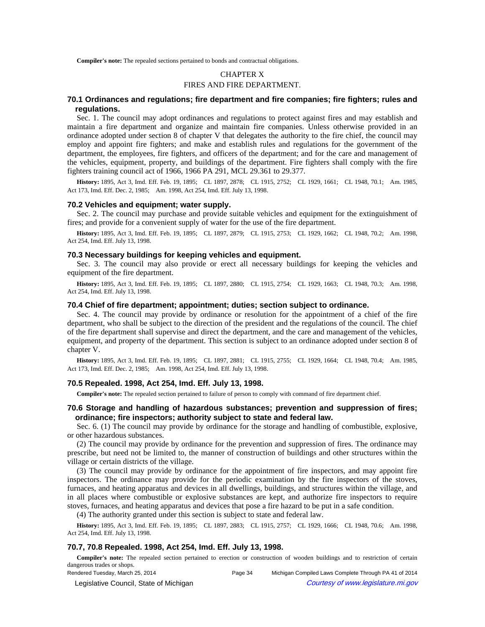**Compiler's note:** The repealed sections pertained to bonds and contractual obligations.

# CHAPTER X FIRES AND FIRE DEPARTMENT.

# **70.1 Ordinances and regulations; fire department and fire companies; fire fighters; rules and regulations.**

Sec. 1. The council may adopt ordinances and regulations to protect against fires and may establish and maintain a fire department and organize and maintain fire companies. Unless otherwise provided in an ordinance adopted under section 8 of chapter V that delegates the authority to the fire chief, the council may employ and appoint fire fighters; and make and establish rules and regulations for the government of the department, the employees, fire fighters, and officers of the department; and for the care and management of the vehicles, equipment, property, and buildings of the department. Fire fighters shall comply with the fire fighters training council act of 1966, 1966 PA 291, MCL 29.361 to 29.377.

History: 1895, Act 3, Imd. Eff. Feb. 19, 1895; CL 1897, 2878; CL 1915, 2752; CL 1929, 1661; CL 1948, 70.1; Am. 1985, Act 173, Imd. Eff. Dec. 2, 1985;—Am. 1998, Act 254, Imd. Eff. July 13, 1998.

### **70.2 Vehicles and equipment; water supply.**

Sec. 2. The council may purchase and provide suitable vehicles and equipment for the extinguishment of fires; and provide for a convenient supply of water for the use of the fire department.

History: 1895, Act 3, Imd. Eff. Feb. 19, 1895;-CL 1897, 2879;-CL 1915, 2753;-CL 1929, 1662;-CL 1948, 70.2;-Am. 1998, Act 254, Imd. Eff. July 13, 1998.

#### **70.3 Necessary buildings for keeping vehicles and equipment.**

Sec. 3. The council may also provide or erect all necessary buildings for keeping the vehicles and equipment of the fire department.

History: 1895, Act 3, Imd. Eff. Feb. 19, 1895;-CL 1897, 2880;-CL 1915, 2754;-CL 1929, 1663;-CL 1948, 70.3;-Am. 1998, Act 254, Imd. Eff. July 13, 1998.

# **70.4 Chief of fire department; appointment; duties; section subject to ordinance.**

Sec. 4. The council may provide by ordinance or resolution for the appointment of a chief of the fire department, who shall be subject to the direction of the president and the regulations of the council. The chief of the fire department shall supervise and direct the department, and the care and management of the vehicles, equipment, and property of the department. This section is subject to an ordinance adopted under section 8 of chapter V.

History: 1895, Act 3, Imd. Eff. Feb. 19, 1895;-CL 1897, 2881;-CL 1915, 2755;-CL 1929, 1664;-CL 1948, 70.4;-Am. 1985, Act 173, Imd. Eff. Dec. 2, 1985;-Am. 1998, Act 254, Imd. Eff. July 13, 1998.

# **70.5 Repealed. 1998, Act 254, Imd. Eff. July 13, 1998.**

**Compiler's note:** The repealed section pertained to failure of person to comply with command of fire department chief.

# **70.6 Storage and handling of hazardous substances; prevention and suppression of fires; ordinance; fire inspectors; authority subject to state and federal law.**

Sec. 6. (1) The council may provide by ordinance for the storage and handling of combustible, explosive, or other hazardous substances.

(2) The council may provide by ordinance for the prevention and suppression of fires. The ordinance may prescribe, but need not be limited to, the manner of construction of buildings and other structures within the village or certain districts of the village.

(3) The council may provide by ordinance for the appointment of fire inspectors, and may appoint fire inspectors. The ordinance may provide for the periodic examination by the fire inspectors of the stoves, furnaces, and heating apparatus and devices in all dwellings, buildings, and structures within the village, and in all places where combustible or explosive substances are kept, and authorize fire inspectors to require stoves, furnaces, and heating apparatus and devices that pose a fire hazard to be put in a safe condition.

(4) The authority granted under this section is subject to state and federal law.

History: 1895, Act 3, Imd. Eff. Feb. 19, 1895;-CL 1897, 2883;-CL 1915, 2757;-CL 1929, 1666;-CL 1948, 70.6;-Am. 1998, Act 254, Imd. Eff. July 13, 1998.

# **70.7, 70.8 Repealed. 1998, Act 254, Imd. Eff. July 13, 1998.**

**Compiler's note:** The repealed section pertained to erection or construction of wooden buildings and to restriction of certain dangerous trades or shops.

Rendered Tuesday, March 25, 2014 Page 34 Michigan Compiled Laws Complete Through PA 41 of 2014 © Legislative Council, State of Michigan Council Courtesy of www.legislature.mi.gov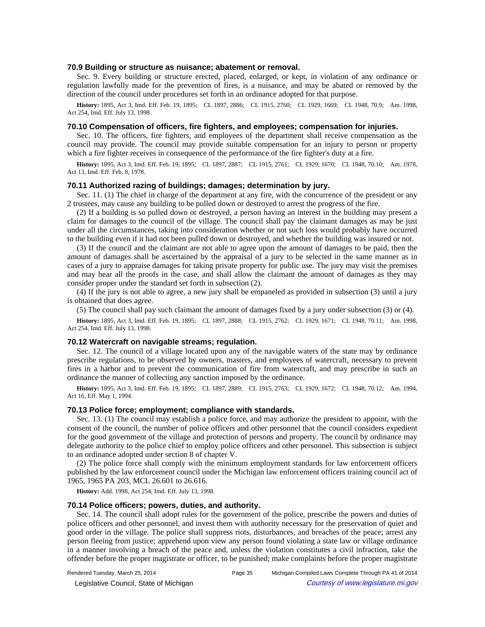### **70.9 Building or structure as nuisance; abatement or removal.**

Sec. 9. Every building or structure erected, placed, enlarged, or kept, in violation of any ordinance or regulation lawfully made for the prevention of fires, is a nuisance, and may be abated or removed by the direction of the council under procedures set forth in an ordinance adopted for that purpose.

History: 1895, Act 3, Imd. Eff. Feb. 19, 1895;—CL 1897, 2886;—CL 1915, 2760;—CL 1929, 1669;—CL 1948, 70.9;—Am. 1998, Act 254, Imd. Eff. July 13, 1998.

# **70.10 Compensation of officers, fire fighters, and employees; compensation for injuries.**

Sec. 10. The officers, fire fighters, and employees of the department shall receive compensation as the council may provide. The council may provide suitable compensation for an injury to person or property which a fire fighter receives in consequence of the performance of the fire fighter's duty at a fire.

**History:** 1895, Act 3, Imd. Eff. Feb. 19, 1895;—CL 1897, 2887;—CL 1915, 2761;—CL 1929, 1670;—CL 1948, 70.10;—Am. 1978, Act 13, Imd. Eff. Feb. 8, 1978.

#### **70.11 Authorized razing of buildings; damages; determination by jury.**

Sec. 11. (1) The chief in charge of the department at any fire, with the concurrence of the president or any 2 trustees, may cause any building to be pulled down or destroyed to arrest the progress of the fire.

(2) If a building is so pulled down or destroyed, a person having an interest in the building may present a claim for damages to the council of the village. The council shall pay the claimant damages as may be just under all the circumstances, taking into consideration whether or not such loss would probably have occurred to the building even if it had not been pulled down or destroyed, and whether the building was insured or not.

(3) If the council and the claimant are not able to agree upon the amount of damages to be paid, then the amount of damages shall be ascertained by the appraisal of a jury to be selected in the same manner as in cases of a jury to appraise damages for taking private property for public use. The jury may visit the premises and may hear all the proofs in the case, and shall allow the claimant the amount of damages as they may consider proper under the standard set forth in subsection (2).

(4) If the jury is not able to agree, a new jury shall be empaneled as provided in subsection (3) until a jury is obtained that does agree.

(5) The council shall pay such claimant the amount of damages fixed by a jury under subsection (3) or (4).

History: 1895, Act 3, Imd. Eff. Feb. 19, 1895;-CL 1897, 2888;-CL 1915, 2762;-CL 1929, 1671;-CL 1948, 70.11;-Am. 1998, Act 254, Imd. Eff. July 13, 1998.

### **70.12 Watercraft on navigable streams; regulation.**

Sec. 12. The council of a village located upon any of the navigable waters of the state may by ordinance prescribe regulations, to be observed by owners, masters, and employees of watercraft, necessary to prevent fires in a harbor and to prevent the communication of fire from watercraft, and may prescribe in such an ordinance the manner of collecting any sanction imposed by the ordinance.

History: 1895, Act 3, Imd. Eff. Feb. 19, 1895;-CL 1897, 2889;-CL 1915, 2763;-CL 1929, 1672;-CL 1948, 70.12;-Am. 1994, Act 16, Eff. May 1, 1994.

# **70.13 Police force; employment; compliance with standards.**

Sec. 13. (1) The council may establish a police force, and may authorize the president to appoint, with the consent of the council, the number of police officers and other personnel that the council considers expedient for the good government of the village and protection of persons and property. The council by ordinance may delegate authority to the police chief to employ police officers and other personnel. This subsection is subject to an ordinance adopted under section 8 of chapter V.

(2) The police force shall comply with the minimum employment standards for law enforcement officers published by the law enforcement council under the Michigan law enforcement officers training council act of 1965, 1965 PA 203, MCL 26.601 to 26.616.

**History:** Add. 1998, Act 254, Imd. Eff. July 13, 1998.

### **70.14 Police officers; powers, duties, and authority.**

Sec. 14. The council shall adopt rules for the government of the police, prescribe the powers and duties of police officers and other personnel, and invest them with authority necessary for the preservation of quiet and good order in the village. The police shall suppress riots, disturbances, and breaches of the peace; arrest any person fleeing from justice; apprehend upon view any person found violating a state law or village ordinance in a manner involving a breach of the peace and, unless the violation constitutes a civil infraction, take the offender before the proper magistrate or officer, to be punished; make complaints before the proper magistrate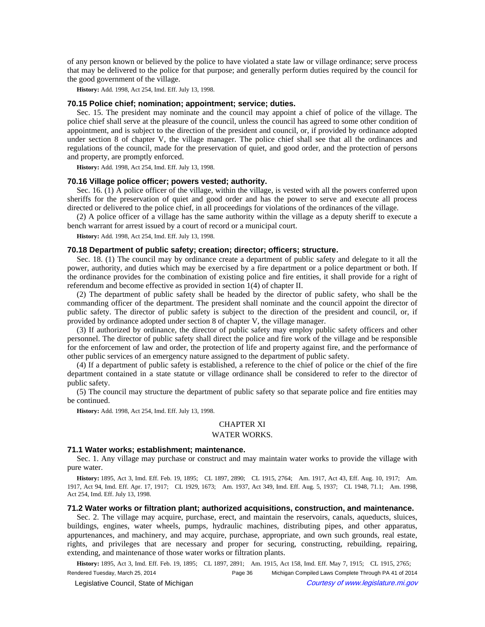of any person known or believed by the police to have violated a state law or village ordinance; serve process that may be delivered to the police for that purpose; and generally perform duties required by the council for the good government of the village.

**History:** Add. 1998, Act 254, Imd. Eff. July 13, 1998.

# **70.15 Police chief; nomination; appointment; service; duties.**

Sec. 15. The president may nominate and the council may appoint a chief of police of the village. The police chief shall serve at the pleasure of the council, unless the council has agreed to some other condition of appointment, and is subject to the direction of the president and council, or, if provided by ordinance adopted under section 8 of chapter V, the village manager. The police chief shall see that all the ordinances and regulations of the council, made for the preservation of quiet, and good order, and the protection of persons and property, are promptly enforced.

**History:** Add. 1998, Act 254, Imd. Eff. July 13, 1998.

#### **70.16 Village police officer; powers vested; authority.**

Sec. 16. (1) A police officer of the village, within the village, is vested with all the powers conferred upon sheriffs for the preservation of quiet and good order and has the power to serve and execute all process directed or delivered to the police chief, in all proceedings for violations of the ordinances of the village.

(2) A police officer of a village has the same authority within the village as a deputy sheriff to execute a bench warrant for arrest issued by a court of record or a municipal court.

**History:** Add. 1998, Act 254, Imd. Eff. July 13, 1998.

### **70.18 Department of public safety; creation; director; officers; structure.**

Sec. 18. (1) The council may by ordinance create a department of public safety and delegate to it all the power, authority, and duties which may be exercised by a fire department or a police department or both. If the ordinance provides for the combination of existing police and fire entities, it shall provide for a right of referendum and become effective as provided in section 1(4) of chapter II.

(2) The department of public safety shall be headed by the director of public safety, who shall be the commanding officer of the department. The president shall nominate and the council appoint the director of public safety. The director of public safety is subject to the direction of the president and council, or, if provided by ordinance adopted under section 8 of chapter V, the village manager.

(3) If authorized by ordinance, the director of public safety may employ public safety officers and other personnel. The director of public safety shall direct the police and fire work of the village and be responsible for the enforcement of law and order, the protection of life and property against fire, and the performance of other public services of an emergency nature assigned to the department of public safety.

(4) If a department of public safety is established, a reference to the chief of police or the chief of the fire department contained in a state statute or village ordinance shall be considered to refer to the director of public safety.

(5) The council may structure the department of public safety so that separate police and fire entities may be continued.

**History:** Add. 1998, Act 254, Imd. Eff. July 13, 1998.

# CHAPTER XI

#### WATER WORKS.

#### **71.1 Water works; establishment; maintenance.**

Sec. 1. Any village may purchase or construct and may maintain water works to provide the village with pure water.

History: 1895, Act 3, Imd. Eff. Feb. 19, 1895; CL 1897, 2890; CL 1915, 2764; Am. 1917, Act 43, Eff. Aug. 10, 1917; Am. 1917, Act 94, Imd. Eff. Apr. 17, 1917;-CL 1929, 1673;--Am. 1937, Act 349, Imd. Eff. Aug. 5, 1937;--CL 1948, 71.1;--Am. 1998, Act 254, Imd. Eff. July 13, 1998.

# **71.2 Water works or filtration plant; authorized acquisitions, construction, and maintenance.**

Sec. 2. The village may acquire, purchase, erect, and maintain the reservoirs, canals, aqueducts, sluices, buildings, engines, water wheels, pumps, hydraulic machines, distributing pipes, and other apparatus, appurtenances, and machinery, and may acquire, purchase, appropriate, and own such grounds, real estate, rights, and privileges that are necessary and proper for securing, constructing, rebuilding, repairing, extending, and maintenance of those water works or filtration plants.

History: 1895, Act 3, Imd. Eff. Feb. 19, 1895;-CL 1897, 2891;--Am. 1915, Act 158, Imd. Eff. May 7, 1915;-CL 1915, 2765;-Rendered Tuesday, March 25, 2014 Page 36 Michigan Compiled Laws Complete Through PA 41 of 2014 © Legislative Council, State of Michigan Council Courtesy of www.legislature.mi.gov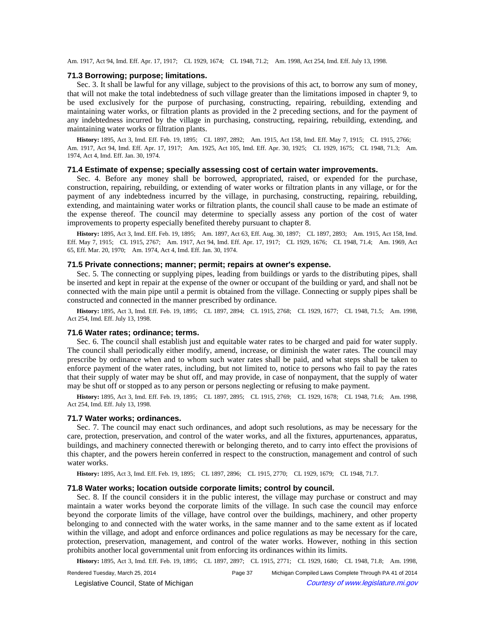Am. 1917, Act 94, Imd. Eff. Apr. 17, 1917;-CL 1929, 1674;-CL 1948, 71.2;-Am. 1998, Act 254, Imd. Eff. July 13, 1998.

#### **71.3 Borrowing; purpose; limitations.**

Sec. 3. It shall be lawful for any village, subject to the provisions of this act, to borrow any sum of money, that will not make the total indebtedness of such village greater than the limitations imposed in chapter 9, to be used exclusively for the purpose of purchasing, constructing, repairing, rebuilding, extending and maintaining water works, or filtration plants as provided in the 2 preceding sections, and for the payment of any indebtedness incurred by the village in purchasing, constructing, repairing, rebuilding, extending, and maintaining water works or filtration plants.

History: 1895, Act 3, Imd. Eff. Feb. 19, 1895;-CL 1897, 2892;--Am. 1915, Act 158, Imd. Eff. May 7, 1915;-CL 1915, 2766;-Am. 1917, Act 94, Imd. Eff. Apr. 17, 1917;—Am. 1925, Act 105, Imd. Eff. Apr. 30, 1925;—CL 1929, 1675;—CL 1948, 71.3;—Am. 1974, Act 4, Imd. Eff. Jan. 30, 1974.

# **71.4 Estimate of expense; specially assessing cost of certain water improvements.**

Sec. 4. Before any money shall be borrowed, appropriated, raised, or expended for the purchase, construction, repairing, rebuilding, or extending of water works or filtration plants in any village, or for the payment of any indebtedness incurred by the village, in purchasing, constructing, repairing, rebuilding, extending, and maintaining water works or filtration plants, the council shall cause to be made an estimate of the expense thereof. The council may determine to specially assess any portion of the cost of water improvements to property especially benefited thereby pursuant to chapter 8.

History: 1895, Act 3, Imd. Eff. Feb. 19, 1895;--Am. 1897, Act 63, Eff. Aug. 30, 1897;--CL 1897, 2893;--Am. 1915, Act 158, Imd. Eff. May 7, 1915;-CL 1915, 2767;-Am. 1917, Act 94, Imd. Eff. Apr. 17, 1917;-CL 1929, 1676;-CL 1948, 71.4;-Am. 1969, Act 65, Eff. Mar. 20, 1970;--- Am. 1974, Act 4, Imd. Eff. Jan. 30, 1974.

# **71.5 Private connections; manner; permit; repairs at owner's expense.**

Sec. 5. The connecting or supplying pipes, leading from buildings or yards to the distributing pipes, shall be inserted and kept in repair at the expense of the owner or occupant of the building or yard, and shall not be connected with the main pipe until a permit is obtained from the village. Connecting or supply pipes shall be constructed and connected in the manner prescribed by ordinance.

History: 1895, Act 3, Imd. Eff. Feb. 19, 1895;-CL 1897, 2894;-CL 1915, 2768;-CL 1929, 1677;-CL 1948, 71.5;-Am. 1998, Act 254, Imd. Eff. July 13, 1998.

#### **71.6 Water rates; ordinance; terms.**

Sec. 6. The council shall establish just and equitable water rates to be charged and paid for water supply. The council shall periodically either modify, amend, increase, or diminish the water rates. The council may prescribe by ordinance when and to whom such water rates shall be paid, and what steps shall be taken to enforce payment of the water rates, including, but not limited to, notice to persons who fail to pay the rates that their supply of water may be shut off, and may provide, in case of nonpayment, that the supply of water may be shut off or stopped as to any person or persons neglecting or refusing to make payment.

History: 1895, Act 3, Imd. Eff. Feb. 19, 1895;-CL 1897, 2895;-CL 1915, 2769;-CL 1929, 1678;-CL 1948, 71.6;-Am. 1998, Act 254, Imd. Eff. July 13, 1998.

#### **71.7 Water works; ordinances.**

Sec. 7. The council may enact such ordinances, and adopt such resolutions, as may be necessary for the care, protection, preservation, and control of the water works, and all the fixtures, appurtenances, apparatus, buildings, and machinery connected therewith or belonging thereto, and to carry into effect the provisions of this chapter, and the powers herein conferred in respect to the construction, management and control of such water works.

History: 1895, Act 3, Imd. Eff. Feb. 19, 1895;-CL 1897, 2896;-CL 1915, 2770;-CL 1929, 1679;-CL 1948, 71.7.

### **71.8 Water works; location outside corporate limits; control by council.**

Sec. 8. If the council considers it in the public interest, the village may purchase or construct and may maintain a water works beyond the corporate limits of the village. In such case the council may enforce beyond the corporate limits of the village, have control over the buildings, machinery, and other property belonging to and connected with the water works, in the same manner and to the same extent as if located within the village, and adopt and enforce ordinances and police regulations as may be necessary for the care, protection, preservation, management, and control of the water works. However, nothing in this section prohibits another local governmental unit from enforcing its ordinances within its limits.

History: 1895, Act 3, Imd. Eff. Feb. 19, 1895;-CL 1897, 2897;-CL 1915, 2771;-CL 1929, 1680;-CL 1948, 71.8;-Am. 1998,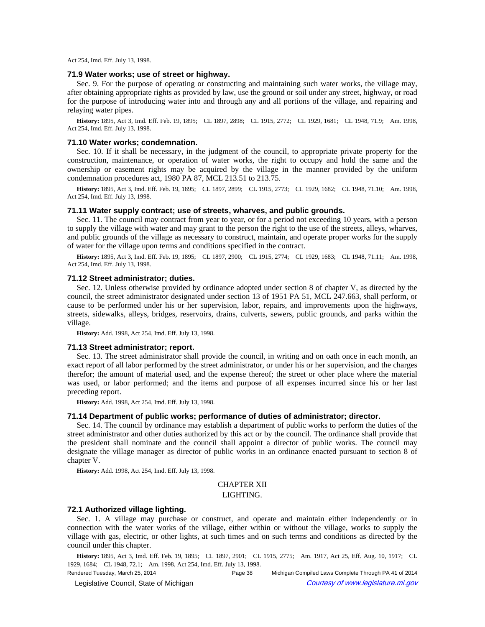Act 254, Imd. Eff. July 13, 1998.

# **71.9 Water works; use of street or highway.**

Sec. 9. For the purpose of operating or constructing and maintaining such water works, the village may, after obtaining appropriate rights as provided by law, use the ground or soil under any street, highway, or road for the purpose of introducing water into and through any and all portions of the village, and repairing and relaying water pipes.

History: 1895, Act 3, Imd. Eff. Feb. 19, 1895;-CL 1897, 2898;-CL 1915, 2772;-CL 1929, 1681;-CL 1948, 71.9;-Am. 1998, Act 254, Imd. Eff. July 13, 1998.

### **71.10 Water works; condemnation.**

Sec. 10. If it shall be necessary, in the judgment of the council, to appropriate private property for the construction, maintenance, or operation of water works, the right to occupy and hold the same and the ownership or easement rights may be acquired by the village in the manner provided by the uniform condemnation procedures act, 1980 PA 87, MCL 213.51 to 213.75.

History: 1895, Act 3, Imd. Eff. Feb. 19, 1895;-CL 1897, 2899;-CL 1915, 2773;-CL 1929, 1682;-CL 1948, 71.10;-Am. 1998, Act 254, Imd. Eff. July 13, 1998.

#### **71.11 Water supply contract; use of streets, wharves, and public grounds.**

Sec. 11. The council may contract from year to year, or for a period not exceeding 10 years, with a person to supply the village with water and may grant to the person the right to the use of the streets, alleys, wharves, and public grounds of the village as necessary to construct, maintain, and operate proper works for the supply of water for the village upon terms and conditions specified in the contract.

History: 1895, Act 3, Imd. Eff. Feb. 19, 1895;-CL 1897, 2900;-CL 1915, 2774;-CL 1929, 1683;-CL 1948, 71.11;-Am. 1998, Act 254, Imd. Eff. July 13, 1998.

# **71.12 Street administrator; duties.**

Sec. 12. Unless otherwise provided by ordinance adopted under section 8 of chapter V, as directed by the council, the street administrator designated under section 13 of 1951 PA 51, MCL 247.663, shall perform, or cause to be performed under his or her supervision, labor, repairs, and improvements upon the highways, streets, sidewalks, alleys, bridges, reservoirs, drains, culverts, sewers, public grounds, and parks within the village.

**History:** Add. 1998, Act 254, Imd. Eff. July 13, 1998.

# **71.13 Street administrator; report.**

Sec. 13. The street administrator shall provide the council, in writing and on oath once in each month, an exact report of all labor performed by the street administrator, or under his or her supervision, and the charges therefor; the amount of material used, and the expense thereof; the street or other place where the material was used, or labor performed; and the items and purpose of all expenses incurred since his or her last preceding report.

**History:** Add. 1998, Act 254, Imd. Eff. July 13, 1998.

#### **71.14 Department of public works; performance of duties of administrator; director.**

Sec. 14. The council by ordinance may establish a department of public works to perform the duties of the street administrator and other duties authorized by this act or by the council. The ordinance shall provide that the president shall nominate and the council shall appoint a director of public works. The council may designate the village manager as director of public works in an ordinance enacted pursuant to section 8 of chapter V.

**History:** Add. 1998, Act 254, Imd. Eff. July 13, 1998.

# CHAPTER XII LIGHTING.

#### **72.1 Authorized village lighting.**

Sec. 1. A village may purchase or construct, and operate and maintain either independently or in connection with the water works of the village, either within or without the village, works to supply the village with gas, electric, or other lights, at such times and on such terms and conditions as directed by the council under this chapter.

History: 1895, Act 3, Imd. Eff. Feb. 19, 1895;—CL 1897, 2901;—CL 1915, 2775;—Am. 1917, Act 25, Eff. Aug. 10, 1917;—CL 1929, 1684; CL 1948, 72.1; Am. 1998, Act 254, Imd. Eff. July 13, 1998.

Rendered Tuesday, March 25, 2014 Page 38 Michigan Compiled Laws Complete Through PA 41 of 2014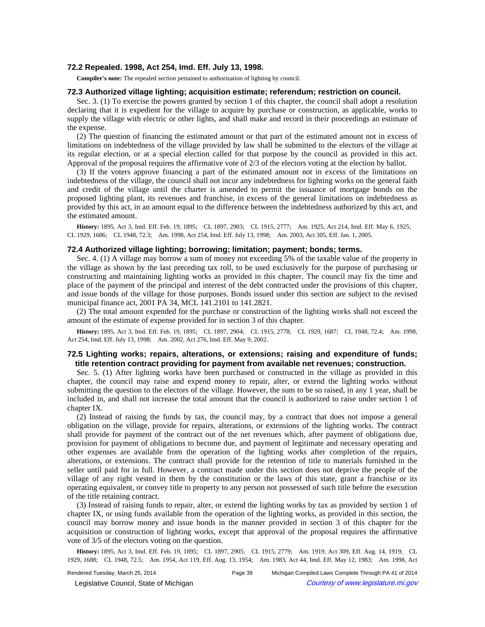# **72.2 Repealed. 1998, Act 254, Imd. Eff. July 13, 1998.**

**Compiler's note:** The repealed section pertained to authorization of lighting by council.

# **72.3 Authorized village lighting; acquisition estimate; referendum; restriction on council.**

Sec. 3. (1) To exercise the powers granted by section 1 of this chapter, the council shall adopt a resolution declaring that it is expedient for the village to acquire by purchase or construction, as applicable, works to supply the village with electric or other lights, and shall make and record in their proceedings an estimate of the expense.

(2) The question of financing the estimated amount or that part of the estimated amount not in excess of limitations on indebtedness of the village provided by law shall be submitted to the electors of the village at its regular election, or at a special election called for that purpose by the council as provided in this act. Approval of the proposal requires the affirmative vote of 2/3 of the electors voting at the election by ballot.

(3) If the voters approve financing a part of the estimated amount not in excess of the limitations on indebtedness of the village, the council shall not incur any indebtedness for lighting works on the general faith and credit of the village until the charter is amended to permit the issuance of mortgage bonds on the proposed lighting plant, its revenues and franchise, in excess of the general limitations on indebtedness as provided by this act, in an amount equal to the difference between the indebtedness authorized by this act, and the estimated amount.

History: 1895, Act 3, Imd. Eff. Feb. 19, 1895;-CL 1897, 2903;-CL 1915, 2777;-Am. 1925, Act 214, Imd. Eff. May 6, 1925;-CL 1929, 1686;-CL 1948, 72.3;-Am. 1998, Act 254, Imd. Eff. July 13, 1998;-Am. 2003, Act 305, Eff. Jan. 1, 2005.

### **72.4 Authorized village lighting; borrowing; limitation; payment; bonds; terms.**

Sec. 4. (1) A village may borrow a sum of money not exceeding 5% of the taxable value of the property in the village as shown by the last preceding tax roll, to be used exclusively for the purpose of purchasing or constructing and maintaining lighting works as provided in this chapter. The council may fix the time and place of the payment of the principal and interest of the debt contracted under the provisions of this chapter, and issue bonds of the village for those purposes. Bonds issued under this section are subject to the revised municipal finance act, 2001 PA 34, MCL 141.2101 to 141.2821.

(2) The total amount expended for the purchase or construction of the lighting works shall not exceed the amount of the estimate of expense provided for in section 3 of this chapter.

History: 1895, Act 3, Imd. Eff. Feb. 19, 1895;-CL 1897, 2904;-CL 1915, 2778;-CL 1929, 1687;-CL 1948, 72.4;-Am. 1998, Act 254, Imd. Eff. July 13, 1998;-- Am. 2002, Act 276, Imd. Eff. May 9, 2002.

# **72.5 Lighting works; repairs, alterations, or extensions; raising and expenditure of funds; title retention contract providing for payment from available net revenues; construction.**

Sec. 5. (1) After lighting works have been purchased or constructed in the village as provided in this chapter, the council may raise and expend money to repair, alter, or extend the lighting works without submitting the question to the electors of the village. However, the sum to be so raised, in any 1 year, shall be included in, and shall not increase the total amount that the council is authorized to raise under section 1 of chapter IX.

(2) Instead of raising the funds by tax, the council may, by a contract that does not impose a general obligation on the village, provide for repairs, alterations, or extensions of the lighting works. The contract shall provide for payment of the contract out of the net revenues which, after payment of obligations due, provision for payment of obligations to become due, and payment of legitimate and necessary operating and other expenses are available from the operation of the lighting works after completion of the repairs, alterations, or extensions. The contract shall provide for the retention of title to materials furnished in the seller until paid for in full. However, a contract made under this section does not deprive the people of the village of any right vested in them by the constitution or the laws of this state, grant a franchise or its operating equivalent, or convey title to property to any person not possessed of such title before the execution of the title retaining contract.

(3) Instead of raising funds to repair, alter, or extend the lighting works by tax as provided by section 1 of chapter IX, or using funds available from the operation of the lighting works, as provided in this section, the council may borrow money and issue bonds in the manner provided in section 3 of this chapter for the acquisition or construction of lighting works, except that approval of the proposal requires the affirmative vote of 3/5 of the electors voting on the question.

History: 1895, Act 3, Imd. Eff. Feb. 19, 1895; CL 1897, 2905; CL 1915, 2779; Am. 1919, Act 309, Eff. Aug. 14, 1919; CL 1929, 1688; CL 1948, 72.5; Am. 1954, Act 119, Eff. Aug. 13, 1954; Am. 1983, Act 44, Imd. Eff. May 12, 1983; Am. 1998, Act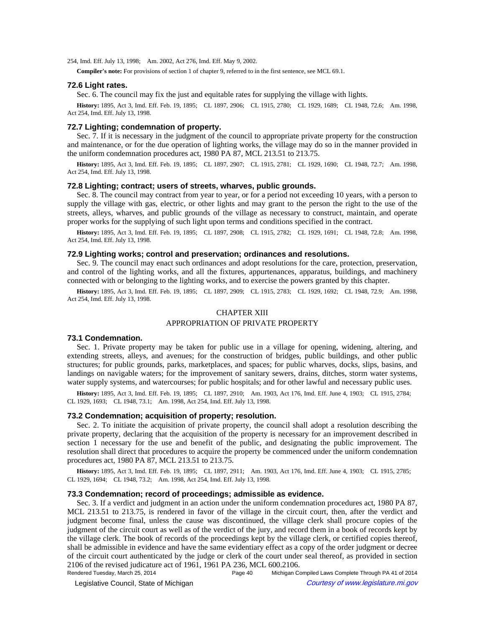254, Imd. Eff. July 13, 1998;-- Am. 2002, Act 276, Imd. Eff. May 9, 2002.

**Compiler's note:** For provisions of section 1 of chapter 9, referred to in the first sentence, see MCL 69.1.

#### **72.6 Light rates.**

Sec. 6. The council may fix the just and equitable rates for supplying the village with lights.

History: 1895, Act 3, Imd. Eff. Feb. 19, 1895;-CL 1897, 2906;-CL 1915, 2780;-CL 1929, 1689;-CL 1948, 72.6;-Am. 1998, Act 254, Imd. Eff. July 13, 1998.

### **72.7 Lighting; condemnation of property.**

Sec. 7. If it is necessary in the judgment of the council to appropriate private property for the construction and maintenance, or for the due operation of lighting works, the village may do so in the manner provided in the uniform condemnation procedures act, 1980 PA 87, MCL 213.51 to 213.75.

History: 1895, Act 3, Imd. Eff. Feb. 19, 1895; CL 1897, 2907; CL 1915, 2781; CL 1929, 1690; CL 1948, 72.7; Am. 1998, Act 254, Imd. Eff. July 13, 1998.

#### **72.8 Lighting; contract; users of streets, wharves, public grounds.**

Sec. 8. The council may contract from year to year, or for a period not exceeding 10 years, with a person to supply the village with gas, electric, or other lights and may grant to the person the right to the use of the streets, alleys, wharves, and public grounds of the village as necessary to construct, maintain, and operate proper works for the supplying of such light upon terms and conditions specified in the contract.

History: 1895, Act 3, Imd. Eff. Feb. 19, 1895; CL 1897, 2908; CL 1915, 2782; CL 1929, 1691; CL 1948, 72.8; Am. 1998, Act 254, Imd. Eff. July 13, 1998.

# **72.9 Lighting works; control and preservation; ordinances and resolutions.**

Sec. 9. The council may enact such ordinances and adopt resolutions for the care, protection, preservation, and control of the lighting works, and all the fixtures, appurtenances, apparatus, buildings, and machinery connected with or belonging to the lighting works, and to exercise the powers granted by this chapter.

History: 1895, Act 3, Imd. Eff. Feb. 19, 1895;-CL 1897, 2909;-CL 1915, 2783;-CL 1929, 1692;-CL 1948, 72.9;-Am. 1998, Act 254, Imd. Eff. July 13, 1998.

# CHAPTER XIII

#### APPROPRIATION OF PRIVATE PROPERTY

### **73.1 Condemnation.**

Sec. 1. Private property may be taken for public use in a village for opening, widening, altering, and extending streets, alleys, and avenues; for the construction of bridges, public buildings, and other public structures; for public grounds, parks, marketplaces, and spaces; for public wharves, docks, slips, basins, and landings on navigable waters; for the improvement of sanitary sewers, drains, ditches, storm water systems, water supply systems, and watercourses; for public hospitals; and for other lawful and necessary public uses.

History: 1895, Act 3, Imd. Eff. Feb. 19, 1895;-CL 1897, 2910;-Am. 1903, Act 176, Imd. Eff. June 4, 1903;-CL 1915, 2784;-CL 1929, 1693; - CL 1948, 73.1; - Am. 1998, Act 254, Imd. Eff. July 13, 1998.

#### **73.2 Condemnation; acquisition of property; resolution.**

Sec. 2. To initiate the acquisition of private property, the council shall adopt a resolution describing the private property, declaring that the acquisition of the property is necessary for an improvement described in section 1 necessary for the use and benefit of the public, and designating the public improvement. The resolution shall direct that procedures to acquire the property be commenced under the uniform condemnation procedures act, 1980 PA 87, MCL 213.51 to 213.75.

History: 1895, Act 3, Imd. Eff. Feb. 19, 1895;-CL 1897, 2911;--Am. 1903, Act 176, Imd. Eff. June 4, 1903;-CL 1915, 2785;-CL 1929, 1694;-CL 1948, 73.2;-Am. 1998, Act 254, Imd. Eff. July 13, 1998.

# **73.3 Condemnation; record of proceedings; admissible as evidence.**

Sec. 3. If a verdict and judgment in an action under the uniform condemnation procedures act, 1980 PA 87, MCL 213.51 to 213.75, is rendered in favor of the village in the circuit court, then, after the verdict and judgment become final, unless the cause was discontinued, the village clerk shall procure copies of the judgment of the circuit court as well as of the verdict of the jury, and record them in a book of records kept by the village clerk. The book of records of the proceedings kept by the village clerk, or certified copies thereof, shall be admissible in evidence and have the same evidentiary effect as a copy of the order judgment or decree of the circuit court authenticated by the judge or clerk of the court under seal thereof, as provided in section 2106 of the revised judicature act of 1961, 1961 PA 236, MCL 600.2106.

Rendered Tuesday, March 25, 2014 Page 40 Michigan Compiled Laws Complete Through PA 41 of 2014 © Legislative Council, State of Michigan Council Courtesy of www.legislature.mi.gov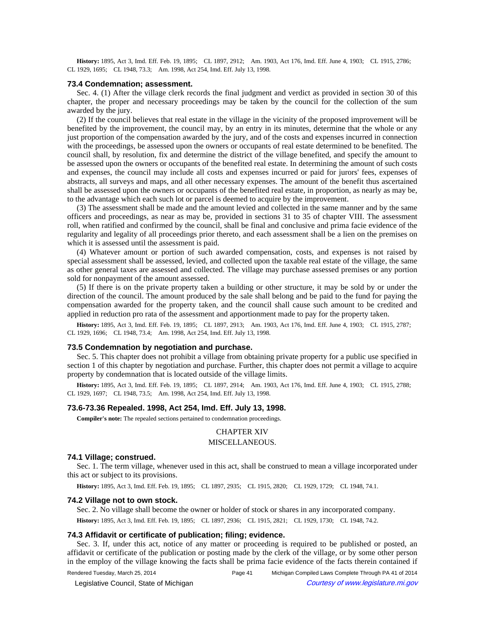History: 1895, Act 3, Imd. Eff. Feb. 19, 1895;-CL 1897, 2912;--Am. 1903, Act 176, Imd. Eff. June 4, 1903;-CL 1915, 2786;-CL 1929, 1695;-CL 1948, 73.3;-Am. 1998, Act 254, Imd. Eff. July 13, 1998.

#### **73.4 Condemnation; assessment.**

Sec. 4. (1) After the village clerk records the final judgment and verdict as provided in section 30 of this chapter, the proper and necessary proceedings may be taken by the council for the collection of the sum awarded by the jury.

(2) If the council believes that real estate in the village in the vicinity of the proposed improvement will be benefited by the improvement, the council may, by an entry in its minutes, determine that the whole or any just proportion of the compensation awarded by the jury, and of the costs and expenses incurred in connection with the proceedings, be assessed upon the owners or occupants of real estate determined to be benefited. The council shall, by resolution, fix and determine the district of the village benefited, and specify the amount to be assessed upon the owners or occupants of the benefited real estate. In determining the amount of such costs and expenses, the council may include all costs and expenses incurred or paid for jurors' fees, expenses of abstracts, all surveys and maps, and all other necessary expenses. The amount of the benefit thus ascertained shall be assessed upon the owners or occupants of the benefited real estate, in proportion, as nearly as may be, to the advantage which each such lot or parcel is deemed to acquire by the improvement.

(3) The assessment shall be made and the amount levied and collected in the same manner and by the same officers and proceedings, as near as may be, provided in sections 31 to 35 of chapter VIII. The assessment roll, when ratified and confirmed by the council, shall be final and conclusive and prima facie evidence of the regularity and legality of all proceedings prior thereto, and each assessment shall be a lien on the premises on which it is assessed until the assessment is paid.

(4) Whatever amount or portion of such awarded compensation, costs, and expenses is not raised by special assessment shall be assessed, levied, and collected upon the taxable real estate of the village, the same as other general taxes are assessed and collected. The village may purchase assessed premises or any portion sold for nonpayment of the amount assessed.

(5) If there is on the private property taken a building or other structure, it may be sold by or under the direction of the council. The amount produced by the sale shall belong and be paid to the fund for paying the compensation awarded for the property taken, and the council shall cause such amount to be credited and applied in reduction pro rata of the assessment and apportionment made to pay for the property taken.

History: 1895, Act 3, Imd. Eff. Feb. 19, 1895;-CL 1897, 2913;-Am. 1903, Act 176, Imd. Eff. June 4, 1903;-CL 1915, 2787;-CL 1929, 1696;-CL 1948, 73.4;-Am. 1998, Act 254, Imd. Eff. July 13, 1998.

# **73.5 Condemnation by negotiation and purchase.**

Sec. 5. This chapter does not prohibit a village from obtaining private property for a public use specified in section 1 of this chapter by negotiation and purchase. Further, this chapter does not permit a village to acquire property by condemnation that is located outside of the village limits.

**History:** 1895, Act 3, Imd. Eff. Feb. 19, 1895;-CL 1897, 2914;--Am. 1903, Act 176, Imd. Eff. June 4, 1903;-CL 1915, 2788;-CL 1929, 1697; - CL 1948, 73.5; - Am. 1998, Act 254, Imd. Eff. July 13, 1998.

### **73.6-73.36 Repealed. 1998, Act 254, Imd. Eff. July 13, 1998.**

**Compiler's note:** The repealed sections pertained to condemnation proceedings.

### CHAPTER XIV

### MISCELLANEOUS.

# **74.1 Village; construed.**

Sec. 1. The term village, whenever used in this act, shall be construed to mean a village incorporated under this act or subject to its provisions.

History: 1895, Act 3, Imd. Eff. Feb. 19, 1895;-CL 1897, 2935;-CL 1915, 2820;-CL 1929, 1729;-CL 1948, 74.1.

#### **74.2 Village not to own stock.**

Sec. 2. No village shall become the owner or holder of stock or shares in any incorporated company. History: 1895, Act 3, Imd. Eff. Feb. 19, 1895;-CL 1897, 2936;-CL 1915, 2821;-CL 1929, 1730;-CL 1948, 74.2.

# **74.3 Affidavit or certificate of publication; filing; evidence.**

Sec. 3. If, under this act, notice of any matter or proceeding is required to be published or posted, an affidavit or certificate of the publication or posting made by the clerk of the village, or by some other person in the employ of the village knowing the facts shall be prima facie evidence of the facts therein contained if

© Legislative Council, State of Michigan Council Courtesy of www.legislature.mi.gov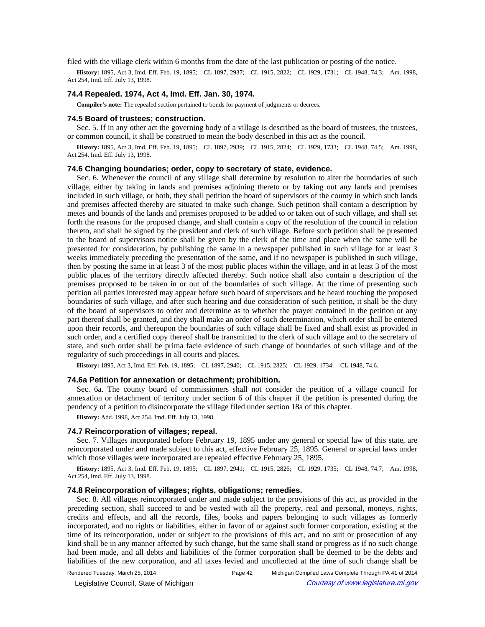filed with the village clerk within 6 months from the date of the last publication or posting of the notice.

History: 1895, Act 3, Imd. Eff. Feb. 19, 1895; CL 1897, 2937; CL 1915, 2822; CL 1929, 1731; CL 1948, 74.3; Am. 1998, Act 254, Imd. Eff. July 13, 1998.

### **74.4 Repealed. 1974, Act 4, Imd. Eff. Jan. 30, 1974.**

**Compiler's note:** The repealed section pertained to bonds for payment of judgments or decrees.

#### **74.5 Board of trustees; construction.**

Sec. 5. If in any other act the governing body of a village is described as the board of trustees, the trustees, or common council, it shall be construed to mean the body described in this act as the council.

History: 1895, Act 3, Imd. Eff. Feb. 19, 1895; CL 1897, 2939; CL 1915, 2824; CL 1929, 1733; CL 1948, 74.5; Am. 1998, Act 254, Imd. Eff. July 13, 1998.

# **74.6 Changing boundaries; order, copy to secretary of state, evidence.**

Sec. 6. Whenever the council of any village shall determine by resolution to alter the boundaries of such village, either by taking in lands and premises adjoining thereto or by taking out any lands and premises included in such village, or both, they shall petition the board of supervisors of the county in which such lands and premises affected thereby are situated to make such change. Such petition shall contain a description by metes and bounds of the lands and premises proposed to be added to or taken out of such village, and shall set forth the reasons for the proposed change, and shall contain a copy of the resolution of the council in relation thereto, and shall be signed by the president and clerk of such village. Before such petition shall be presented to the board of supervisors notice shall be given by the clerk of the time and place when the same will be presented for consideration, by publishing the same in a newspaper published in such village for at least 3 weeks immediately preceding the presentation of the same, and if no newspaper is published in such village, then by posting the same in at least 3 of the most public places within the village, and in at least 3 of the most public places of the territory directly affected thereby. Such notice shall also contain a description of the premises proposed to be taken in or out of the boundaries of such village. At the time of presenting such petition all parties interested may appear before such board of supervisors and be heard touching the proposed boundaries of such village, and after such hearing and due consideration of such petition, it shall be the duty of the board of supervisors to order and determine as to whether the prayer contained in the petition or any part thereof shall be granted, and they shall make an order of such determination, which order shall be entered upon their records, and thereupon the boundaries of such village shall be fixed and shall exist as provided in such order, and a certified copy thereof shall be transmitted to the clerk of such village and to the secretary of state, and such order shall be prima facie evidence of such change of boundaries of such village and of the regularity of such proceedings in all courts and places.

History: 1895, Act 3, Imd. Eff. Feb. 19, 1895;-CL 1897, 2940;-CL 1915, 2825;-CL 1929, 1734;-CL 1948, 74.6.

#### **74.6a Petition for annexation or detachment; prohibition.**

Sec. 6a. The county board of commissioners shall not consider the petition of a village council for annexation or detachment of territory under section 6 of this chapter if the petition is presented during the pendency of a petition to disincorporate the village filed under section 18a of this chapter.

**History:** Add. 1998, Act 254, Imd. Eff. July 13, 1998.

## **74.7 Reincorporation of villages; repeal.**

Sec. 7. Villages incorporated before February 19, 1895 under any general or special law of this state, are reincorporated under and made subject to this act, effective February 25, 1895. General or special laws under which those villages were incorporated are repealed effective February 25, 1895.

**History:** 1895, Act 3, Imd. Eff. Feb. 19, 1895;—CL 1897, 2941;—CL 1915, 2826;—CL 1929, 1735;—CL 1948, 74.7;—Am. 1998, Act 254, Imd. Eff. July 13, 1998.

### **74.8 Reincorporation of villages; rights, obligations; remedies.**

Sec. 8. All villages reincorporated under and made subject to the provisions of this act, as provided in the preceding section, shall succeed to and be vested with all the property, real and personal, moneys, rights, credits and effects, and all the records, files, books and papers belonging to such villages as formerly incorporated, and no rights or liabilities, either in favor of or against such former corporation, existing at the time of its reincorporation, under or subject to the provisions of this act, and no suit or prosecution of any kind shall be in any manner affected by such change, but the same shall stand or progress as if no such change had been made, and all debts and liabilities of the former corporation shall be deemed to be the debts and liabilities of the new corporation, and all taxes levied and uncollected at the time of such change shall be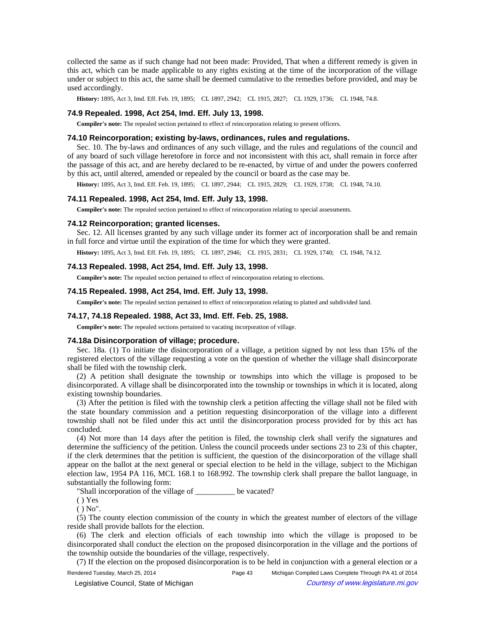collected the same as if such change had not been made: Provided, That when a different remedy is given in this act, which can be made applicable to any rights existing at the time of the incorporation of the village under or subject to this act, the same shall be deemed cumulative to the remedies before provided, and may be used accordingly.

History: 1895, Act 3, Imd. Eff. Feb. 19, 1895;-CL 1897, 2942;-CL 1915, 2827;-CL 1929, 1736;-CL 1948, 74.8.

### **74.9 Repealed. 1998, Act 254, Imd. Eff. July 13, 1998.**

**Compiler's note:** The repealed section pertained to effect of reincorporation relating to present officers.

#### **74.10 Reincorporation; existing by-laws, ordinances, rules and regulations.**

Sec. 10. The by-laws and ordinances of any such village, and the rules and regulations of the council and of any board of such village heretofore in force and not inconsistent with this act, shall remain in force after the passage of this act, and are hereby declared to be re-enacted, by virtue of and under the powers conferred by this act, until altered, amended or repealed by the council or board as the case may be.

History: 1895, Act 3, Imd. Eff. Feb. 19, 1895;-CL 1897, 2944;-CL 1915, 2829;-CL 1929, 1738;-CL 1948, 74.10.

#### **74.11 Repealed. 1998, Act 254, Imd. Eff. July 13, 1998.**

**Compiler's note:** The repealed section pertained to effect of reincorporation relating to special assessments.

#### **74.12 Reincorporation; granted licenses.**

Sec. 12. All licenses granted by any such village under its former act of incorporation shall be and remain in full force and virtue until the expiration of the time for which they were granted.

History: 1895, Act 3, Imd. Eff. Feb. 19, 1895;-CL 1897, 2946;-CL 1915, 2831;-CL 1929, 1740;-CL 1948, 74.12.

#### **74.13 Repealed. 1998, Act 254, Imd. Eff. July 13, 1998.**

**Compiler's note:** The repealed section pertained to effect of reincorporation relating to elections.

### **74.15 Repealed. 1998, Act 254, Imd. Eff. July 13, 1998.**

**Compiler's note:** The repealed section pertained to effect of reincorporation relating to platted and subdivided land.

### **74.17, 74.18 Repealed. 1988, Act 33, Imd. Eff. Feb. 25, 1988.**

**Compiler's note:** The repealed sections pertained to vacating incorporation of village.

#### **74.18a Disincorporation of village; procedure.**

Sec. 18a. (1) To initiate the disincorporation of a village, a petition signed by not less than 15% of the registered electors of the village requesting a vote on the question of whether the village shall disincorporate shall be filed with the township clerk.

(2) A petition shall designate the township or townships into which the village is proposed to be disincorporated. A village shall be disincorporated into the township or townships in which it is located, along existing township boundaries.

(3) After the petition is filed with the township clerk a petition affecting the village shall not be filed with the state boundary commission and a petition requesting disincorporation of the village into a different township shall not be filed under this act until the disincorporation process provided for by this act has concluded.

(4) Not more than 14 days after the petition is filed, the township clerk shall verify the signatures and determine the sufficiency of the petition. Unless the council proceeds under sections 23 to 23i of this chapter, if the clerk determines that the petition is sufficient, the question of the disincorporation of the village shall appear on the ballot at the next general or special election to be held in the village, subject to the Michigan election law, 1954 PA 116, MCL 168.1 to 168.992. The township clerk shall prepare the ballot language, in substantially the following form:

"Shall incorporation of the village of \_\_\_\_\_\_\_\_\_\_ be vacated?

( ) Yes

 $()$  No".

(5) The county election commission of the county in which the greatest number of electors of the village reside shall provide ballots for the election.

(6) The clerk and election officials of each township into which the village is proposed to be disincorporated shall conduct the election on the proposed disincorporation in the village and the portions of the township outside the boundaries of the village, respectively.

(7) If the election on the proposed disincorporation is to be held in conjunction with a general election or a

Rendered Tuesday, March 25, 2014 Page 43 Michigan Compiled Laws Complete Through PA 41 of 2014 © Legislative Council, State of Michigan Council Courtesy of www.legislature.mi.gov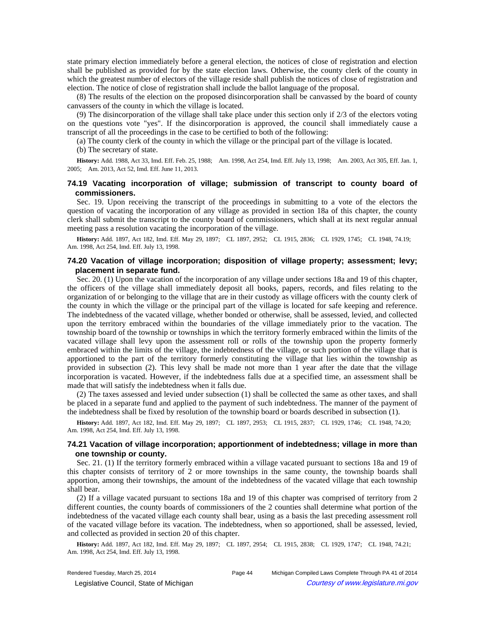state primary election immediately before a general election, the notices of close of registration and election shall be published as provided for by the state election laws. Otherwise, the county clerk of the county in which the greatest number of electors of the village reside shall publish the notices of close of registration and election. The notice of close of registration shall include the ballot language of the proposal.

(8) The results of the election on the proposed disincorporation shall be canvassed by the board of county canvassers of the county in which the village is located.

(9) The disincorporation of the village shall take place under this section only if 2/3 of the electors voting on the questions vote "yes". If the disincorporation is approved, the council shall immediately cause a transcript of all the proceedings in the case to be certified to both of the following:

(a) The county clerk of the county in which the village or the principal part of the village is located.

(b) The secretary of state.

History: Add. 1988, Act 33, Imd. Eff. Feb. 25, 1988;- Am. 1998, Act 254, Imd. Eff. July 13, 1998;- Am. 2003, Act 305, Eff. Jan. 1, 2005;Am. 2013, Act 52, Imd. Eff. June 11, 2013.

# **74.19 Vacating incorporation of village; submission of transcript to county board of commissioners.**

Sec. 19. Upon receiving the transcript of the proceedings in submitting to a vote of the electors the question of vacating the incorporation of any village as provided in section 18a of this chapter, the county clerk shall submit the transcript to the county board of commissioners, which shall at its next regular annual meeting pass a resolution vacating the incorporation of the village.

History: Add. 1897, Act 182, Imd. Eff. May 29, 1897;-CL 1897, 2952;-CL 1915, 2836;-CL 1929, 1745;-CL 1948, 74.19;-Am. 1998, Act 254, Imd. Eff. July 13, 1998.

# **74.20 Vacation of village incorporation; disposition of village property; assessment; levy; placement in separate fund.**

Sec. 20. (1) Upon the vacation of the incorporation of any village under sections 18a and 19 of this chapter, the officers of the village shall immediately deposit all books, papers, records, and files relating to the organization of or belonging to the village that are in their custody as village officers with the county clerk of the county in which the village or the principal part of the village is located for safe keeping and reference. The indebtedness of the vacated village, whether bonded or otherwise, shall be assessed, levied, and collected upon the territory embraced within the boundaries of the village immediately prior to the vacation. The township board of the township or townships in which the territory formerly embraced within the limits of the vacated village shall levy upon the assessment roll or rolls of the township upon the property formerly embraced within the limits of the village, the indebtedness of the village, or such portion of the village that is apportioned to the part of the territory formerly constituting the village that lies within the township as provided in subsection (2). This levy shall be made not more than 1 year after the date that the village incorporation is vacated. However, if the indebtedness falls due at a specified time, an assessment shall be made that will satisfy the indebtedness when it falls due.

(2) The taxes assessed and levied under subsection (1) shall be collected the same as other taxes, and shall be placed in a separate fund and applied to the payment of such indebtedness. The manner of the payment of the indebtedness shall be fixed by resolution of the township board or boards described in subsection (1).

History: Add. 1897, Act 182, Imd. Eff. May 29, 1897;-CL 1897, 2953;-CL 1915, 2837;-CL 1929, 1746;-CL 1948, 74.20;-Am. 1998, Act 254, Imd. Eff. July 13, 1998.

# **74.21 Vacation of village incorporation; apportionment of indebtedness; village in more than one township or county.**

Sec. 21. (1) If the territory formerly embraced within a village vacated pursuant to sections 18a and 19 of this chapter consists of territory of 2 or more townships in the same county, the township boards shall apportion, among their townships, the amount of the indebtedness of the vacated village that each township shall bear.

(2) If a village vacated pursuant to sections 18a and 19 of this chapter was comprised of territory from 2 different counties, the county boards of commissioners of the 2 counties shall determine what portion of the indebtedness of the vacated village each county shall bear, using as a basis the last preceding assessment roll of the vacated village before its vacation. The indebtedness, when so apportioned, shall be assessed, levied, and collected as provided in section 20 of this chapter.

History: Add. 1897, Act 182, Imd. Eff. May 29, 1897;-CL 1897, 2954;-CL 1915, 2838;-CL 1929, 1747;-CL 1948, 74.21;-Am. 1998, Act 254, Imd. Eff. July 13, 1998.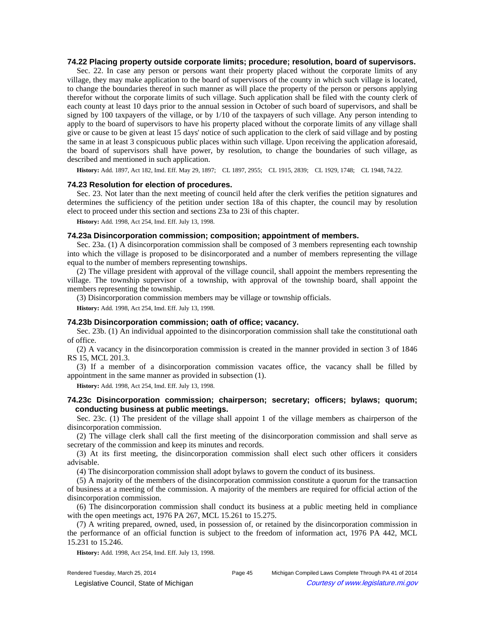# **74.22 Placing property outside corporate limits; procedure; resolution, board of supervisors.**

Sec. 22. In case any person or persons want their property placed without the corporate limits of any village, they may make application to the board of supervisors of the county in which such village is located, to change the boundaries thereof in such manner as will place the property of the person or persons applying therefor without the corporate limits of such village. Such application shall be filed with the county clerk of each county at least 10 days prior to the annual session in October of such board of supervisors, and shall be signed by 100 taxpayers of the village, or by 1/10 of the taxpayers of such village. Any person intending to apply to the board of supervisors to have his property placed without the corporate limits of any village shall give or cause to be given at least 15 days' notice of such application to the clerk of said village and by posting the same in at least 3 conspicuous public places within such village. Upon receiving the application aforesaid, the board of supervisors shall have power, by resolution, to change the boundaries of such village, as described and mentioned in such application.

History: Add. 1897, Act 182, Imd. Eff. May 29, 1897;-CL 1897, 2955;-CL 1915, 2839;-CL 1929, 1748;-CL 1948, 74.22.

### **74.23 Resolution for election of procedures.**

Sec. 23. Not later than the next meeting of council held after the clerk verifies the petition signatures and determines the sufficiency of the petition under section 18a of this chapter, the council may by resolution elect to proceed under this section and sections 23a to 23i of this chapter.

**History:** Add. 1998, Act 254, Imd. Eff. July 13, 1998.

# **74.23a Disincorporation commission; composition; appointment of members.**

Sec. 23a. (1) A disincorporation commission shall be composed of 3 members representing each township into which the village is proposed to be disincorporated and a number of members representing the village equal to the number of members representing townships.

(2) The village president with approval of the village council, shall appoint the members representing the village. The township supervisor of a township, with approval of the township board, shall appoint the members representing the township.

(3) Disincorporation commission members may be village or township officials.

**History:** Add. 1998, Act 254, Imd. Eff. July 13, 1998.

# **74.23b Disincorporation commission; oath of office; vacancy.**

Sec. 23b. (1) An individual appointed to the disincorporation commission shall take the constitutional oath of office.

(2) A vacancy in the disincorporation commission is created in the manner provided in section 3 of 1846 RS 15, MCL 201.3.

(3) If a member of a disincorporation commission vacates office, the vacancy shall be filled by appointment in the same manner as provided in subsection (1).

**History:** Add. 1998, Act 254, Imd. Eff. July 13, 1998.

# **74.23c Disincorporation commission; chairperson; secretary; officers; bylaws; quorum; conducting business at public meetings.**

Sec. 23c. (1) The president of the village shall appoint 1 of the village members as chairperson of the disincorporation commission.

(2) The village clerk shall call the first meeting of the disincorporation commission and shall serve as secretary of the commission and keep its minutes and records.

(3) At its first meeting, the disincorporation commission shall elect such other officers it considers advisable.

(4) The disincorporation commission shall adopt bylaws to govern the conduct of its business.

(5) A majority of the members of the disincorporation commission constitute a quorum for the transaction of business at a meeting of the commission. A majority of the members are required for official action of the disincorporation commission.

(6) The disincorporation commission shall conduct its business at a public meeting held in compliance with the open meetings act, 1976 PA 267, MCL 15.261 to 15.275.

(7) A writing prepared, owned, used, in possession of, or retained by the disincorporation commission in the performance of an official function is subject to the freedom of information act, 1976 PA 442, MCL 15.231 to 15.246.

**History:** Add. 1998, Act 254, Imd. Eff. July 13, 1998.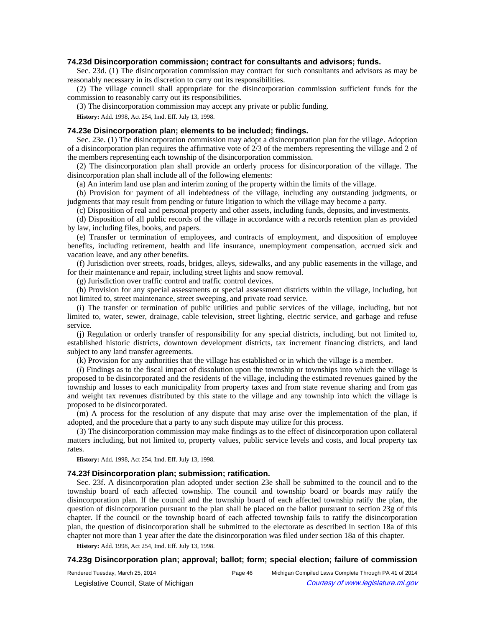### **74.23d Disincorporation commission; contract for consultants and advisors; funds.**

Sec. 23d. (1) The disincorporation commission may contract for such consultants and advisors as may be reasonably necessary in its discretion to carry out its responsibilities.

(2) The village council shall appropriate for the disincorporation commission sufficient funds for the commission to reasonably carry out its responsibilities.

(3) The disincorporation commission may accept any private or public funding.

**History:** Add. 1998, Act 254, Imd. Eff. July 13, 1998.

# **74.23e Disincorporation plan; elements to be included; findings.**

Sec. 23e. (1) The disincorporation commission may adopt a disincorporation plan for the village. Adoption of a disincorporation plan requires the affirmative vote of 2/3 of the members representing the village and 2 of the members representing each township of the disincorporation commission.

(2) The disincorporation plan shall provide an orderly process for disincorporation of the village. The disincorporation plan shall include all of the following elements:

(a) An interim land use plan and interim zoning of the property within the limits of the village.

(b) Provision for payment of all indebtedness of the village, including any outstanding judgments, or judgments that may result from pending or future litigation to which the village may become a party.

(c) Disposition of real and personal property and other assets, including funds, deposits, and investments.

(d) Disposition of all public records of the village in accordance with a records retention plan as provided by law, including files, books, and papers.

(e) Transfer or termination of employees, and contracts of employment, and disposition of employee benefits, including retirement, health and life insurance, unemployment compensation, accrued sick and vacation leave, and any other benefits.

(f) Jurisdiction over streets, roads, bridges, alleys, sidewalks, and any public easements in the village, and for their maintenance and repair, including street lights and snow removal.

(g) Jurisdiction over traffic control and traffic control devices.

(h) Provision for any special assessments or special assessment districts within the village, including, but not limited to, street maintenance, street sweeping, and private road service.

(i) The transfer or termination of public utilities and public services of the village, including, but not limited to, water, sewer, drainage, cable television, street lighting, electric service, and garbage and refuse service.

(j) Regulation or orderly transfer of responsibility for any special districts, including, but not limited to, established historic districts, downtown development districts, tax increment financing districts, and land subject to any land transfer agreements.

(k) Provision for any authorities that the village has established or in which the village is a member.

(*l*) Findings as to the fiscal impact of dissolution upon the township or townships into which the village is proposed to be disincorporated and the residents of the village, including the estimated revenues gained by the township and losses to each municipality from property taxes and from state revenue sharing and from gas and weight tax revenues distributed by this state to the village and any township into which the village is proposed to be disincorporated.

(m) A process for the resolution of any dispute that may arise over the implementation of the plan, if adopted, and the procedure that a party to any such dispute may utilize for this process.

(3) The disincorporation commission may make findings as to the effect of disincorporation upon collateral matters including, but not limited to, property values, public service levels and costs, and local property tax rates.

**History:** Add. 1998, Act 254, Imd. Eff. July 13, 1998.

#### **74.23f Disincorporation plan; submission; ratification.**

Sec. 23f. A disincorporation plan adopted under section 23e shall be submitted to the council and to the township board of each affected township. The council and township board or boards may ratify the disincorporation plan. If the council and the township board of each affected township ratify the plan, the question of disincorporation pursuant to the plan shall be placed on the ballot pursuant to section 23g of this chapter. If the council or the township board of each affected township fails to ratify the disincorporation plan, the question of disincorporation shall be submitted to the electorate as described in section 18a of this chapter not more than 1 year after the date the disincorporation was filed under section 18a of this chapter.

**History:** Add. 1998, Act 254, Imd. Eff. July 13, 1998.

#### **74.23g Disincorporation plan; approval; ballot; form; special election; failure of commission**

© Legislative Council, State of Michigan Council Courtesy of www.legislature.mi.gov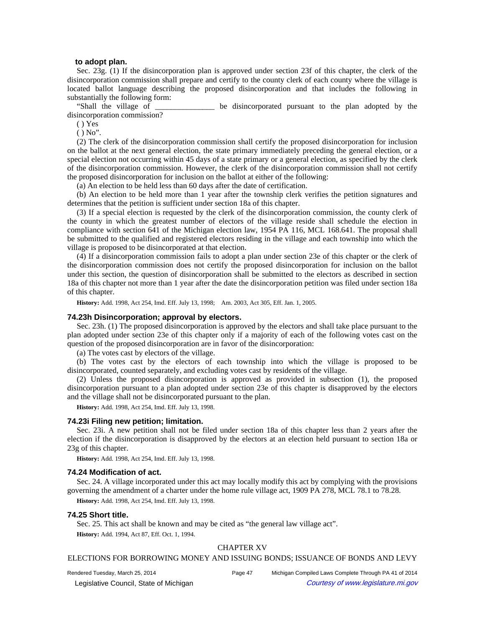### **to adopt plan.**

Sec. 23g. (1) If the disincorporation plan is approved under section 23f of this chapter, the clerk of the disincorporation commission shall prepare and certify to the county clerk of each county where the village is located ballot language describing the proposed disincorporation and that includes the following in substantially the following form:

"Shall the village of the state of the disincorporated pursuant to the plan adopted by the disincorporation commission?

( ) Yes

 $()$  No".

(2) The clerk of the disincorporation commission shall certify the proposed disincorporation for inclusion on the ballot at the next general election, the state primary immediately preceding the general election, or a special election not occurring within 45 days of a state primary or a general election, as specified by the clerk of the disincorporation commission. However, the clerk of the disincorporation commission shall not certify the proposed disincorporation for inclusion on the ballot at either of the following:

(a) An election to be held less than 60 days after the date of certification.

(b) An election to be held more than 1 year after the township clerk verifies the petition signatures and determines that the petition is sufficient under section 18a of this chapter.

(3) If a special election is requested by the clerk of the disincorporation commission, the county clerk of the county in which the greatest number of electors of the village reside shall schedule the election in compliance with section 641 of the Michigan election law, 1954 PA 116, MCL 168.641. The proposal shall be submitted to the qualified and registered electors residing in the village and each township into which the village is proposed to be disincorporated at that election.

(4) If a disincorporation commission fails to adopt a plan under section 23e of this chapter or the clerk of the disincorporation commission does not certify the proposed disincorporation for inclusion on the ballot under this section, the question of disincorporation shall be submitted to the electors as described in section 18a of this chapter not more than 1 year after the date the disincorporation petition was filed under section 18a of this chapter.

History: Add. 1998, Act 254, Imd. Eff. July 13, 1998;—Am. 2003, Act 305, Eff. Jan. 1, 2005.

### **74.23h Disincorporation; approval by electors.**

Sec. 23h. (1) The proposed disincorporation is approved by the electors and shall take place pursuant to the plan adopted under section 23e of this chapter only if a majority of each of the following votes cast on the question of the proposed disincorporation are in favor of the disincorporation:

(a) The votes cast by electors of the village.

(b) The votes cast by the electors of each township into which the village is proposed to be disincorporated, counted separately, and excluding votes cast by residents of the village.

(2) Unless the proposed disincorporation is approved as provided in subsection (1), the proposed disincorporation pursuant to a plan adopted under section 23e of this chapter is disapproved by the electors and the village shall not be disincorporated pursuant to the plan.

**History:** Add. 1998, Act 254, Imd. Eff. July 13, 1998.

#### **74.23i Filing new petition; limitation.**

Sec. 23i. A new petition shall not be filed under section 18a of this chapter less than 2 years after the election if the disincorporation is disapproved by the electors at an election held pursuant to section 18a or 23g of this chapter.

**History:** Add. 1998, Act 254, Imd. Eff. July 13, 1998.

#### **74.24 Modification of act.**

Sec. 24. A village incorporated under this act may locally modify this act by complying with the provisions governing the amendment of a charter under the home rule village act, 1909 PA 278, MCL 78.1 to 78.28.

**History:** Add. 1998, Act 254, Imd. Eff. July 13, 1998.

#### **74.25 Short title.**

Sec. 25. This act shall be known and may be cited as "the general law village act".

**History:** Add. 1994, Act 87, Eff. Oct. 1, 1994.

# CHAPTER XV

### ELECTIONS FOR BORROWING MONEY AND ISSUING BONDS; ISSUANCE OF BONDS AND LEVY

Rendered Tuesday, March 25, 2014 Page 47 Michigan Compiled Laws Complete Through PA 41 of 2014 © Legislative Council, State of Michigan Council Courtesy of www.legislature.mi.gov